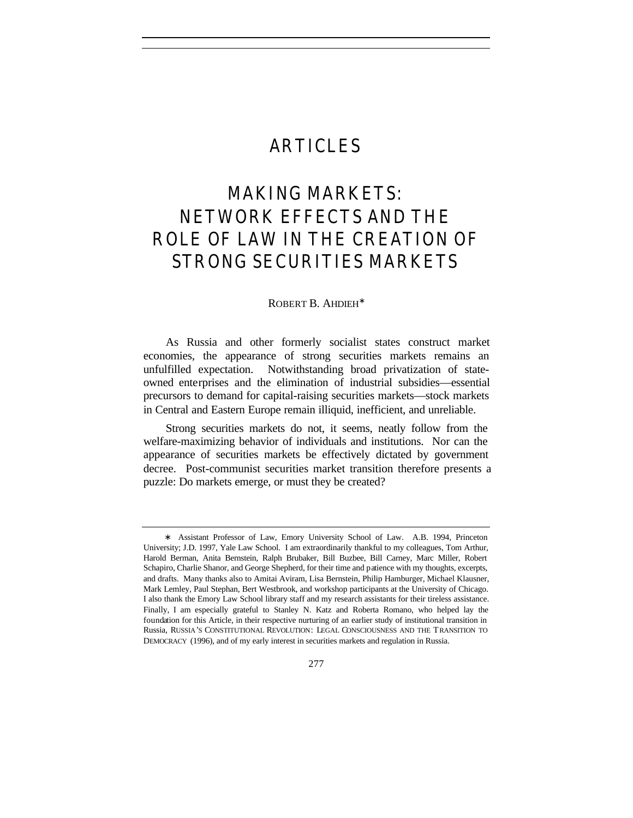# ARTICLES

# MAKING MARKETS: NETWORK EFFECTS AND THE ROLE OF LAW IN THE CREATION OF STRONG SECURITIES MARKETS

## ROBERT B. AHDIEH<sup>∗</sup>

As Russia and other formerly socialist states construct market economies, the appearance of strong securities markets remains an unfulfilled expectation. Notwithstanding broad privatization of stateowned enterprises and the elimination of industrial subsidies—essential precursors to demand for capital-raising securities markets—stock markets in Central and Eastern Europe remain illiquid, inefficient, and unreliable.

Strong securities markets do not, it seems, neatly follow from the welfare-maximizing behavior of individuals and institutions. Nor can the appearance of securities markets be effectively dictated by government decree. Post-communist securities market transition therefore presents a puzzle: Do markets emerge, or must they be created?

<sup>∗</sup> Assistant Professor of Law, Emory University School of Law. A.B. 1994, Princeton University; J.D. 1997, Yale Law School. I am extraordinarily thankful to my colleagues, Tom Arthur, Harold Berman, Anita Bernstein, Ralph Brubaker, Bill Buzbee, Bill Carney, Marc Miller, Robert Schapiro, Charlie Shanor, and George Shepherd, for their time and patience with my thoughts, excerpts, and drafts. Many thanks also to Amitai Aviram, Lisa Bernstein, Philip Hamburger, Michael Klausner, Mark Lemley, Paul Stephan, Bert Westbrook, and workshop participants at the University of Chicago. I also thank the Emory Law School library staff and my research assistants for their tireless assistance. Finally, I am especially grateful to Stanley N. Katz and Roberta Romano, who helped lay the foundation for this Article, in their respective nurturing of an earlier study of institutional transition in Russia, RUSSIA'S CONSTITUTIONAL REVOLUTION: LEGAL CONSCIOUSNESS AND THE TRANSITION TO DEMOCRACY (1996), and of my early interest in securities markets and regulation in Russia.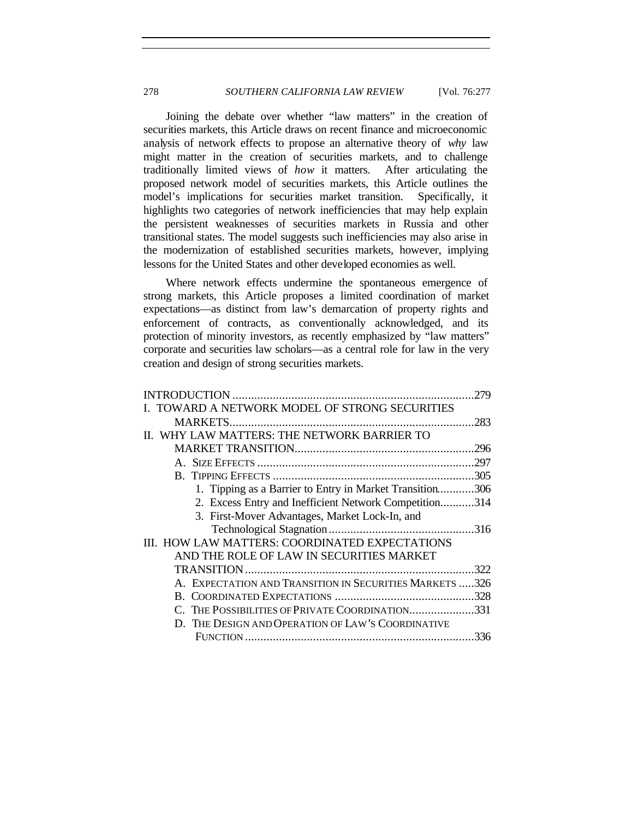Joining the debate over whether "law matters" in the creation of securities markets, this Article draws on recent finance and microeconomic analysis of network effects to propose an alternative theory of *why* law might matter in the creation of securities markets, and to challenge traditionally limited views of *how* it matters. After articulating the proposed network model of securities markets, this Article outlines the model's implications for securities market transition. Specifically, it highlights two categories of network inefficiencies that may help explain the persistent weaknesses of securities markets in Russia and other transitional states. The model suggests such inefficiencies may also arise in the modernization of established securities markets, however, implying lessons for the United States and other developed economies as well.

Where network effects undermine the spontaneous emergence of strong markets, this Article proposes a limited coordination of market expectations—as distinct from law's demarcation of property rights and enforcement of contracts, as conventionally acknowledged, and its protection of minority investors, as recently emphasized by "law matters" corporate and securities law scholars—as a central role for law in the very creation and design of strong securities markets.

|                                                          | 279  |
|----------------------------------------------------------|------|
| TOWARD A NETWORK MODEL OF STRONG SECURITIES              |      |
|                                                          | .283 |
| II. WHY LAW MATTERS: THE NETWORK BARRIER TO              |      |
|                                                          | .296 |
|                                                          |      |
|                                                          |      |
| 1. Tipping as a Barrier to Entry in Market Transition306 |      |
| 2. Excess Entry and Inefficient Network Competition314   |      |
| 3. First-Mover Advantages, Market Lock-In, and           |      |
|                                                          |      |
| III. HOW LAW MATTERS: COORDINATED EXPECTATIONS           |      |
| AND THE ROLE OF LAW IN SECURITIES MARKET                 |      |
|                                                          | .322 |
| A. EXPECTATION AND TRANSITION IN SECURITIES MARKETS 326  |      |
|                                                          |      |
| C. THE POSSIBILITIES OF PRIVATE COORDINATION331          |      |
| D. THE DESIGN AND OPERATION OF LAW'S COORDINATIVE        |      |
|                                                          | .336 |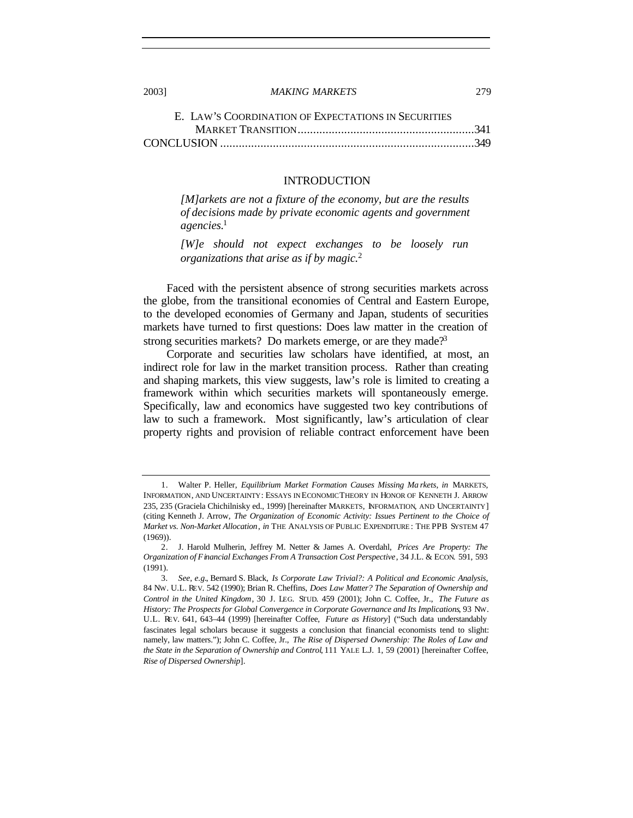| E. LAW'S COORDINATION OF EXPECTATIONS IN SECURITIES |  |
|-----------------------------------------------------|--|
|                                                     |  |
|                                                     |  |

#### INTRODUCTION

*[M]arkets are not a fixture of the economy, but are the results of decisions made by private economic agents and government agencies.*<sup>1</sup>

*[W]e should not expect exchanges to be loosely run organizations that arise as if by magic.*<sup>2</sup>

Faced with the persistent absence of strong securities markets across the globe, from the transitional economies of Central and Eastern Europe, to the developed economies of Germany and Japan, students of securities markets have turned to first questions: Does law matter in the creation of strong securities markets? Do markets emerge, or are they made?<sup>3</sup>

Corporate and securities law scholars have identified, at most, an indirect role for law in the market transition process. Rather than creating and shaping markets, this view suggests, law's role is limited to creating a framework within which securities markets will spontaneously emerge. Specifically, law and economics have suggested two key contributions of law to such a framework. Most significantly, law's articulation of clear property rights and provision of reliable contract enforcement have been

<sup>1.</sup> Walter P. Heller, *Equilibrium Market Formation Causes Missing Ma rkets*, *in* MARKETS, INFORMATION, AND UNCERTAINTY: ESSAYS IN ECONOMIC THEORY IN HONOR OF KENNETH J. ARROW 235, 235 (Graciela Chichilnisky ed., 1999) [hereinafter MARKETS, INFORMATION, AND UNCERTAINTY] (citing Kenneth J. Arrow, *The Organization of Economic Activity: Issues Pertinent to the Choice of Market vs. Non-Market Allocation*, *in* THE ANALYSIS OF PUBLIC EXPENDITURE : THE PPB SYSTEM 47 (1969)).

<sup>2.</sup> J. Harold Mulherin, Jeffrey M. Netter & James A. Overdahl, *Prices Are Property: The Organization of Financial Exchanges From A Transaction Cost Perspective*, 34 J.L. & ECON. 591, 593 (1991).

<sup>3</sup>*. See, e.g.*, Bernard S. Black, *Is Corporate Law Trivial?: A Political and Economic Analysis*, 84 NW. U.L. REV. 542 (1990); Brian R. Cheffins, *Does Law Matter? The Separation of Ownership and Control in the United Kingdom*, 30 J. LEG. STUD. 459 (2001); John C. Coffee, Jr., *The Future as History: The Prospects for Global Convergence in Corporate Governance and Its Implications*, 93 NW. U.L. REV. 641, 643–44 (1999) [hereinafter Coffee, *Future as History*] ("Such data understandably fascinates legal scholars because it suggests a conclusion that financial economists tend to slight: namely, law matters."); John C. Coffee, Jr., *The Rise of Dispersed Ownership: The Roles of Law and the State in the Separation of Ownership and Control*, 111 YALE L.J. 1, 59 (2001) [hereinafter Coffee, *Rise of Dispersed Ownership*].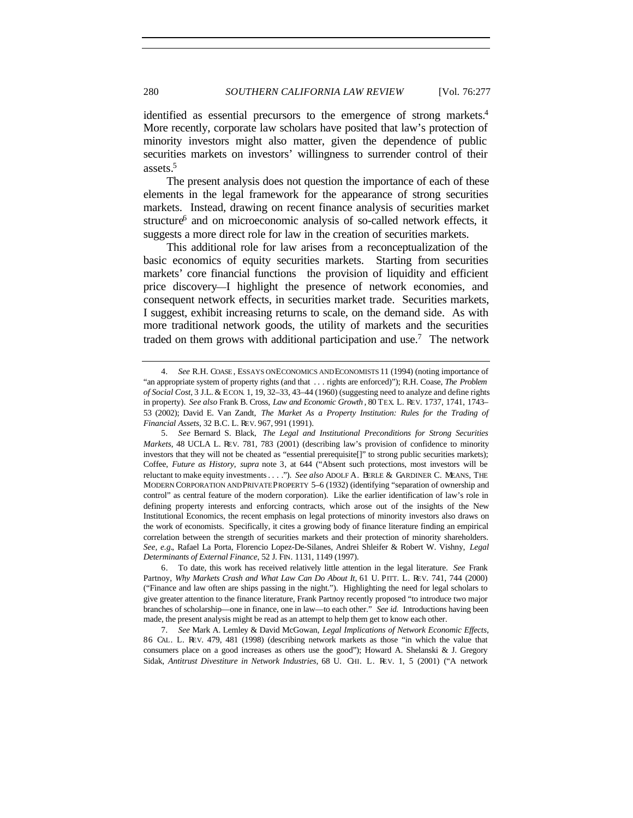identified as essential precursors to the emergence of strong markets.<sup>4</sup> More recently, corporate law scholars have posited that law's protection of minority investors might also matter, given the dependence of public securities markets on investors' willingness to surrender control of their assets.<sup>5</sup>

The present analysis does not question the importance of each of these elements in the legal framework for the appearance of strong securities markets. Instead, drawing on recent finance analysis of securities market structure<sup>6</sup> and on microeconomic analysis of so-called network effects, it suggests a more direct role for law in the creation of securities markets.

This additional role for law arises from a reconceptualization of the basic economics of equity securities markets. Starting from securities markets' core financial functions the provision of liquidity and efficient price discovery—I highlight the presence of network economies, and consequent network effects, in securities market trade. Securities markets, I suggest, exhibit increasing returns to scale, on the demand side. As with more traditional network goods, the utility of markets and the securities traded on them grows with additional participation and use.<sup>7</sup> The network

<sup>4</sup>*. See* R.H. COASE , ESSAYS ON ECONOMICS AND ECONOMISTS 11 (1994) (noting importance of "an appropriate system of property rights (and that . . . rights are enforced)"); R.H. Coase, *The Problem of Social Cost*, 3 J.L. & ECON. 1, 19, 32–33, 43–44 (1960) (suggesting need to analyze and define rights in property). *See also* Frank B. Cross, *Law and Economic Growth* , 80 TEX. L. REV. 1737, 1741, 1743– 53 (2002); David E. Van Zandt, *The Market As a Property Institution: Rules for the Trading of Financial Assets*, 32 B.C. L. REV. 967, 991 (1991).

<sup>5</sup>*. See* Bernard S. Black, *The Legal and Institutional Preconditions for Strong Securities Markets*, 48 UCLA L. REV. 781, 783 (2001) (describing law's provision of confidence to minority investors that they will not be cheated as "essential prerequisite[]" to strong public securities markets); Coffee, *Future as History*, *supra* note 3, at 644 ("Absent such protections, most investors will be reluctant to make equity investments . . . ."). *See also* ADOLF A. BERLE & GARDINER C. MEANS, THE MODERN CORPORATION AND PRIVATE PROPERTY 5–6 (1932) (identifying "separation of ownership and control" as central feature of the modern corporation). Like the earlier identification of law's role in defining property interests and enforcing contracts, which arose out of the insights of the New Institutional Economics, the recent emphasis on legal protections of minority investors also draws on the work of economists. Specifically, it cites a growing body of finance literature finding an empirical correlation between the strength of securities markets and their protection of minority shareholders. *See, e.g.*, Rafael La Porta, Florencio Lopez-De-Silanes, Andrei Shleifer & Robert W. Vishny, *Legal Determinants of External Finance*, 52 J. FIN. 1131, 1149 (1997).

<sup>6.</sup> To date, this work has received relatively little attention in the legal literature. *See* Frank Partnoy, *Why Markets Crash and What Law Can Do About It*, 61 U. PITT. L. REV. 741, 744 (2000) ("Finance and law often are ships passing in the night."). Highlighting the need for legal scholars to give greater attention to the finance literature, Frank Partnoy recently proposed "to introduce two major branches of scholarship—one in finance, one in law—to each other." *See id.* Introductions having been made, the present analysis might be read as an attempt to help them get to know each other.

<sup>7</sup>*. See* Mark A. Lemley & David McGowan, *Legal Implications of Network Economic Effects*, 86 CAL. L. REV. 479, 481 (1998) (describing network markets as those "in which the value that consumers place on a good increases as others use the good"); Howard A. Shelanski & J. Gregory Sidak, *Antitrust Divestiture in Network Industries*, 68 U. CHI. L. REV. 1, 5 (2001) ("A network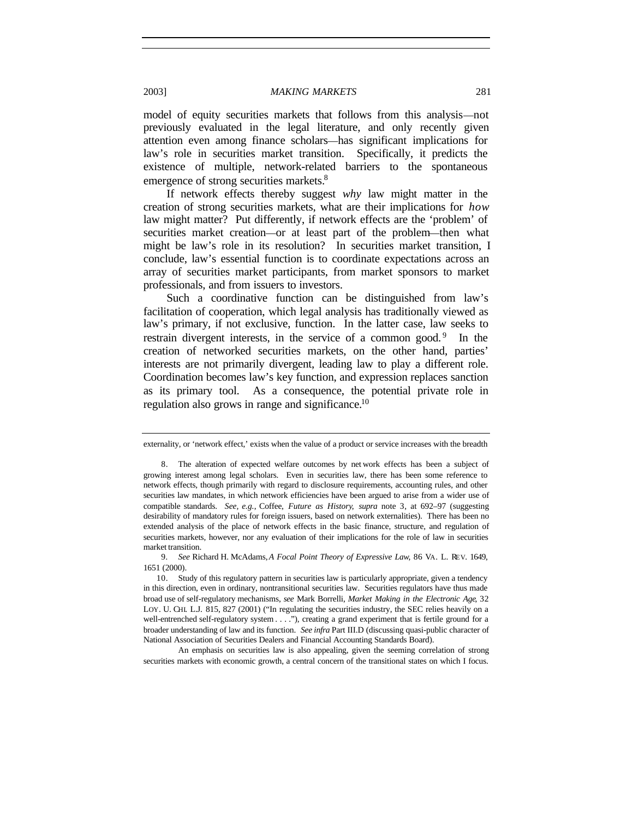model of equity securities markets that follows from this analysis—not previously evaluated in the legal literature, and only recently given attention even among finance scholars—has significant implications for law's role in securities market transition. Specifically, it predicts the existence of multiple, network-related barriers to the spontaneous emergence of strong securities markets.<sup>8</sup>

If network effects thereby suggest *why* law might matter in the creation of strong securities markets, what are their implications for *how* law might matter? Put differently, if network effects are the 'problem' of securities market creation—or at least part of the problem—then what might be law's role in its resolution? In securities market transition, I conclude, law's essential function is to coordinate expectations across an array of securities market participants, from market sponsors to market professionals, and from issuers to investors.

Such a coordinative function can be distinguished from law's facilitation of cooperation, which legal analysis has traditionally viewed as law's primary, if not exclusive, function. In the latter case, law seeks to restrain divergent interests, in the service of a common good.<sup>9</sup> In the creation of networked securities markets, on the other hand, parties' interests are not primarily divergent, leading law to play a different role. Coordination becomes law's key function, and expression replaces sanction as its primary tool. As a consequence, the potential private role in regulation also grows in range and significance.<sup>10</sup>

An emphasis on securities law is also appealing, given the seeming correlation of strong securities markets with economic growth, a central concern of the transitional states on which I focus.

externality, or 'network effect,' exists when the value of a product or service increases with the breadth

<sup>8.</sup> The alteration of expected welfare outcomes by net work effects has been a subject of growing interest among legal scholars. Even in securities law, there has been some reference to network effects, though primarily with regard to disclosure requirements, accounting rules, and other securities law mandates, in which network efficiencies have been argued to arise from a wider use of compatible standards. *See, e.g.*, Coffee, *Future as History*, *supra* note 3, at 692–97 (suggesting desirability of mandatory rules for foreign issuers, based on network externalities). There has been no extended analysis of the place of network effects in the basic finance, structure, and regulation of securities markets, however, nor any evaluation of their implications for the role of law in securities market transition.

<sup>9</sup>*. See* Richard H. McAdams, *A Focal Point Theory of Expressive Law*, 86 VA. L. REV. 1649, 1651 (2000).

<sup>10.</sup> Study of this regulatory pattern in securities law is particularly appropriate, given a tendency in this direction, even in ordinary, nontransitional securities law. Securities regulators have thus made broad use of self-regulatory mechanisms, *see* Mark Borrelli, *Market Making in the Electronic Age*, 32 LOY. U. CHI. L.J. 815, 827 (2001) ("In regulating the securities industry, the SEC relies heavily on a well-entrenched self-regulatory system . . . ."), creating a grand experiment that is fertile ground for a broader understanding of law and its function. *See infra* Part III.D (discussing quasi-public character of National Association of Securities Dealers and Financial Accounting Standards Board).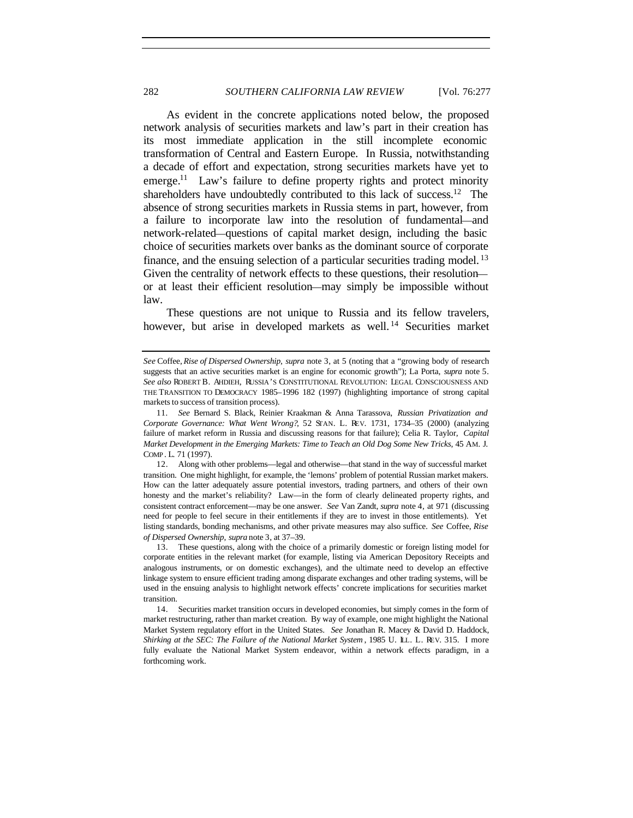## 282 *SOUTHERN CALIFORNIA LAW REVIEW* [Vol. 76:277

As evident in the concrete applications noted below, the proposed network analysis of securities markets and law's part in their creation has its most immediate application in the still incomplete economic transformation of Central and Eastern Europe. In Russia, notwithstanding a decade of effort and expectation, strong securities markets have yet to emerge.<sup>11</sup> Law's failure to define property rights and protect minority shareholders have undoubtedly contributed to this lack of success.<sup>12</sup> The absence of strong securities markets in Russia stems in part, however, from a failure to incorporate law into the resolution of fundamental—and network-related—questions of capital market design, including the basic choice of securities markets over banks as the dominant source of corporate finance, and the ensuing selection of a particular securities trading model.<sup>13</sup> Given the centrality of network effects to these questions, their resolution or at least their efficient resolution—may simply be impossible without law.

These questions are not unique to Russia and its fellow travelers, however, but arise in developed markets as well.<sup>14</sup> Securities market

*See* Coffee, *Rise of Dispersed Ownership*, *supra* note 3, at 5 (noting that a "growing body of research suggests that an active securities market is an engine for economic growth"); La Porta, *supra* note 5. *See also* ROBERT B. AHDIEH, RUSSIA'S CONSTITUTIONAL REVOLUTION: LEGAL CONSCIOUSNESS AND THE TRANSITION TO DEMOCRACY 1985–1996 182 (1997) (highlighting importance of strong capital markets to success of transition process).

<sup>11</sup>*. See* Bernard S. Black, Reinier Kraakman & Anna Tarassova, *Russian Privatization and Corporate Governance: What Went Wrong?*, 52 STAN. L. REV. 1731, 1734–35 (2000) (analyzing failure of market reform in Russia and discussing reasons for that failure); Celia R. Taylor, *Capital Market Development in the Emerging Markets: Time to Teach an Old Dog Some New Tricks*, 45 AM. J. COMP . L. 71 (1997).

<sup>12.</sup> Along with other problems—legal and otherwise—that stand in the way of successful market transition. One might highlight, for example, the 'lemons' problem of potential Russian market makers. How can the latter adequately assure potential investors, trading partners, and others of their own honesty and the market's reliability? Law—in the form of clearly delineated property rights, and consistent contract enforcement—may be one answer. *See* Van Zandt, *supra* note 4, at 971 (discussing need for people to feel secure in their entitlements if they are to invest in those entitlements). Yet listing standards, bonding mechanisms, and other private measures may also suffice. *See* Coffee, *Rise of Dispersed Ownership*, *supra* note 3, at 37–39.

<sup>13.</sup> These questions, along with the choice of a primarily domestic or foreign listing model for corporate entities in the relevant market (for example, listing via American Depository Receipts and analogous instruments, or on domestic exchanges), and the ultimate need to develop an effective linkage system to ensure efficient trading among disparate exchanges and other trading systems, will be used in the ensuing analysis to highlight network effects' concrete implications for securities market transition.

<sup>14.</sup> Securities market transition occurs in developed economies, but simply comes in the form of market restructuring, rather than market creation. By way of example, one might highlight the National Market System regulatory effort in the United States. *See* Jonathan R. Macey & David D. Haddock, *Shirking at the SEC: The Failure of the National Market System*, 1985 U. LL. L. REV. 315. I more fully evaluate the National Market System endeavor, within a network effects paradigm, in a forthcoming work.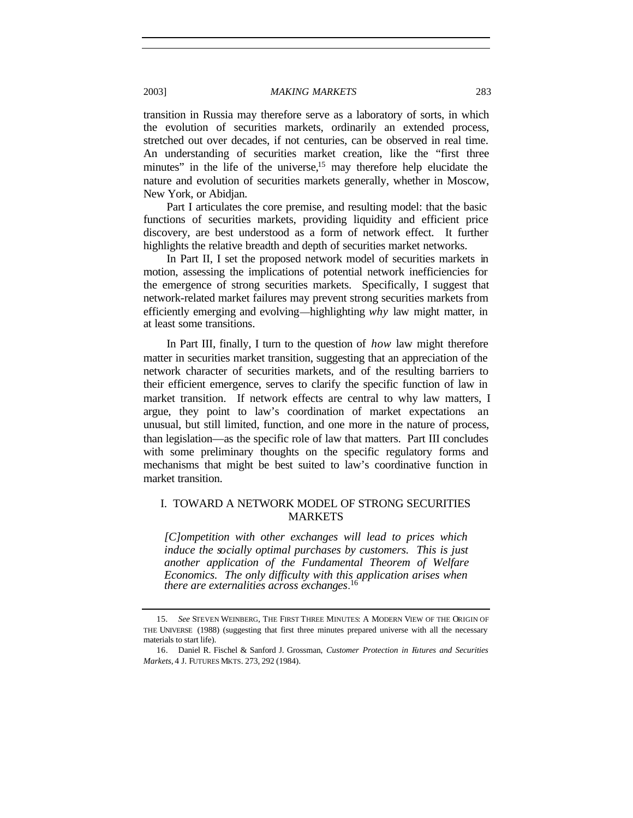transition in Russia may therefore serve as a laboratory of sorts, in which the evolution of securities markets, ordinarily an extended process, stretched out over decades, if not centuries, can be observed in real time. An understanding of securities market creation, like the "first three minutes" in the life of the universe, $15$  may therefore help elucidate the nature and evolution of securities markets generally, whether in Moscow, New York, or Abidjan.

Part I articulates the core premise, and resulting model: that the basic functions of securities markets, providing liquidity and efficient price discovery, are best understood as a form of network effect. It further highlights the relative breadth and depth of securities market networks.

In Part II, I set the proposed network model of securities markets in motion, assessing the implications of potential network inefficiencies for the emergence of strong securities markets. Specifically, I suggest that network-related market failures may prevent strong securities markets from efficiently emerging and evolving—highlighting *why* law might matter, in at least some transitions.

In Part III, finally, I turn to the question of *how* law might therefore matter in securities market transition, suggesting that an appreciation of the network character of securities markets, and of the resulting barriers to their efficient emergence, serves to clarify the specific function of law in market transition. If network effects are central to why law matters, I argue, they point to law's coordination of market expectations an unusual, but still limited, function, and one more in the nature of process, than legislation—as the specific role of law that matters. Part III concludes with some preliminary thoughts on the specific regulatory forms and mechanisms that might be best suited to law's coordinative function in market transition.

# I. TOWARD A NETWORK MODEL OF STRONG SECURITIES MARKETS

*[C]ompetition with other exchanges will lead to prices which induce the socially optimal purchases by customers. This is just another application of the Fundamental Theorem of Welfare Economics. The only difficulty with this application arises when there are externalities across exchanges.* 16

<sup>15</sup>*. See* STEVEN WEINBERG, THE FIRST THREE MINUTES: A MODERN VIEW OF THE ORIGIN OF THE UNIVERSE (1988) (suggesting that first three minutes prepared universe with all the necessary materials to start life).

<sup>16.</sup> Daniel R. Fischel & Sanford J. Grossman, *Customer Protection in Futures and Securities Markets*, 4 J. FUTURES MKTS. 273, 292 (1984).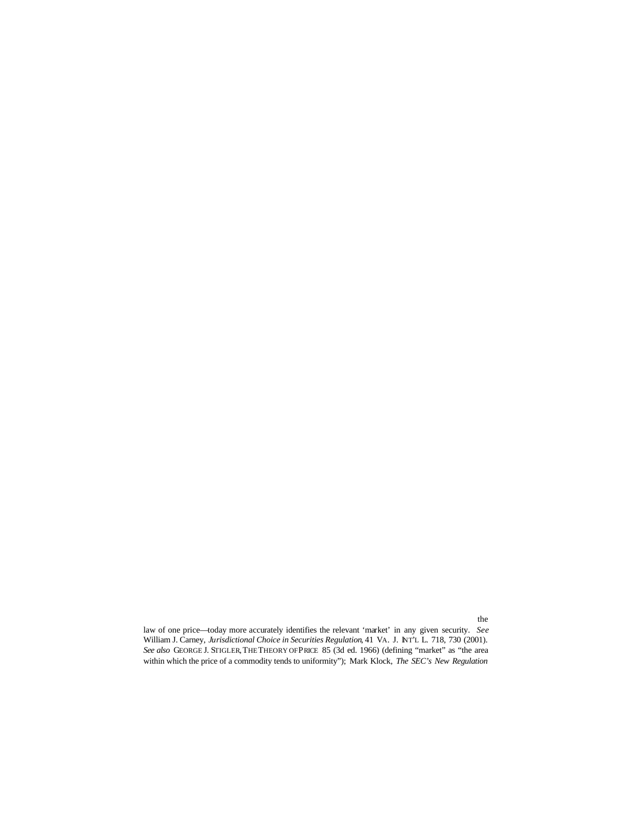law of one price—today more accurately identifies the relevant 'market' in any given security. *See* William J. Carney, *Jurisdictional Choice in Securities Regulation*, 41 VA. J. INT'L L. 718, 730 (2001). *See also* GEORGE J. STIGLER, THE THEORY OF PRICE 85 (3d ed. 1966) (defining "market" as "the area within which the price of a commodity tends to uniformity"); Mark Klock, *The SEC's New Regulation*

not a place  $\mathbf{r}$  and in the identical pricing of homogenous grounded in the identical pricing of homogenous goods the identical pricing of homogenous goods the identical pricing of homogenous goods the identical pricin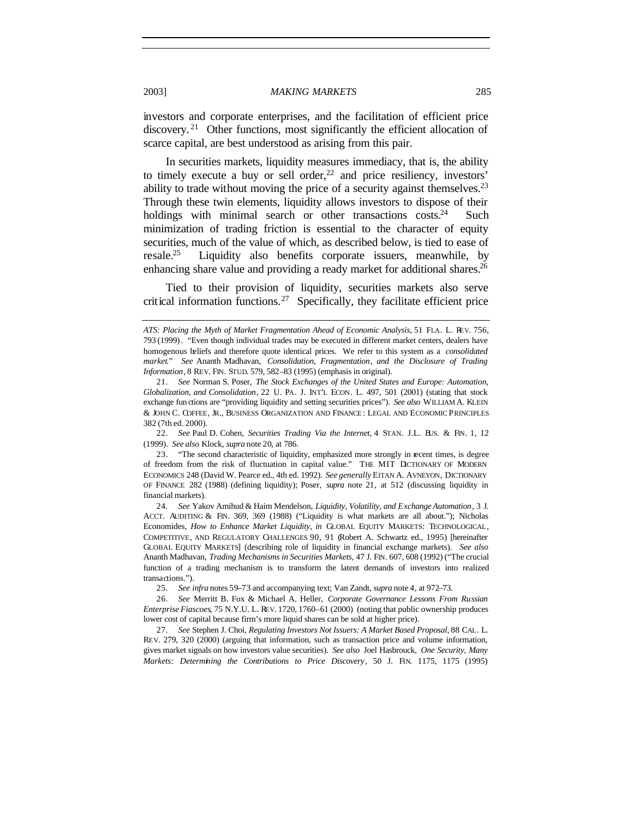investors and corporate enterprises, and the facilitation of efficient price discovery.<sup>21</sup> Other functions, most significantly the efficient allocation of scarce capital, are best understood as arising from this pair.

In securities markets, liquidity measures immediacy, that is, the ability to timely execute a buy or sell order, $22$  and price resiliency, investors' ability to trade without moving the price of a security against themselves.<sup>23</sup> Through these twin elements, liquidity allows investors to dispose of their holdings with minimal search or other transactions  $\cos^2$  Such minimization of trading friction is essential to the character of equity securities, much of the value of which, as described below, is tied to ease of resale.<sup>25</sup> Liquidity also benefits corporate issuers, meanwhile, by enhancing share value and providing a ready market for additional shares.<sup>26</sup>

Tied to their provision of liquidity, securities markets also serve critical information functions.<sup>27</sup> Specifically, they facilitate efficient price

22*. See* Paul D. Cohen, *Securities Trading Via the Internet*, 4 STAN. J.L. BUS. & FIN. 1, 12 (1999). *See also* Klock, *supra* note 20, at 786.

23. "The second characteristic of liquidity, emphasized more strongly in recent times, is degree of freedom from the risk of fluctuation in capital value." THE MIT DCTIONARY OF MODERN ECONOMICS 248 (David W. Pearce ed., 4th ed. 1992). *See generally* EITAN A. AVNEYON, DICTIONARY OF FINANCE 282 (1988) (defining liquidity); Poser, *supra* note 21, at 512 (discussing liquidity in financial markets).

24*. See* Yakov Amihud & Haim Mendelson, *Liquidity, Volatility, and Exchange Automation*, 3 J. ACCT. AUDITING & FIN. 369, 369 (1988) ("Liquidity is what markets are all about."); Nicholas Economides, *How to Enhance Market Liquidity*, *in* GLOBAL EQUITY MARKETS: TECHNOLOGICAL, COMPETITIVE, AND REGULATORY CHALLENGES 90, 91 (Robert A. Schwartz ed., 1995) [hereinafter GLOBAL EQUITY MARKETS] (describing role of liquidity in financial exchange markets). *See also* Ananth Madhavan, *Trading Mechanisms in Securities Markets*, 47 J. FIN. 607, 608 (1992) ("The crucial function of a trading mechanism is to transform the latent demands of investors into realized transactions.").

25*. See infra* notes 59–73 and accompanying text; Van Zandt, *supra* note 4, at 972–73.

26*. See* Merritt B. Fox & Michael A. Heller, *Corporate Governance Lessons From Russian Enterprise Fiascoes*, 75 N.Y.U. L. REV. 1720, 1760–61 (2000) (noting that public ownership produces lower cost of capital because firm's more liquid shares can be sold at higher price).

27*. See* Stephen J. Choi, *Regulating Investors Not Issuers: A Market Based Proposal*, 88 CAL. L. REV. 279, 320 (2000) (arguing that information, such as transaction price and volume information, gives market signals on how investors value securities). *See also* Joel Hasbrouck, *One Security, Many Markets: Determining the Contributions to Price Discovery*, 50 J. FIN. 1175, 1175 (1995)

*ATS: Placing the Myth of Market Fragmentation Ahead of Economic Analysis*, 51 FLA. L. REV. 756, 793 (1999). "Even though individual trades may be executed in different market centers, dealers have homogenous beliefs and therefore quote identical prices. We refer to this system as a *consolidated market*." *See* Ananth Madhavan, *Consolidation, Fragmentation*, *and the Disclosure of Trading Information*, 8 REV. FIN. STUD. 579, 582–83 (1995) (emphasis in original).

<sup>21</sup>*. See* Norman S. Poser, *The Stock Exchanges of the United States and Europe: Automation, Globalization, and Consolidation*, 22 U. PA. J. INT'L ECON. L. 497, 501 (2001) (stating that stock exchange fun ctions are "providing liquidity and setting securities prices"). *See also* WILLIAM A. KLEIN & JOHN C. COFFEE, JR., BUSINESS ORGANIZATION AND FINANCE : LEGAL AND ECONOMIC PRINCIPLES 382 (7th ed. 2000).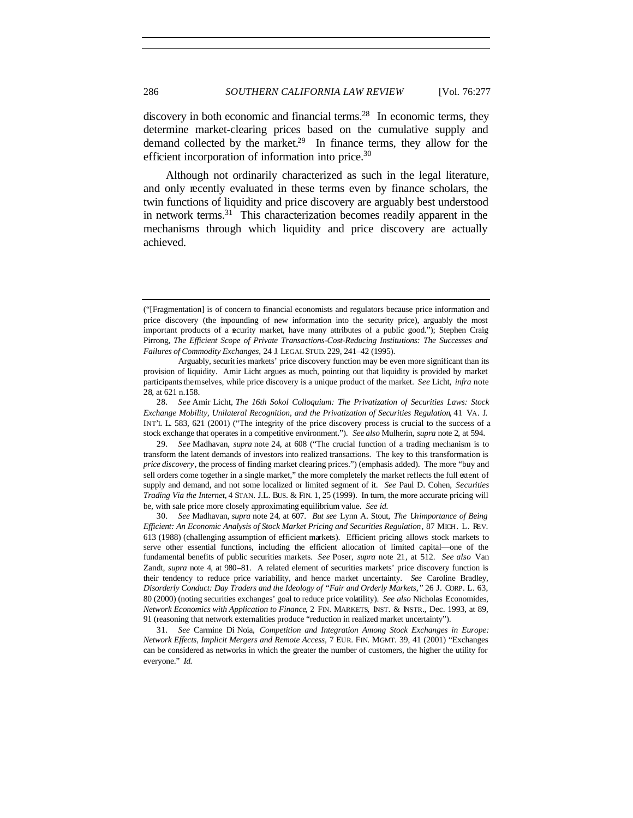discovery in both economic and financial terms.<sup>28</sup> In economic terms, they determine market-clearing prices based on the cumulative supply and demand collected by the market.<sup>29</sup> In finance terms, they allow for the efficient incorporation of information into price.<sup>30</sup>

Although not ordinarily characterized as such in the legal literature, and only recently evaluated in these terms even by finance scholars, the twin functions of liquidity and price discovery are arguably best understood in network terms.<sup>31</sup> This characterization becomes readily apparent in the mechanisms through which liquidity and price discovery are actually achieved.

<sup>(&</sup>quot;[Fragmentation] is of concern to financial economists and regulators because price information and price discovery (the impounding of new information into the security price), arguably the most important products of a security market, have many attributes of a public good."); Stephen Craig Pirrong, *The Efficient Scope of Private Transactions-Cost-Reducing Institutions: The Successes and Failures of Commodity Exchanges*, 24 J. LEGAL STUD. 229, 241–42 (1995).

Arguably, securit ies markets' price discovery function may be even more significant than its provision of liquidity. Amir Licht argues as much, pointing out that liquidity is provided by market participants themselves, while price discovery is a unique product of the market. *See* Licht, *infra* note 28, at 621 n.158.

<sup>28</sup>*. See* Amir Licht, *The 16th Sokol Colloquium: The Privatization of Securities Laws: Stock Exchange Mobility, Unilateral Recognition, and the Privatization of Securities Regulation*, 41 VA. J. INT'L L. 583, 621 (2001) ("The integrity of the price discovery process is crucial to the success of a stock exchange that operates in a competitive environment."). *See also* Mulherin, *supra* note 2, at 594.

<sup>29</sup>*. See* Madhavan, *supra* note 24, at 608 ("The crucial function of a trading mechanism is to transform the latent demands of investors into realized transactions. The key to this transformation is *price discovery*, the process of finding market clearing prices.") (emphasis added). The more "buy and sell orders come together in a single market," the more completely the market reflects the full extent of supply and demand, and not some localized or limited segment of it. *See* Paul D. Cohen, *Securities Trading Via the Internet*, 4 STAN. J.L. BUS. & FIN. 1, 25 (1999). In turn, the more accurate pricing will be, with sale price more closely approximating equilibrium value. *See id.*

<sup>30</sup>*. See* Madhavan, *supra* note 24, at 607. *But see* Lynn A. Stout, *The Unimportance of Being Efficient: An Economic Analysis of Stock Market Pricing and Securities Regulation*, 87 MICH. L. REV. 613 (1988) (challenging assumption of efficient markets). Efficient pricing allows stock markets to serve other essential functions, including the efficient allocation of limited capital—one of the fundamental benefits of public securities markets. *See* Poser, *supra* note 21*,* at 512. *See also* Van Zandt, *supra* note 4, at 980–81. A related element of securities markets' price discovery function is their tendency to reduce price variability, and hence market uncertainty. *See* Caroline Bradley, *Disorderly Conduct: Day Traders and the Ideology of "Fair and Orderly Markets*,*"* 26 J. CORP. L. 63, 80 (2000) (noting securities exchanges' goal to reduce price volatility). *See also* Nicholas Economides, *Network Economics with Application to Finance*, 2 FIN. MARKETS, INST. & INSTR., Dec. 1993, at 89, 91 (reasoning that network externalities produce "reduction in realized market uncertainty").

<sup>31</sup>*. See* Carmine Di Noia, *Competition and Integration Among Stock Exchanges in Europe: Network Effects, Implicit Mergers and Remote Access*, 7 EUR. FIN. MGMT. 39, 41 (2001) "Exchanges can be considered as networks in which the greater the number of customers, the higher the utility for everyone." *Id.*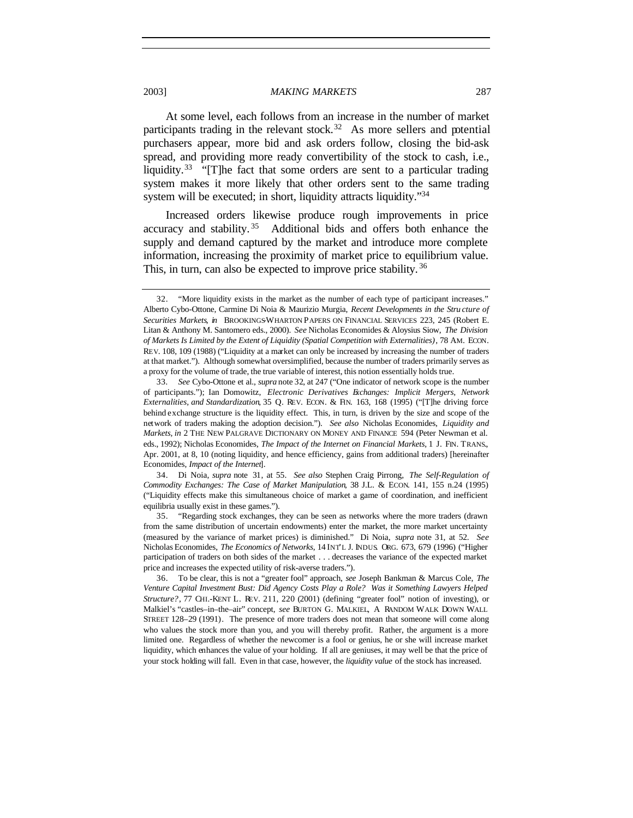At some level, each follows from an increase in the number of market participants trading in the relevant stock.<sup>32</sup> As more sellers and potential purchasers appear, more bid and ask orders follow, closing the bid-ask spread, and providing more ready convertibility of the stock to cash, i.e., liquidity.<sup>33</sup> "[T]he fact that some orders are sent to a particular trading system makes it more likely that other orders sent to the same trading system will be executed; in short, liquidity attracts liquidity."<sup>34</sup>

Increased orders likewise produce rough improvements in price accuracy and stability. <sup>35</sup> Additional bids and offers both enhance the supply and demand captured by the market and introduce more complete information, increasing the proximity of market price to equilibrium value. This, in turn, can also be expected to improve price stability.<sup>36</sup>

34. Di Noia, *supra* note 31, at 55. *See also* Stephen Craig Pirrong, *The Self-Regulation of Commodity Exchanges: The Case of Market Manipulation*, 38 J.L. & ECON. 141, 155 n.24 (1995) ("Liquidity effects make this simultaneous choice of market a game of coordination, and inefficient equilibria usually exist in these games.").

<sup>32.</sup> "More liquidity exists in the market as the number of each type of participant increases." Alberto Cybo-Ottone, Carmine Di Noia & Maurizio Murgia, *Recent Developments in the Stru cture of Securities Markets*, *in* BROOKINGS-WHARTON PAPERS ON FINANCIAL SERVICES 223, 245 (Robert E. Litan & Anthony M. Santomero eds., 2000). *See* Nicholas Economides & Aloysius Siow, *The Division of Markets Is Limited by the Extent of Liquidity (Spatial Competition with Externalities)*, 78 AM. ECON. REV. 108, 109 (1988) ("Liquidity at a market can only be increased by increasing the number of traders at that market."). Although somewhat oversimplified, because the number of traders primarily serves as a proxy for the volume of trade, the true variable of interest, this notion essentially holds true.

<sup>33</sup>*. See* Cybo-Ottone et al., *supra* note 32, at 247 ("One indicator of network scope is the number of participants."); Ian Domowitz, *Electronic Derivatives Exchanges: Implicit Mergers, Network Externalities, and Standardization*, 35 Q. REV. ECON. & FIN. 163, 168 (1995) ("[T]he driving force behind exchange structure is the liquidity effect. This, in turn, is driven by the size and scope of the network of traders making the adoption decision."). *See also* Nicholas Economides, *Liquidity and Markets, in* 2 THE NEW PALGRAVE DICTIONARY ON MONEY AND FINANCE 594 (Peter Newman et al. eds., 1992); Nicholas Economides, *The Impact of the Internet on Financial Markets*, 1 J. FIN. TRANS., Apr. 2001, at 8, 10 (noting liquidity, and hence efficiency, gains from additional traders) [hereinafter Economides, *Impact of the Internet*].

<sup>35.</sup> "Regarding stock exchanges, they can be seen as networks where the more traders (drawn from the same distribution of uncertain endowments) enter the market, the more market uncertainty (measured by the variance of market prices) is diminished." Di Noia, *supra* note 31, at 52. *See* Nicholas Economides, *The Economics of Networks*, 14 INT'L J. INDUS. ORG. 673, 679 (1996) ("Higher participation of traders on both sides of the market . . . decreases the variance of the expected market price and increases the expected utility of risk-averse traders.").

<sup>36.</sup> To be clear, this is not a "greater fool" approach, *see* Joseph Bankman & Marcus Cole, *The Venture Capital Investment Bust: Did Agency Costs Play a Role? Was it Something Lawyers Helped Structure?*, 77 CHI.-KENT L. REV. 211, 220 (2001) (defining "greater fool" notion of investing), or Malkiel's "castles–in–the–air" concept, *see* BURTON G. MALKIEL, A RANDOM WALK DOWN WALL STREET 128–29 (1991). The presence of more traders does not mean that someone will come along who values the stock more than you, and you will thereby profit. Rather, the argument is a more limited one. Regardless of whether the newcomer is a fool or genius, he or she will increase market liquidity, which enhances the value of your holding. If all are geniuses, it may well be that the price of your stock holding will fall. Even in that case, however, the *liquidity value* of the stock has increased.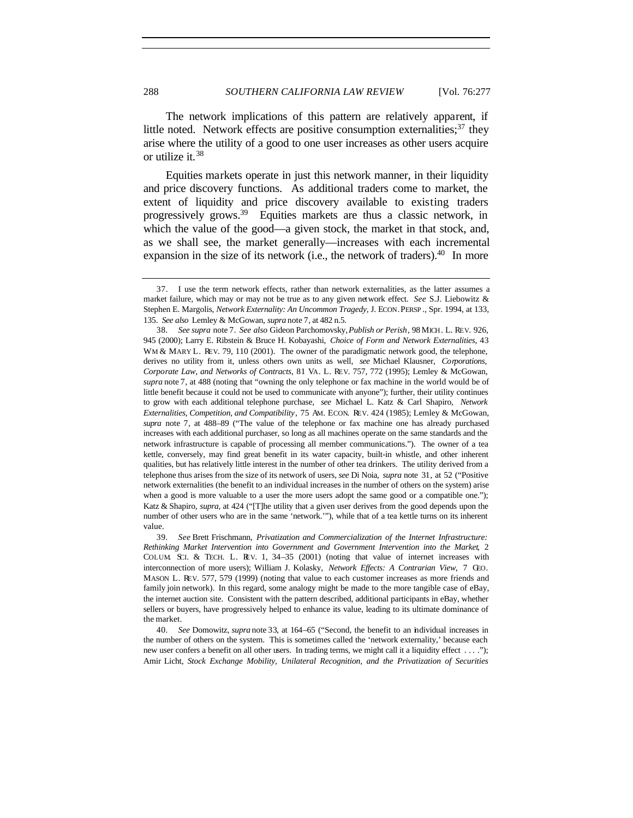The network implications of this pattern are relatively apparent, if little noted. Network effects are positive consumption externalities; $37$  they arise where the utility of a good to one user increases as other users acquire or utilize it.<sup>38</sup>

Equities markets operate in just this network manner, in their liquidity and price discovery functions. As additional traders come to market, the extent of liquidity and price discovery available to existing traders progressively grows.<sup>39</sup> Equities markets are thus a classic network, in which the value of the good—a given stock, the market in that stock, and, as we shall see, the market generally—increases with each incremental expansion in the size of its network (i.e., the network of traders). $40$  In more

<sup>37.</sup> I use the term network effects, rather than network externalities, as the latter assumes a market failure, which may or may not be true as to any given network effect. *See* S.J. Liebowitz & Stephen E. Margolis, *Network Externality: An Uncommon Tragedy*, J. ECON. PERSP ., Spr. 1994, at 133, 135. *See also* Lemley & McGowan, *supra* note 7*,* at 482 n.5.

<sup>38</sup>*. See supra* note 7. *See also* Gideon Parchomovsky, *Publish or Perish*, 98 MICH. L. REV. 926, 945 (2000); Larry E. Ribstein & Bruce H. Kobayashi, *Choice of Form and Network Externalities*, 43 WM & MARY L. REV. 79, 110 (2001). The owner of the paradigmatic network good, the telephone, derives no utility from it, unless others own units as well, *see* Michael Klausner, *Corporations, Corporate Law, and Networks of Contracts*, 81 VA. L. REV. 757, 772 (1995); Lemley & McGowan, *supra* note 7, at 488 (noting that "owning the only telephone or fax machine in the world would be of little benefit because it could not be used to communicate with anyone"); further, their utility continues to grow with each additional telephone purchase, *see* Michael L. Katz & Carl Shapiro, *Network Externalities, Competition, and Compatibility*, 75 AM. ECON. REV. 424 (1985); Lemley & McGowan, *supra* note 7, at 488–89 ("The value of the telephone or fax machine one has already purchased increases with each additional purchaser, so long as all machines operate on the same standards and the network infrastructure is capable of processing all member communications."). The owner of a tea kettle, conversely, may find great benefit in its water capacity, built-in whistle, and other inherent qualities, but has relatively little interest in the number of other tea drinkers. The utility derived from a telephone thus arises from the size of its network of users, *see* Di Noia, *supra* note 31, at 52 ("Positive network externalities (the benefit to an individual increases in the number of others on the system) arise when a good is more valuable to a user the more users adopt the same good or a compatible one."); Katz & Shapiro, *supra*, at 424 ("[T]he utility that a given user derives from the good depends upon the number of other users who are in the same 'network.'"), while that of a tea kettle turns on its inherent value.

<sup>39</sup>*. See* Brett Frischmann, *Privatization and Commercialization of the Internet Infrastructure: Rethinking Market Intervention into Government and Government Intervention into the Market*, 2 COLUM. SCI. & TECH. L. REV. 1, 34–35 (2001) (noting that value of internet increases with interconnection of more users); William J. Kolasky, *Network Effects: A Contrarian View*, 7 GEO. MASON L. REV. 577, 579 (1999) (noting that value to each customer increases as more friends and family join network). In this regard, some analogy might be made to the more tangible case of eBay, the internet auction site. Consistent with the pattern described, additional participants in eBay, whether sellers or buyers, have progressively helped to enhance its value, leading to its ultimate dominance of the market.

<sup>40</sup>*. See* Domowitz, *supra* note 33, at 164–65 ("Second, the benefit to an individual increases in the number of others on the system. This is sometimes called the 'network externality,' because each new user confers a benefit on all other users. In trading terms, we might call it a liquidity effect . . . ."); Amir Licht, *Stock Exchange Mobility, Unilateral Recognition, and the Privatization of Securities*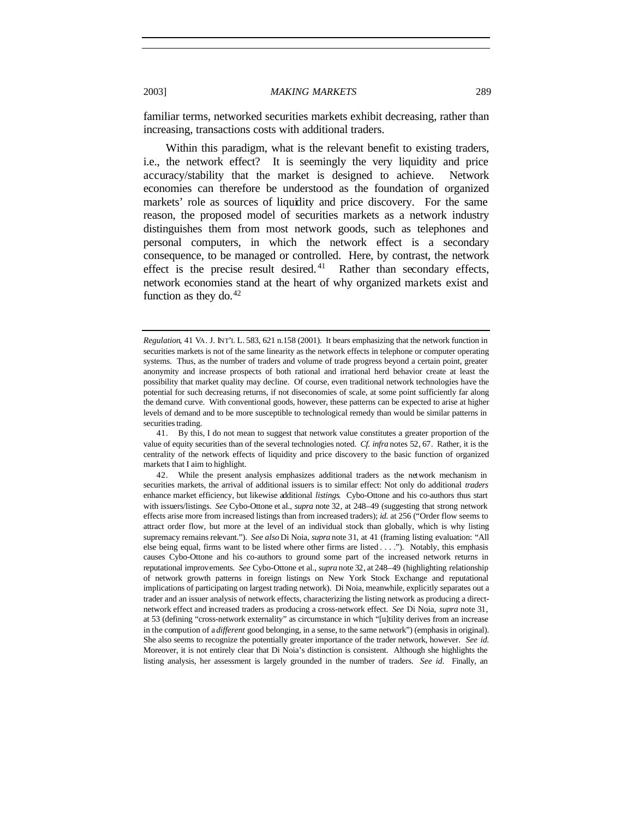familiar terms, networked securities markets exhibit decreasing, rather than increasing, transactions costs with additional traders.

Within this paradigm, what is the relevant benefit to existing traders, i.e., the network effect? It is seemingly the very liquidity and price accuracy/stability that the market is designed to achieve. Network economies can therefore be understood as the foundation of organized markets' role as sources of liquidity and price discovery. For the same reason, the proposed model of securities markets as a network industry distinguishes them from most network goods, such as telephones and personal computers, in which the network effect is a secondary consequence, to be managed or controlled. Here, by contrast, the network effect is the precise result desired.<sup>41</sup> Rather than secondary effects, network economies stand at the heart of why organized markets exist and function as they do. $42$ 

*Regulation*, 41 VA. J. INT'L L. 583, 621 n.158 (2001). It bears emphasizing that the network function in securities markets is not of the same linearity as the network effects in telephone or computer operating systems. Thus, as the number of traders and volume of trade progress beyond a certain point, greater anonymity and increase prospects of both rational and irrational herd behavior create at least the possibility that market quality may decline. Of course, even traditional network technologies have the potential for such decreasing returns, if not diseconomies of scale, at some point sufficiently far along the demand curve. With conventional goods, however, these patterns can be expected to arise at higher levels of demand and to be more susceptible to technological remedy than would be similar patterns in securities trading.

<sup>41.</sup> By this, I do not mean to suggest that network value constitutes a greater proportion of the value of equity securities than of the several technologies noted. *Cf. infra* notes 52, 67. Rather, it is the centrality of the network effects of liquidity and price discovery to the basic function of organized markets that I aim to highlight.

<sup>42.</sup> While the present analysis emphasizes additional traders as the network mechanism in securities markets, the arrival of additional issuers is to similar effect: Not only do additional *traders* enhance market efficiency, but likewise additional *listings*. Cybo-Ottone and his co-authors thus start with issuers/listings. *See* Cybo-Ottone et al., *supra* note 32, at 248–49 (suggesting that strong network effects arise more from increased listings than from increased traders); *id.* at 256 ("Order flow seems to attract order flow, but more at the level of an individual stock than globally, which is why listing supremacy remains relevant."). *See also* Di Noia, *supra* note 31, at 41 (framing listing evaluation: "All else being equal, firms want to be listed where other firms are listed . . . ."). Notably, this emphasis causes Cybo-Ottone and his co-authors to ground some part of the increased network returns in reputational improvements. *See* Cybo-Ottone et al., *supra* note 32, at 248–49 (highlighting relationship of network growth patterns in foreign listings on New York Stock Exchange and reputational implications of participating on largest trading network). Di Noia, meanwhile, explicitly separates out a trader and an issuer analysis of network effects, characterizing the listing network as producing a directnetwork effect and increased traders as producing a cross-network effect. *See* Di Noia, *supra* note 31, at 53 (defining "cross-network externality" as circumstance in which "[u]tility derives from an increase in the compution of a *different* good belonging, in a sense, to the same network") (emphasis in original). She also seems to recognize the potentially greater importance of the trader network, however. *See id.* Moreover, it is not entirely clear that Di Noia's distinction is consistent. Although she highlights the listing analysis, her assessment is largely grounded in the number of traders. *See id.* Finally, an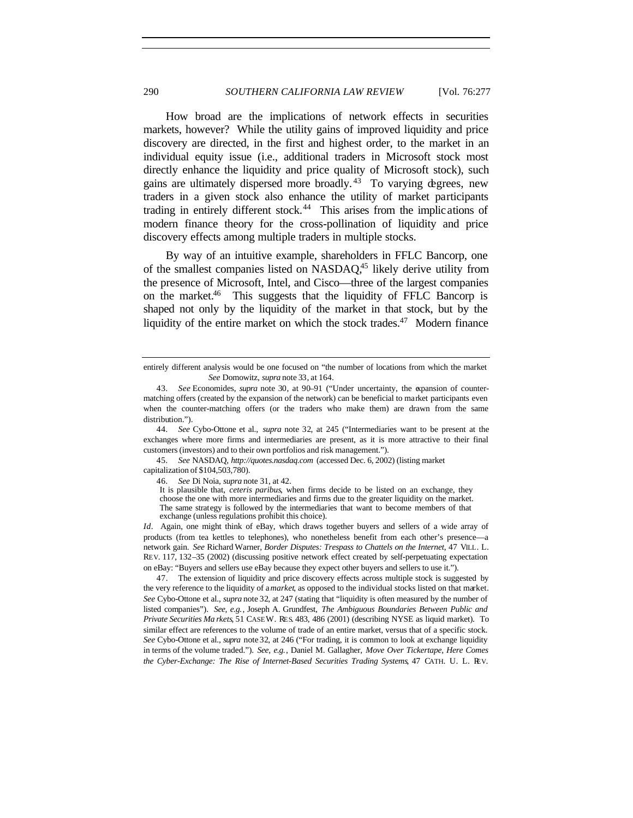How broad are the implications of network effects in securities markets, however? While the utility gains of improved liquidity and price discovery are directed, in the first and highest order, to the market in an individual equity issue (i.e., additional traders in Microsoft stock most directly enhance the liquidity and price quality of Microsoft stock), such gains are ultimately dispersed more broadly. <sup>43</sup> To varying degrees, new traders in a given stock also enhance the utility of market participants trading in entirely different stock.<sup>44</sup> This arises from the implications of modern finance theory for the cross-pollination of liquidity and price discovery effects among multiple traders in multiple stocks.

By way of an intuitive example, shareholders in FFLC Bancorp, one of the smallest companies listed on NASDAQ,<sup>45</sup> likely derive utility from the presence of Microsoft, Intel, and Cisco—three of the largest companies on the market. $46$  This suggests that the liquidity of FFLC Bancorp is shaped not only by the liquidity of the market in that stock, but by the liquidity of the entire market on which the stock trades.<sup>47</sup> Modern finance

44*. See* Cybo-Ottone et al., *supra* note 32, at 245 ("Intermediaries want to be present at the exchanges where more firms and intermediaries are present, as it is more attractive to their final customers (investors) and to their own portfolios and risk management.").

45*. See* NASDAQ, *http://quotes.nasdaq.com* (accessed Dec. 6, 2002) (listing market capitalization of \$104,503,780).

46*. See* Di Noia, *supra* note 31, at 42.

It is plausible that, *ceteris paribus*, when firms decide to be listed on an exchange, they choose the one with more intermediaries and firms due to the greater liquidity on the market. The same strategy is followed by the intermediaries that want to become members of that exchange (unless regulations prohibit this choice).

*Id*. Again, one might think of eBay, which draws together buyers and sellers of a wide array of products (from tea kettles to telephones), who nonetheless benefit from each other's presence—a network gain. *See* Richard Warner, *Border Disputes: Trespass to Chattels on the Internet*, 47 VILL. L. REV. 117, 132–35 (2002) (discussing positive network effect created by self-perpetuating expectation on eBay: "Buyers and sellers use eBay because they expect other buyers and sellers to use it.").

47. The extension of liquidity and price discovery effects across multiple stock is suggested by the very reference to the liquidity of a *market*, as opposed to the individual stocks listed on that market. *See* Cybo-Ottone et al., *supra* note 32, at 247 (stating that "liquidity is often measured by the number of listed companies"). *See, e.g.*, Joseph A. Grundfest, *The Ambiguous Boundaries Between Public and Private Securities Ma rkets*, 51 CASE W. RES. 483, 486 (2001) (describing NYSE as liquid market). To similar effect are references to the volume of trade of an entire market, versus that of a specific stock. *See* Cybo-Ottone et al., *supra* note 32, at 246 ("For trading, it is common to look at exchange liquidity in terms of the volume traded."). *See, e.g.*, Daniel M. Gallagher, *Move Over Tickertape, Here Comes the Cyber-Exchange: The Rise of Internet-Based Securities Trading Systems*, 47 CATH. U. L. REV.

entirely different analysis would be one focused on "the number of locations from which the market *See* Domowitz, *supra* note 33, at 164.

<sup>43</sup>*. See* Economides, *supra* note 30, at 90–91 ("Under uncertainty, the expansion of countermatching offers (created by the expansion of the network) can be beneficial to market participants even when the counter-matching offers (or the traders who make them) are drawn from the same distribution.").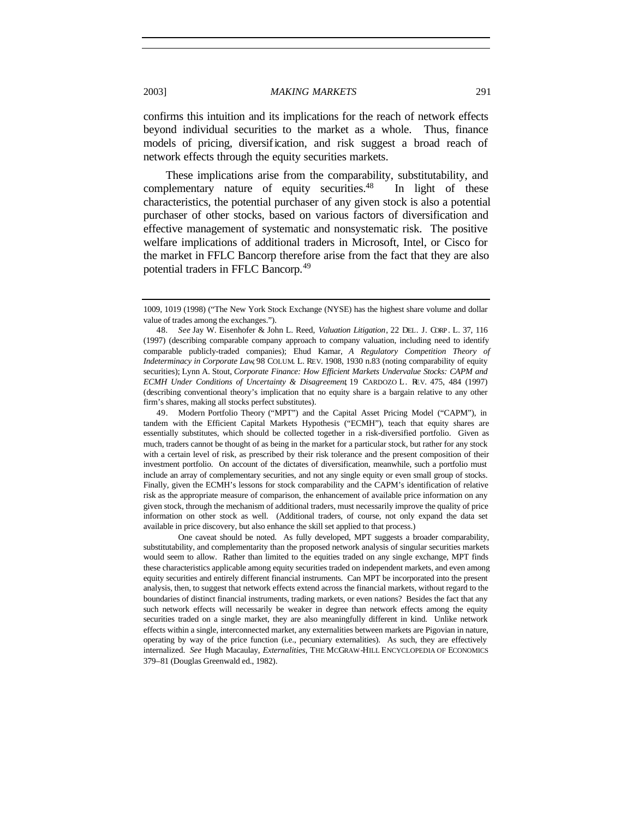confirms this intuition and its implications for the reach of network effects beyond individual securities to the market as a whole. Thus, finance models of pricing, diversification, and risk suggest a broad reach of network effects through the equity securities markets.

These implications arise from the comparability, substitutability, and complementary nature of equity securities.<sup>48</sup> In light of these characteristics, the potential purchaser of any given stock is also a potential purchaser of other stocks, based on various factors of diversification and effective management of systematic and nonsystematic risk. The positive welfare implications of additional traders in Microsoft, Intel, or Cisco for the market in FFLC Bancorp therefore arise from the fact that they are also potential traders in FFLC Bancorp.<sup>49</sup>

49. Modern Portfolio Theory ("MPT") and the Capital Asset Pricing Model ("CAPM"), in tandem with the Efficient Capital Markets Hypothesis ("ECMH"), teach that equity shares are essentially substitutes, which should be collected together in a risk-diversified portfolio. Given as much, traders cannot be thought of as being in the market for a particular stock, but rather for any stock with a certain level of risk, as prescribed by their risk tolerance and the present composition of their investment portfolio. On account of the dictates of diversification, meanwhile, such a portfolio must include an array of complementary securities, and not any single equity or even small group of stocks. Finally, given the ECMH's lessons for stock comparability and the CAPM's identification of relative risk as the appropriate measure of comparison, the enhancement of available price information on any given stock, through the mechanism of additional traders, must necessarily improve the quality of price information on other stock as well. (Additional traders, of course, not only expand the data set available in price discovery, but also enhance the skill set applied to that process.)

One caveat should be noted. As fully developed, MPT suggests a broader comparability, substitutability, and complementarity than the proposed network analysis of singular securities markets would seem to allow. Rather than limited to the equities traded on any single exchange, MPT finds these characteristics applicable among equity securities traded on independent markets, and even among equity securities and entirely different financial instruments. Can MPT be incorporated into the present analysis, then, to suggest that network effects extend across the financial markets, without regard to the boundaries of distinct financial instruments, trading markets, or even nations? Besides the fact that any such network effects will necessarily be weaker in degree than network effects among the equity securities traded on a single market, they are also meaningfully different in kind. Unlike network effects within a single, interconnected market, any externalities between markets are Pigovian in nature, operating by way of the price function (i.e., pecuniary externalities). As such, they are effectively internalized. *See* Hugh Macaulay, *Externalities*, THE MCGRAW-HILL ENCYCLOPEDIA OF ECONOMICS 379–81 (Douglas Greenwald ed., 1982).

<sup>1009, 1019 (1998) (&</sup>quot;The New York Stock Exchange (NYSE) has the highest share volume and dollar value of trades among the exchanges.").

<sup>48</sup>*. See* Jay W. Eisenhofer & John L. Reed, *Valuation Litigation*, 22 DEL. J. CORP. L. 37, 116 (1997) (describing comparable company approach to company valuation, including need to identify comparable publicly-traded companies); Ehud Kamar, *A Regulatory Competition Theory of Indeterminacy in Corporate Law*, 98 COLUM. L. REV. 1908, 1930 n.83 (noting comparability of equity securities); Lynn A. Stout, *Corporate Finance: How Efficient Markets Undervalue Stocks: CAPM and ECMH Under Conditions of Uncertainty & Disagreement*, 19 CARDOZO L. REV. 475, 484 (1997) (describing conventional theory's implication that no equity share is a bargain relative to any other firm's shares, making all stocks perfect substitutes).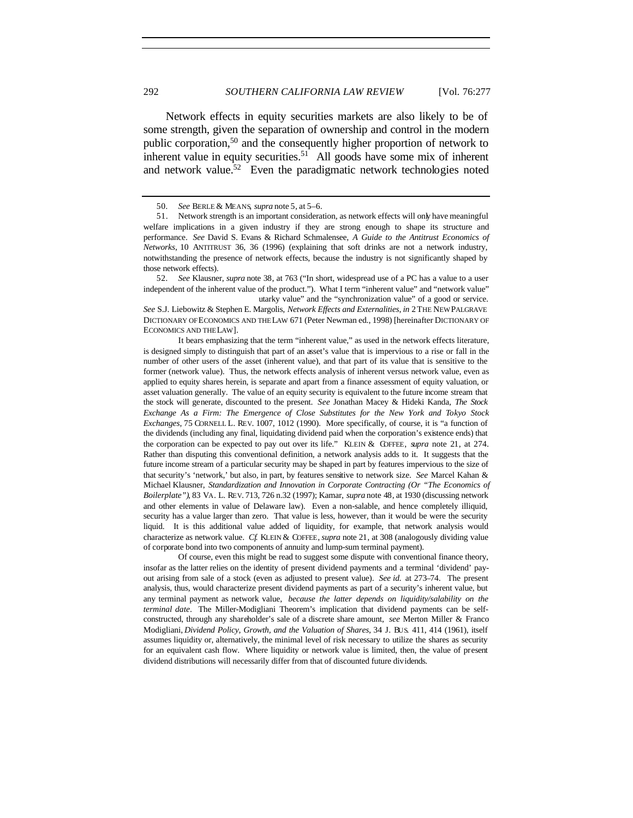Network effects in equity securities markets are also likely to be of some strength, given the separation of ownership and control in the modern public corporation,<sup>50</sup> and the consequently higher proportion of network to inherent value in equity securities.<sup>51</sup> All goods have some mix of inherent and network value.<sup>52</sup> Even the paradigmatic network technologies noted

52*. See* Klausner, *supra* note 38, at 763 ("In short, widespread use of a PC has a value to a user independent of the inherent value of the product."). What I term "inherent value" and "network value"

utarky value" and the "synchronization value" of a good or service. *See* S.J. Liebowitz & Stephen E. Margolis, *Network Effects and Externalities*, *in* 2 THE NEW PALGRAVE DICTIONARY OF ECONOMICS AND THE LAW 671 (Peter Newman ed., 1998) [hereinafter DICTIONARY OF ECONOMICS AND THE LAW].

It bears emphasizing that the term "inherent value," as used in the network effects literature, is designed simply to distinguish that part of an asset's value that is impervious to a rise or fall in the number of other users of the asset (inherent value), and that part of its value that is sensitive to the former (network value). Thus, the network effects analysis of inherent versus network value, even as applied to equity shares herein, is separate and apart from a finance assessment of equity valuation, or asset valuation generally. The value of an equity security is equivalent to the future income stream that the stock will generate, discounted to the present. *See* Jonathan Macey & Hideki Kanda, *The Stock Exchange As a Firm: The Emergence of Close Substitutes for the New York and Tokyo Stock Exchanges*, 75 CORNELL L. REV. 1007, 1012 (1990). More specifically, of course, it is "a function of the dividends (including any final, liquidating dividend paid when the corporation's existence ends) that the corporation can be expected to pay out over its life." KLEIN & COFFEE, *supra* note 21, at 274. Rather than disputing this conventional definition, a network analysis adds to it. It suggests that the future income stream of a particular security may be shaped in part by features impervious to the size of that security's 'network,' but also, in part, by features sensitive to network size. *See* Marcel Kahan & Michael Klausner, *Standardization and Innovation in Corporate Contracting (Or "The Economics of Boilerplate")*, 83 VA. L. REV. 713, 726 n.32 (1997); Kamar, *supra* note 48, at 1930 (discussing network and other elements in value of Delaware law). Even a non-salable, and hence completely illiquid, security has a value larger than zero. That value is less, however, than it would be were the security liquid. It is this additional value added of liquidity, for example, that network analysis would characterize as network value. *Cf.* KLEIN & COFFEE, *supra* note 21, at 308 (analogously dividing value of corporate bond into two components of annuity and lump-sum terminal payment).

Of course, even this might be read to suggest some dispute with conventional finance theory, insofar as the latter relies on the identity of present dividend payments and a terminal 'dividend' payout arising from sale of a stock (even as adjusted to present value). *See id.* at 273–74. The present analysis, thus, would characterize present dividend payments as part of a security's inherent value, but any terminal payment as network value, *because the latter depends on liquidity/salability on the terminal date*.The Miller-Modigliani Theorem's implication that dividend payments can be selfconstructed, through any shareholder's sale of a discrete share amount, *see* Merton Miller & Franco Modigliani, *Dividend Policy, Growth, and the Valuation of Shares*, 34 J. BUS. 411, 414 (1961), itself assumes liquidity or, alternatively, the minimal level of risk necessary to utilize the shares as security for an equivalent cash flow. Where liquidity or network value is limited, then, the value of present dividend distributions will necessarily differ from that of discounted future dividends.

<sup>50</sup>*. See* BERLE & MEANS, *supra* note 5, at 5–6.

<sup>51.</sup> Network strength is an important consideration, as network effects will only have meaningful welfare implications in a given industry if they are strong enough to shape its structure and performance. *See* David S. Evans & Richard Schmalensee, *A Guide to the Antitrust Economics of Networks*, 10 ANTITRUST 36, 36 (1996) (explaining that soft drinks are not a network industry, notwithstanding the presence of network effects, because the industry is not significantly shaped by those network effects).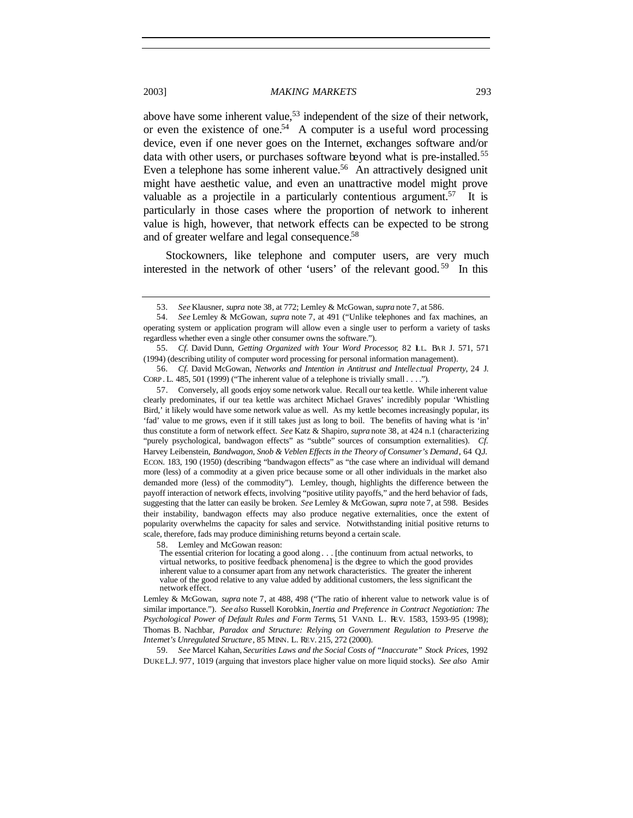above have some inherent value,<sup>53</sup> independent of the size of their network, or even the existence of one.<sup>54</sup> A computer is a useful word processing device, even if one never goes on the Internet, exchanges software and/or data with other users, or purchases software beyond what is pre-installed.<sup>55</sup> Even a telephone has some inherent value.<sup>56</sup> An attractively designed unit might have aesthetic value, and even an unattractive model might prove valuable as a projectile in a particularly contentious argument.<sup>57</sup> It is particularly in those cases where the proportion of network to inherent value is high, however, that network effects can be expected to be strong and of greater welfare and legal consequence.<sup>58</sup>

Stockowners, like telephone and computer users, are very much interested in the network of other 'users' of the relevant good. <sup>59</sup> In this

58. Lemley and McGowan reason:

59*. See* Marcel Kahan, *Securities Laws and the Social Costs of "Inaccurate" Stock Prices*, 1992 DUKE L.J. 977, 1019 (arguing that investors place higher value on more liquid stocks). *See also* Amir

<sup>53</sup>*. See* Klausner, *supra* note 38, at 772; Lemley & McGowan, *supra* note 7, at 586.

<sup>54</sup>*. See* Lemley & McGowan, *supra* note 7, at 491 ("Unlike telephones and fax machines, an operating system or application program will allow even a single user to perform a variety of tasks regardless whether even a single other consumer owns the software.").

<sup>55</sup>*. Cf.* David Dunn, *Getting Organized with Your Word Processor*, 82 ILL. BAR J. 571, 571 (1994) (describing utility of computer word processing for personal information management).

<sup>56</sup>*. Cf.* David McGowan, *Networks and Intention in Antitrust and Intellectual Property*, 24 J. CORP . L. 485, 501 (1999) ("The inherent value of a telephone is trivially small . . . .").

<sup>57.</sup> Conversely, all goods enjoy some network value. Recall our tea kettle. While inherent value clearly predominates, if our tea kettle was architect Michael Graves' incredibly popular 'Whistling Bird,' it likely would have some network value as well. As my kettle becomes increasingly popular, its 'fad' value to me grows, even if it still takes just as long to boil. The benefits of having what is 'in' thus constitute a form of network effect. *See* Katz & Shapiro, *supra* note 38, at 424 n.1 (characterizing "purely psychological, bandwagon effects" as "subtle" sources of consumption externalities). *Cf.* Harvey Leibenstein, *Bandwagon, Snob & Veblen Effects in the Theory of Consumer's Demand*, 64 Q.J. ECON. 183, 190 (1950) (describing "bandwagon effects" as "the case where an individual will demand more (less) of a commodity at a given price because some or all other individuals in the market also demanded more (less) of the commodity"). Lemley, though, highlights the difference between the payoff interaction of network effects, involving "positive utility payoffs," and the herd behavior of fads, suggesting that the latter can easily be broken. *See* Lemley & McGowan, *supra* note 7, at 598. Besides their instability, bandwagon effects may also produce negative externalities, once the extent of popularity overwhelms the capacity for sales and service. Notwithstanding initial positive returns to scale, therefore, fads may produce diminishing returns beyond a certain scale.

The essential criterion for locating a good along . . . [the continuum from actual networks, to virtual networks, to positive feedback phenomena] is the degree to which the good provides inherent value to a consumer apart from any network characteristics. The greater the inherent value of the good relative to any value added by additional customers, the less significant the network effect.

Lemley & McGowan, *supra* note 7, at 488, 498 ("The ratio of inherent value to network value is of similar importance."). *See also* Russell Korobkin, *Inertia and Preference in Contract Negotiation: The Psychological Power of Default Rules and Form Terms*, 51 VAND. L. REV. 1583, 1593–95 (1998); Thomas B. Nachbar, *Paradox and Structure: Relying on Government Regulation to Preserve the Internet's Unregulated Structure*, 85 MINN. L. REV. 215, 272 (2000).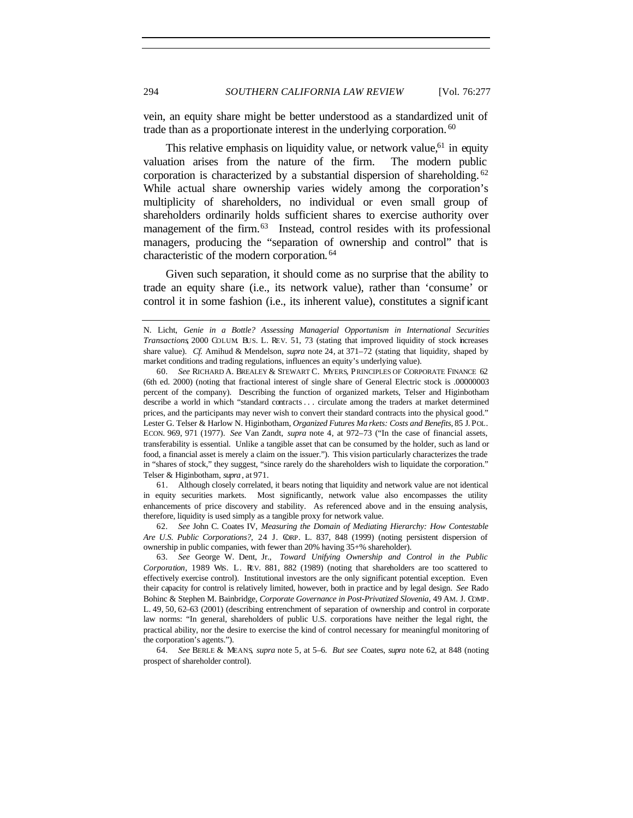vein, an equity share might be better understood as a standardized unit of trade than as a proportionate interest in the underlying corporation. <sup>60</sup>

This relative emphasis on liquidity value, or network value,<sup>61</sup> in equity valuation arises from the nature of the firm. The modern public corporation is characterized by a substantial dispersion of shareholding. <sup>62</sup> While actual share ownership varies widely among the corporation's multiplicity of shareholders, no individual or even small group of shareholders ordinarily holds sufficient shares to exercise authority over management of the firm.<sup>63</sup> Instead, control resides with its professional managers, producing the "separation of ownership and control" that is characteristic of the modern corporation. <sup>64</sup>

Given such separation, it should come as no surprise that the ability to trade an equity share (i.e., its network value), rather than 'consume' or control it in some fashion (i.e., its inherent value), constitutes a significant

61. Although closely correlated, it bears noting that liquidity and network value are not identical in equity securities markets. Most significantly, network value also encompasses the utility enhancements of price discovery and stability. As referenced above and in the ensuing analysis, therefore, liquidity is used simply as a tangible proxy for network value.

62*. See* John C. Coates IV, *Measuring the Domain of Mediating Hierarchy: How Contestable Are U.S. Public Corporations?*, 24 J. CORP. L. 837, 848 (1999) (noting persistent dispersion of ownership in public companies, with fewer than 20% having 35+% shareholder).

63*. See* George W. Dent, Jr., *Toward Unifying Ownership and Control in the Public Corporation*, 1989 WIS. L. REV. 881, 882 (1989) (noting that shareholders are too scattered to effectively exercise control). Institutional investors are the only significant potential exception. Even their capacity for control is relatively limited, however, both in practice and by legal design. *See* Rado Bohinc & Stephen M. Bainbridge, *Corporate Governance in Post-Privatized Slovenia*, 49 AM. J. COMP. L. 49, 50, 62–63 (2001) (describing entrenchment of separation of ownership and control in corporate law norms: "In general, shareholders of public U.S. corporations have neither the legal right, the practical ability, nor the desire to exercise the kind of control necessary for meaningful monitoring of the corporation's agents.").

64*. See* BERLE & MEANS, *supra* note 5, at 5–6. *But see* Coates, *supra* note 62, at 848 (noting prospect of shareholder control).

N. Licht, *Genie in a Bottle? Assessing Managerial Opportunism in International Securities Transactions*, 2000 COLUM. BUS. L. REV. 51, 73 (stating that improved liquidity of stock increases share value). *Cf.* Amihud & Mendelson, *supra* note 24, at 371–72 (stating that liquidity, shaped by market conditions and trading regulations, influences an equity's underlying value).

<sup>60</sup>*. See* RICHARD A. BREALEY & STEWART C. MYERS, PRINCIPLES OF CORPORATE FINANCE 62 (6th ed. 2000) (noting that fractional interest of single share of General Electric stock is .00000003 percent of the company). Describing the function of organized markets, Telser and Higinbotham describe a world in which "standard contracts . . . circulate among the traders at market determined prices, and the participants may never wish to convert their standard contracts into the physical good." Lester G. Telser & Harlow N. Higinbotham, *Organized Futures Ma rkets: Costs and Benefits*, 85 J. POL. ECON. 969, 971 (1977). *See* Van Zandt, *supra* note 4, at 972–73 ("In the case of financial assets, transferability is essential. Unlike a tangible asset that can be consumed by the holder, such as land or food, a financial asset is merely a claim on the issuer."). This vision particularly characterizes the trade in "shares of stock," they suggest, "since rarely do the shareholders wish to liquidate the corporation." Telser & Higinbotham, *supra* , at 971.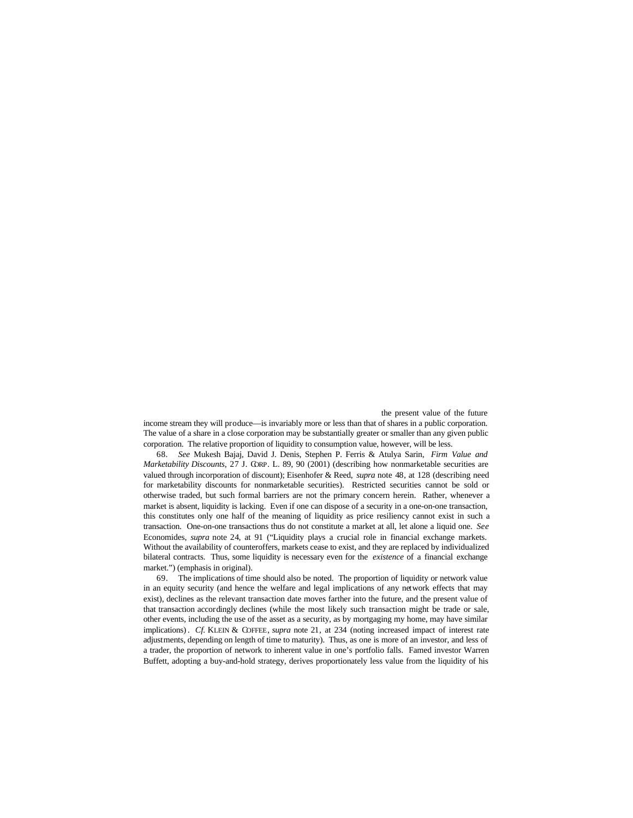the present value of the future

income stream they will produce—is invariably more or less than that of shares in a public corporation. The value of a share in a close corporation may be substantially greater or smaller than any given public corporation. The relative proportion of liquidity to consumption value, however, will be less.

68*. See* Mukesh Bajaj, David J. Denis, Stephen P. Ferris & Atulya Sarin, *Firm Value and Marketability Discounts*, 27 J. CORP. L. 89, 90 (2001) (describing how nonmarketable securities are valued through incorporation of discount); Eisenhofer & Reed, *supra* note 48, at 128 (describing need for marketability discounts for nonmarketable securities). Restricted securities cannot be sold or otherwise traded, but such formal barriers are not the primary concern herein. Rather, whenever a market is absent, liquidity is lacking. Even if one can dispose of a security in a one-on-one transaction, this constitutes only one half of the meaning of liquidity as price resiliency cannot exist in such a transaction. One-on-one transactions thus do not constitute a market at all, let alone a liquid one. *See* Economides, *supra* note 24, at 91 ("Liquidity plays a crucial role in financial exchange markets. Without the availability of counteroffers, markets cease to exist, and they are replaced by individualized bilateral contracts. Thus, some liquidity is necessary even for the *existence* of a financial exchange market.") (emphasis in original).

69. The implications of time should also be noted. The proportion of liquidity or network value in an equity security (and hence the welfare and legal implications of any network effects that may exist), declines as the relevant transaction date moves farther into the future, and the present value of that transaction accordingly declines (while the most likely such transaction might be trade or sale, other events, including the use of the asset as a security, as by mortgaging my home, may have similar implications). *Cf.* KLEIN & COFFEE, *supra* note 21, at 234 (noting increased impact of interest rate adjustments, depending on length of time to maturity). Thus, as one is more of an investor, and less of a trader, the proportion of network to inherent value in one's portfolio falls. Famed investor Warren Buffett, adopting a buy-and-hold strategy, derives proportionately less value from the liquidity of his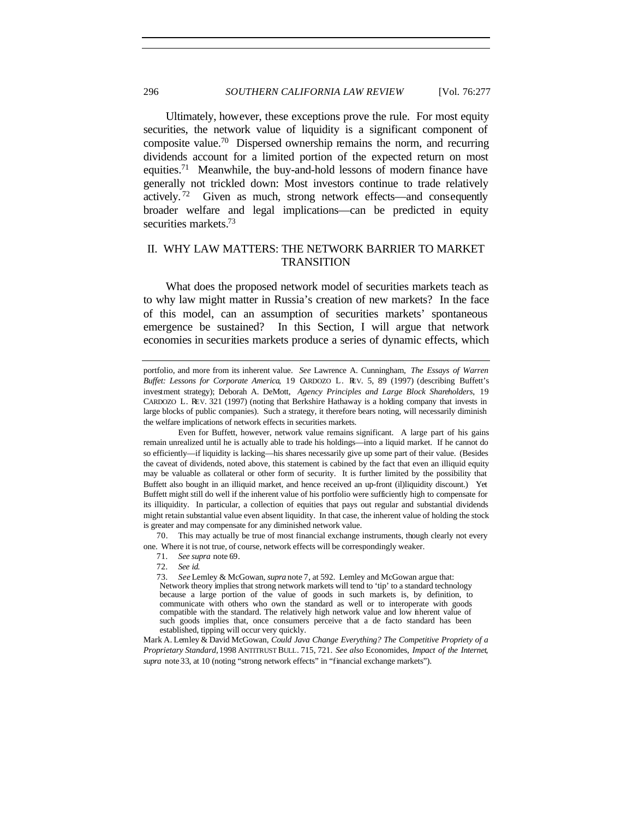Ultimately, however, these exceptions prove the rule. For most equity securities, the network value of liquidity is a significant component of composite value.<sup>70</sup> Dispersed ownership remains the norm, and recurring dividends account for a limited portion of the expected return on most equities.<sup>71</sup> Meanwhile, the buy-and-hold lessons of modern finance have generally not trickled down: Most investors continue to trade relatively actively. <sup>72</sup> Given as much, strong network effects—and consequently broader welfare and legal implications—can be predicted in equity securities markets.<sup>73</sup>

# II. WHY LAW MATTERS: THE NETWORK BARRIER TO MARKET TRANSITION

What does the proposed network model of securities markets teach as to why law might matter in Russia's creation of new markets? In the face of this model, can an assumption of securities markets' spontaneous emergence be sustained? In this Section, I will argue that network economies in securities markets produce a series of dynamic effects, which

70. This may actually be true of most financial exchange instruments, though clearly not every one. Where it is not true, of course, network effects will be correspondingly weaker.

Mark A. Lemley & David McGowan, *Could Java Change Everything? The Competitive Propriety of a Proprietary Standard,* 1998 ANTITRUST BULL. 715, 721. *See also* Economides, *Impact of the Internet*, *supra* note 33, at 10 (noting "strong network effects" in "financial exchange markets").

portfolio, and more from its inherent value. *See* Lawrence A. Cunningham, *The Essays of Warren Buffet: Lessons for Corporate America*, 19 CARDOZO L. REV. 5, 89 (1997) (describing Buffett's investment strategy); Deborah A. DeMott, *Agency Principles and Large Block Shareholders*, 19 CARDOZO L. REV. 321 (1997) (noting that Berkshire Hathaway is a holding company that invests in large blocks of public companies). Such a strategy, it therefore bears noting, will necessarily diminish the welfare implications of network effects in securities markets.

Even for Buffett, however, network value remains significant. A large part of his gains remain unrealized until he is actually able to trade his holdings—into a liquid market. If he cannot do so efficiently—if liquidity is lacking—his shares necessarily give up some part of their value. (Besides the caveat of dividends, noted above, this statement is cabined by the fact that even an illiquid equity may be valuable as collateral or other form of security. It is further limited by the possibility that Buffett also bought in an illiquid market, and hence received an up-front (il)liquidity discount.) Yet Buffett might still do well if the inherent value of his portfolio were sufficiently high to compensate for its illiquidity. In particular, a collection of equities that pays out regular and substantial dividends might retain substantial value even absent liquidity. In that case, the inherent value of holding the stock is greater and may compensate for any diminished network value.

<sup>71</sup>*. See supra* note 69.

<sup>72</sup>*. See id.*

<sup>73</sup>*. See* Lemley & McGowan, *supra* note 7, at 592. Lemley and McGowan argue that: Network theory implies that strong network markets will tend to 'tip' to a standard technology because a large portion of the value of goods in such markets is, by definition, to communicate with others who own the standard as well or to interoperate with goods compatible with the standard. The relatively high network value and low inherent value of such goods implies that, once consumers perceive that a de facto standard has been established, tipping will occur very quickly.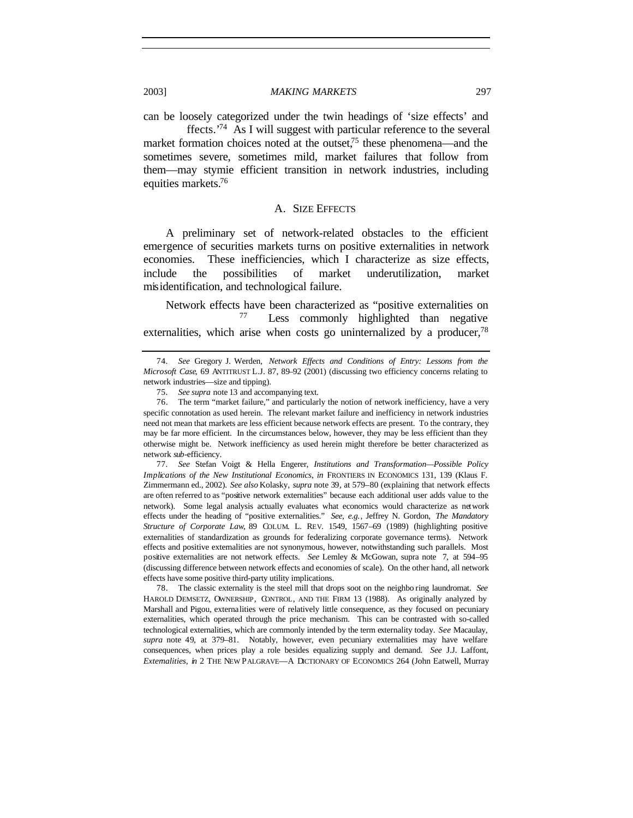can be loosely categorized under the twin headings of 'size effects' and ffects.'<sup>74</sup> As I will suggest with particular reference to the several

market formation choices noted at the outset, $75$  these phenomena—and the sometimes severe, sometimes mild, market failures that follow from them—may stymie efficient transition in network industries, including equities markets.<sup>76</sup>

#### A. SIZE EFFECTS

A preliminary set of network-related obstacles to the efficient emergence of securities markets turns on positive externalities in network economies. These inefficiencies, which I characterize as size effects, include the possibilities of market underutilization, market misidentification, and technological failure.

Network effects have been characterized as "positive externalities on Less commonly highlighted than negative externalities, which arise when costs go uninternalized by a producer,  $^{78}$ 

77*. See* Stefan Voigt & Hella Engerer, *Institutions and Transformation—Possible Policy Implications of the New Institutional Economics*, *in* FRONTIERS IN ECONOMICS 131, 139 (Klaus F. Zimmermann ed., 2002). *See also* Kolasky, *supra* note 39, at 579–80 (explaining that network effects are often referred to as "positive network externalities" because each additional user adds value to the network). Some legal analysis actually evaluates what economics would characterize as network effects under the heading of "positive externalities." *See, e.g.*, Jeffrey N. Gordon, *The Mandatory Structure of Corporate Law*, 89 COLUM. L. REV. 1549, 1567–69 (1989) (highlighting positive externalities of standardization as grounds for federalizing corporate governance terms). Network effects and positive externalities are not synonymous, however, notwithstanding such parallels. Most positive externalities are not network effects. *See* Lemley & McGowan, supra note 7, at 594–95 (discussing difference between network effects and economies of scale). On the other hand, all network effects have some positive third-party utility implications.

78. The classic externality is the steel mill that drops soot on the neighbo ring laundromat. *See* HAROLD DEMSETZ, OWNERSHIP, CONTROL, AND THE FIRM 13 (1988). As originally analyzed by Marshall and Pigou, externalities were of relatively little consequence, as they focused on pecuniary externalities, which operated through the price mechanism. This can be contrasted with so-called technological externalities, which are commonly intended by the term externality today. *See* Macaulay, *supra* note 49, at 379–81. Notably, however, even pecuniary externalities may have welfare consequences, when prices play a role besides equalizing supply and demand. *See* J.J. Laffont, *Externalities*, *in* 2 THE NEW PALGRAVE—A DICTIONARY OF ECONOMICS 264 (John Eatwell, Murray

<sup>74</sup>*. See* Gregory J. Werden, *Network Effects and Conditions of Entry: Lessons from the Microsoft Case*, 69 ANTITRUST L.J. 87, 89–92 (2001) (discussing two efficiency concerns relating to network industries—size and tipping).

<sup>75</sup>*. See supra* note 13 and accompanying text.

<sup>76.</sup> The term "market failure," and particularly the notion of network inefficiency, have a very specific connotation as used herein. The relevant market failure and inefficiency in network industries need not mean that markets are less efficient because network effects are present. To the contrary, they may be far more efficient. In the circumstances below, however, they may be less efficient than they otherwise might be. Network inefficiency as used herein might therefore be better characterized as network *sub*-efficiency.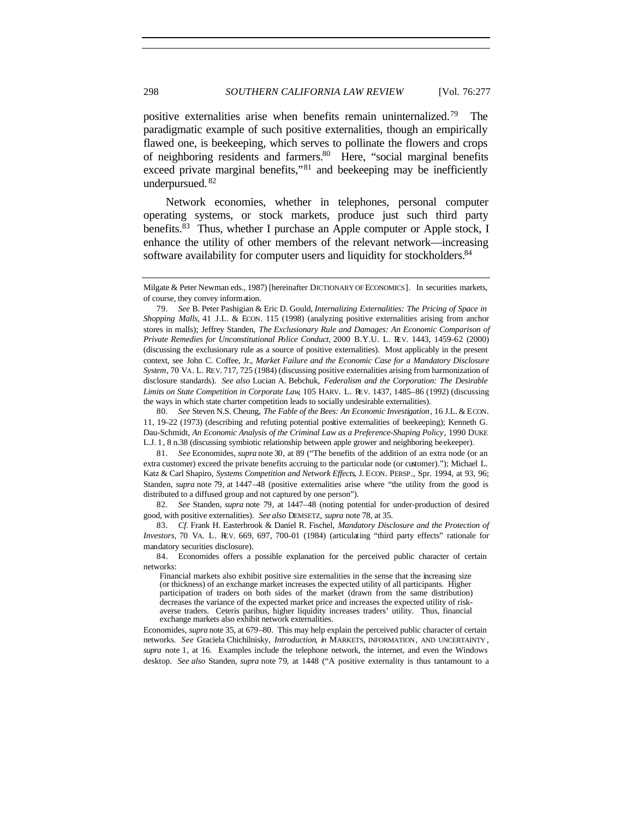positive externalities arise when benefits remain uninternalized.<sup>79</sup> The paradigmatic example of such positive externalities, though an empirically flawed one, is beekeeping, which serves to pollinate the flowers and crops of neighboring residents and farmers.<sup>80</sup> Here, "social marginal benefits exceed private marginal benefits,"<sup>81</sup> and beekeeping may be inefficiently underpursued. <sup>82</sup>

Network economies, whether in telephones, personal computer operating systems, or stock markets, produce just such third party benefits.<sup>83</sup> Thus, whether I purchase an Apple computer or Apple stock, I enhance the utility of other members of the relevant network—increasing software availability for computer users and liquidity for stockholders.<sup>84</sup>

80*. See* Steven N.S. Cheung, *The Fable of the Bees: An Economic Investigation*, 16 J.L. & ECON. 11, 19–22 (1973) (describing and refuting potential positive externalities of beekeeping); Kenneth G. Dau-Schmidt, *An Economic Analysis of the Criminal Law as a Preference-Shaping Policy*, 1990 DUKE L.J. 1, 8 n.38 (discussing symbiotic relationship between apple grower and neighboring beekeeper).

81*. See* Economides, *supra* note 30, at 89 ("The benefits of the addition of an extra node (or an extra customer) exceed the private benefits accruing to the particular node (or customer)."); Michael L. Katz & Carl Shapiro, *Systems Competition and Network Effects*, J. ECON. PERSP., Spr. 1994, at 93, 96; Standen, *supra* note 79, at 1447–48 (positive externalities arise where "the utility from the good is distributed to a diffused group and not captured by one person").

82*. See* Standen, *supra* note 79, at 1447–48 (noting potential for under-production of desired good, with positive externalities). *See also* DEMSETZ, *supra* note 78, at 35.

83*. Cf.* Frank H. Easterbrook & Daniel R. Fischel, *Mandatory Disclosure and the Protection of Investors*, 70 VA. L. REV. 669, 697, 700–01 (1984) (articulating "third party effects" rationale for mandatory securities disclosure).

84. Economides offers a possible explanation for the perceived public character of certain networks:

Financial markets also exhibit positive size externalities in the sense that the increasing size (or thickness) of an exchange market increases the expected utility of all participants. Higher participation of traders on both sides of the market (drawn from the same distribution) decreases the variance of the expected market price and increases the expected utility of riskaverse traders. Ceteris paribus, higher liquidity increases traders' utility. Thus, financial exchange markets also exhibit network externalities.

Economides, *supra* note 35, at 679–80. This may help explain the perceived public character of certain networks. *See* Graciela Chichilnisky, *Introduction*, *in* MARKETS, INFORMATION, AND UNCERTAINTY , *supra* note 1, at 16. Examples include the telephone network, the internet, and even the Windows desktop. *See also* Standen, *supra* note 79, at 1448 ("A positive externality is thus tantamount to a

Milgate & Peter Newman eds., 1987) [hereinafter DICTIONARY OF ECONOMICS]. In securities markets, of course, they convey information.

<sup>79</sup>*. See* B. Peter Pashigian & Eric D. Gould, *Internalizing Externalities: The Pricing of Space in Shopping Malls*, 41 J.L. & ECON. 115 (1998) (analyzing positive externalities arising from anchor stores in malls); Jeffrey Standen, *The Exclusionary Rule and Damages: An Economic Comparison of Private Remedies for Unconstitutional Police Conduct*, 2000 B.Y.U. L. REV. 1443, 1459–62 (2000) (discussing the exclusionary rule as a source of positive externalities). Most applicably in the present context, see John C. Coffee, Jr., *Market Failure and the Economic Case for a Mandatory Disclosure System*, 70 VA. L. REV. 717, 725 (1984) (discussing positive externalities arising from harmonization of disclosure standards). *See also* Lucian A. Bebchuk, *Federalism and the Corporation: The Desirable Limits on State Competition in Corporate Law*, 105 HARV. L. REV. 1437, 1485–86 (1992) (discussing the ways in which state charter competition leads to socially undesirable externalities).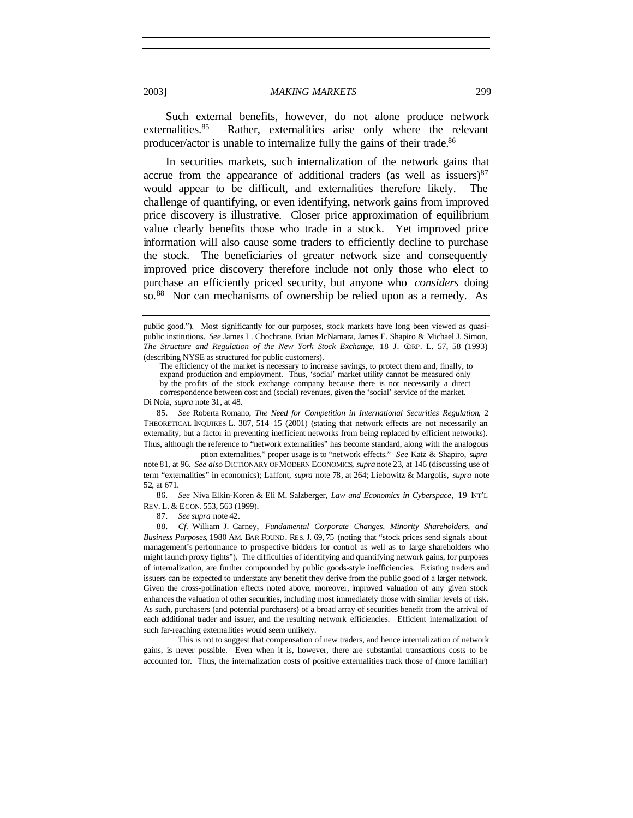Such external benefits, however, do not alone produce network externalities.<sup>85</sup> Rather, externalities arise only where the relevant producer/actor is unable to internalize fully the gains of their trade.<sup>86</sup>

In securities markets, such internalization of the network gains that accrue from the appearance of additional traders (as well as issuers) $87$ would appear to be difficult, and externalities therefore likely. The challenge of quantifying, or even identifying, network gains from improved price discovery is illustrative. Closer price approximation of equilibrium value clearly benefits those who trade in a stock. Yet improved price information will also cause some traders to efficiently decline to purchase the stock. The beneficiaries of greater network size and consequently improved price discovery therefore include not only those who elect to purchase an efficiently priced security, but anyone who *considers* doing so.<sup>88</sup> Nor can mechanisms of ownership be relied upon as a remedy. As

The efficiency of the market is necessary to increase savings, to protect them and, finally, to expand production and employment. Thus, 'social' market utility cannot be measured only

by the profits of the stock exchange company because there is not necessarily a direct correspondence between cost and (social) revenues, given the 'social' service of the market.

Di Noia, *supra* note 31, at 48.

85*. See* Roberta Romano, *The Need for Competition in International Securities Regulation*, 2 THEORETICAL INQUIRES L. 387, 514–15 (2001) (stating that network effects are not necessarily an externality, but a factor in preventing inefficient networks from being replaced by efficient networks). Thus, although the reference to "network externalities" has become standard, along with the analogous

ption externalities," proper usage is to "network effects." *See* Katz & Shapiro, *supra* note 81, at 96. *See also* DICTIONARY OF MODERN ECONOMICS, *supra* note 23, at 146 (discussing use of term "externalities" in economics); Laffont, *supra* note 78, at 264; Liebowitz & Margolis, *supra* note 52, at 671.

86*. See* Niva Elkin-Koren & Eli M. Salzberger, *Law and Economics in Cyberspace*, 19 INT'L REV. L. & ECON. 553, 563 (1999).

87*. See supra* note 42.

88*. Cf.* William J. Carney, *Fundamental Corporate Changes, Minority Shareholders, and Business Purposes*, 1980 AM. BAR FOUND. RES. J. 69, 75 (noting that "stock prices send signals about management's performance to prospective bidders for control as well as to large shareholders who might launch proxy fights"). The difficulties of identifying and quantifying network gains, for purposes of internalization, are further compounded by public goods-style inefficiencies. Existing traders and issuers can be expected to understate any benefit they derive from the public good of a larger network. Given the cross-pollination effects noted above, moreover, improved valuation of any given stock enhances the valuation of other securities, including most immediately those with similar levels of risk. As such, purchasers (and potential purchasers) of a broad array of securities benefit from the arrival of each additional trader and issuer, and the resulting network efficiencies. Efficient internalization of such far-reaching externalities would seem unlikely.

This is not to suggest that compensation of new traders, and hence internalization of network gains, is never possible. Even when it is, however, there are substantial transactions costs to be accounted for. Thus, the internalization costs of positive externalities track those of (more familiar)

public good."). Most significantly for our purposes, stock markets have long been viewed as quasipublic institutions. *See* James L. Chochrane, Brian McNamara, James E. Shapiro & Michael J. Simon, *The Structure and Regulation of the New York Stock Exchange*, 18 J. CORP. L. 57, 58 (1993) (describing NYSE as structured for public customers).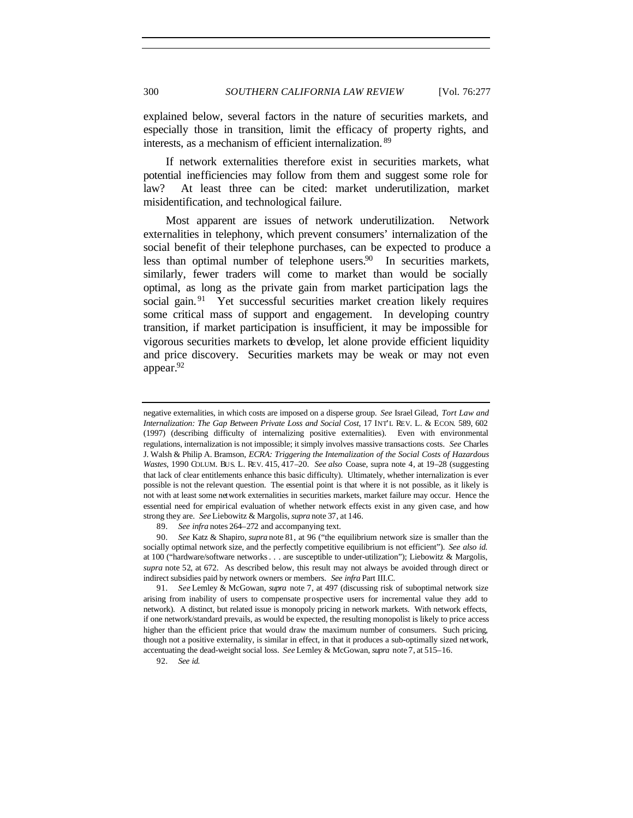explained below, several factors in the nature of securities markets, and especially those in transition, limit the efficacy of property rights, and interests, as a mechanism of efficient internalization. <sup>89</sup>

If network externalities therefore exist in securities markets, what potential inefficiencies may follow from them and suggest some role for law? At least three can be cited: market underutilization, market misidentification, and technological failure.

Most apparent are issues of network underutilization. Network externalities in telephony, which prevent consumers' internalization of the social benefit of their telephone purchases, can be expected to produce a less than optimal number of telephone users. $90$  In securities markets, similarly, fewer traders will come to market than would be socially optimal, as long as the private gain from market participation lags the social gain.<sup>91</sup> Yet successful securities market creation likely requires some critical mass of support and engagement. In developing country transition, if market participation is insufficient, it may be impossible for vigorous securities markets to develop, let alone provide efficient liquidity and price discovery. Securities markets may be weak or may not even appear.<sup>92</sup>

negative externalities, in which costs are imposed on a disperse group. *See* Israel Gilead, *Tort Law and Internalization: The Gap Between Private Loss and Social Cost*, 17 INT'L REV. L. & ECON. 589, 602 (1997) (describing difficulty of internalizing positive externalities). Even with environmental regulations, internalization is not impossible; it simply involves massive transactions costs. *See* Charles J. Walsh & Philip A. Bramson, *ECRA: Triggering the Internalization of the Social Costs of Hazardous Wastes*, 1990 COLUM. BUS. L. REV. 415, 417–20. *See also* Coase, supra note 4, at 19–28 (suggesting that lack of clear entitlements enhance this basic difficulty). Ultimately, whether internalization is ever possible is not the relevant question. The essential point is that where it is not possible, as it likely is not with at least some network externalities in securities markets, market failure may occur. Hence the essential need for empirical evaluation of whether network effects exist in any given case, and how strong they are. *See* Liebowitz & Margolis, *supra* note 37, at 146.

<sup>89</sup>*. See infra* notes 264–272 and accompanying text.

<sup>90</sup>*. See* Katz & Shapiro, *supra* note 81, at 96 ("the equilibrium network size is smaller than the socially optimal network size, and the perfectly competitive equilibrium is not efficient"). *See also id.* at 100 ("hardware/software networks . . . are susceptible to under-utilization"); Liebowitz & Margolis, *supra* note 52, at 672. As described below, this result may not always be avoided through direct or indirect subsidies paid by network owners or members. *See infra* Part III.C.

<sup>91</sup>*. See* Lemley & McGowan, *supra* note 7, at 497 (discussing risk of suboptimal network size arising from inability of users to compensate prospective users for incremental value they add to network). A distinct, but related issue is monopoly pricing in network markets. With network effects, if one network/standard prevails, as would be expected, the resulting monopolist is likely to price access higher than the efficient price that would draw the maximum number of consumers. Such pricing, though not a positive externality, is similar in effect, in that it produces a sub-optimally sized network, accentuating the dead-weight social loss. *See* Lemley & McGowan, *supra* note 7, at 515–16.

<sup>92</sup>*. See id.*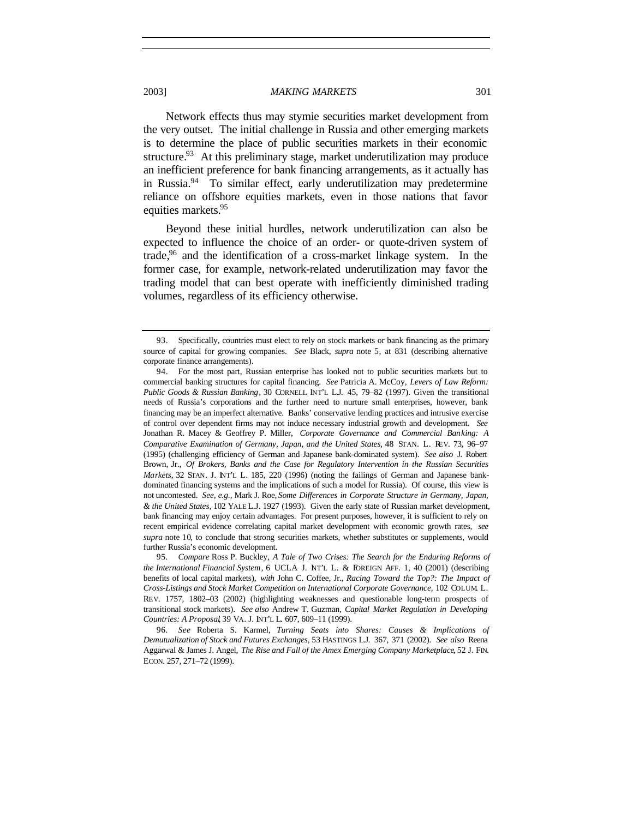Network effects thus may stymie securities market development from the very outset. The initial challenge in Russia and other emerging markets is to determine the place of public securities markets in their economic structure.<sup>93</sup> At this preliminary stage, market underutilization may produce an inefficient preference for bank financing arrangements, as it actually has in Russia.<sup>94</sup> To similar effect, early underutilization may predetermine reliance on offshore equities markets, even in those nations that favor equities markets.<sup>95</sup>

Beyond these initial hurdles, network underutilization can also be expected to influence the choice of an order- or quote-driven system of trade,<sup>96</sup> and the identification of a cross-market linkage system. In the former case, for example, network-related underutilization may favor the trading model that can best operate with inefficiently diminished trading volumes, regardless of its efficiency otherwise.

<sup>93.</sup> Specifically, countries must elect to rely on stock markets or bank financing as the primary source of capital for growing companies. *See* Black, *supra* note 5, at 831 (describing alternative corporate finance arrangements).

<sup>94.</sup> For the most part, Russian enterprise has looked not to public securities markets but to commercial banking structures for capital financing. *See* Patricia A. McCoy, *Levers of Law Reform: Public Goods & Russian Banking*, 30 CORNELL INT'L L.J. 45, 79–82 (1997). Given the transitional needs of Russia's corporations and the further need to nurture small enterprises, however, bank financing may be an imperfect alternative. Banks' conservative lending practices and intrusive exercise of control over dependent firms may not induce necessary industrial growth and development. *See* Jonathan R. Macey & Geoffrey P. Miller, *Corporate Governance and Commercial Banking: A Comparative Examination of Germany, Japan, and the United States*, 48 STAN. L. REV. 73, 96–97 (1995) (challenging efficiency of German and Japanese bank-dominated system). *See also* J. Robert Brown, Jr., *Of Brokers, Banks and the Case for Regulatory Intervention in the Russian Securities Markets*, 32 STAN. J. NT'L L. 185, 220 (1996) (noting the failings of German and Japanese bankdominated financing systems and the implications of such a model for Russia). Of course, this view is not uncontested. *See, e.g.*, Mark J. Roe, *Some Differences in Corporate Structure in Germany, Japan, & the United States*, 102 YALE L.J. 1927 (1993). Given the early state of Russian market development, bank financing may enjoy certain advantages. For present purposes, however, it is sufficient to rely on recent empirical evidence correlating capital market development with economic growth rates, *see supra* note 10, to conclude that strong securities markets, whether substitutes or supplements, would further Russia's economic development.

<sup>95</sup>*. Compare* Ross P. Buckley, *A Tale of Two Crises: The Search for the Enduring Reforms of the International Financial System*, 6 UCLA J. NT'L L. & FOREIGN AFF. 1, 40 (2001) (describing benefits of local capital markets), *with* John C. Coffee, Jr., *Racing Toward the Top?: The Impact of Cross-Listings and Stock Market Competition on International Corporate Governance*, 102 COLUM. L. REV. 1757, 1802–03 (2002) (highlighting weaknesses and questionable long-term prospects of transitional stock markets). *See also* Andrew T. Guzman, *Capital Market Regulation in Developing Countries: A Proposal*, 39 VA. J. INT'L L. 607, 609–11 (1999).

<sup>96</sup>*. See* Roberta S. Karmel, *Turning Seats into Shares: Causes & Implications of Demutualization of Stock and Futures Exchanges*, 53 HASTINGS L.J. 367, 371 (2002). *See also* Reena Aggarwal & James J. Angel, *The Rise and Fall of the Amex Emerging Company Marketplace*, 52 J. FIN. ECON. 257, 271–72 (1999).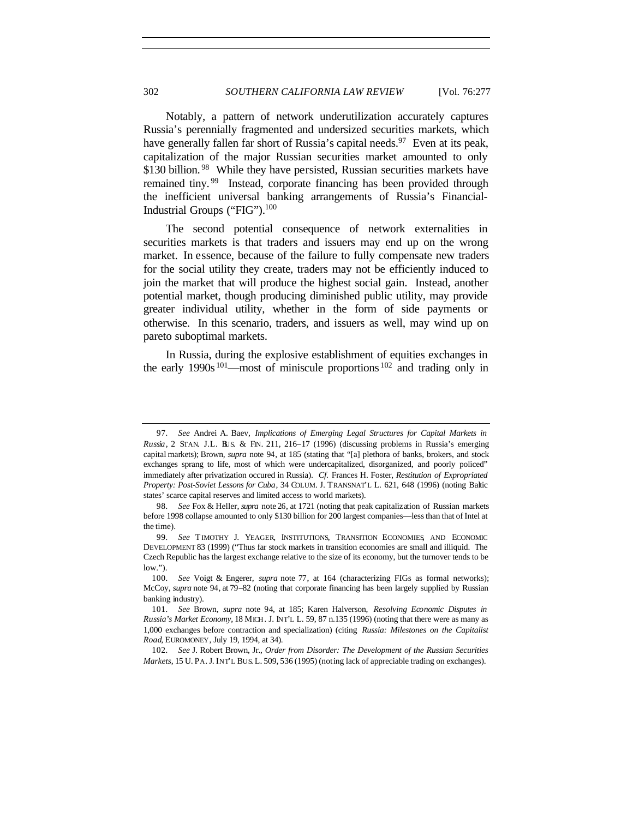Notably, a pattern of network underutilization accurately captures Russia's perennially fragmented and undersized securities markets, which have generally fallen far short of Russia's capital needs.<sup>97</sup> Even at its peak, capitalization of the major Russian securities market amounted to only \$130 billion.<sup>98</sup> While they have persisted, Russian securities markets have remained tiny.<sup>99</sup> Instead, corporate financing has been provided through the inefficient universal banking arrangements of Russia's Financial-Industrial Groups ("FIG").<sup>100</sup>

The second potential consequence of network externalities in securities markets is that traders and issuers may end up on the wrong market. In essence, because of the failure to fully compensate new traders for the social utility they create, traders may not be efficiently induced to join the market that will produce the highest social gain. Instead, another potential market, though producing diminished public utility, may provide greater individual utility, whether in the form of side payments or otherwise. In this scenario, traders, and issuers as well, may wind up on pareto suboptimal markets.

In Russia, during the explosive establishment of equities exchanges in the early 1990s  $101$ —most of miniscule proportions  $102$  and trading only in

<sup>97</sup>*. See* Andrei A. Baev, *Implications of Emerging Legal Structures for Capital Markets in Russia*, 2 STAN. J.L. BUS. & FIN. 211, 216–17 (1996) (discussing problems in Russia's emerging capital markets); Brown, *supra* note 94, at 185 (stating that "[a] plethora of banks, brokers, and stock exchanges sprang to life, most of which were undercapitalized, disorganized, and poorly policed" immediately after privatization occured in Russia). *Cf.* Frances H. Foster, *Restitution of Expropriated Property: Post-Soviet Lessons for Cuba*, 34 COLUM. J. TRANSNAT'L L. 621, 648 (1996) (noting Baltic states' scarce capital reserves and limited access to world markets).

<sup>98</sup>*. See* Fox & Heller, *supra* note 26, at 1721 (noting that peak capitalization of Russian markets before 1998 collapse amounted to only \$130 billion for 200 largest companies—less than that of Intel at the time).

<sup>99</sup>*. See* TIMOTHY J. YEAGER, INSTITUTIONS, TRANSITION ECONOMIES, AND ECONOMIC DEVELOPMENT 83 (1999) ("Thus far stock markets in transition economies are small and illiquid. The Czech Republic has the largest exchange relative to the size of its economy, but the turnover tends to be low.").

<sup>100</sup>*. See* Voigt & Engerer, *supra* note 77, at 164 (characterizing FIGs as formal networks); McCoy, *supra* note 94, at 79–82 (noting that corporate financing has been largely supplied by Russian banking industry).

<sup>101</sup>*. See* Brown, *supra* note 94, at 185; Karen Halverson, *Resolving Economic Disputes in Russia's Market Economy*, 18 MICH. J. INT'L L. 59, 87 n.135 (1996) (noting that there were as many as 1,000 exchanges before contraction and specialization) (citing *Russia: Milestones on the Capitalist Road*, EUROMONEY, July 19, 1994, at 34).

<sup>102</sup>*. See* J. Robert Brown, Jr., *Order from Disorder: The Development of the Russian Securities Markets*, 15 U. PA. J. INT'L BUS. L. 509, 536 (1995) (noting lack of appreciable trading on exchanges).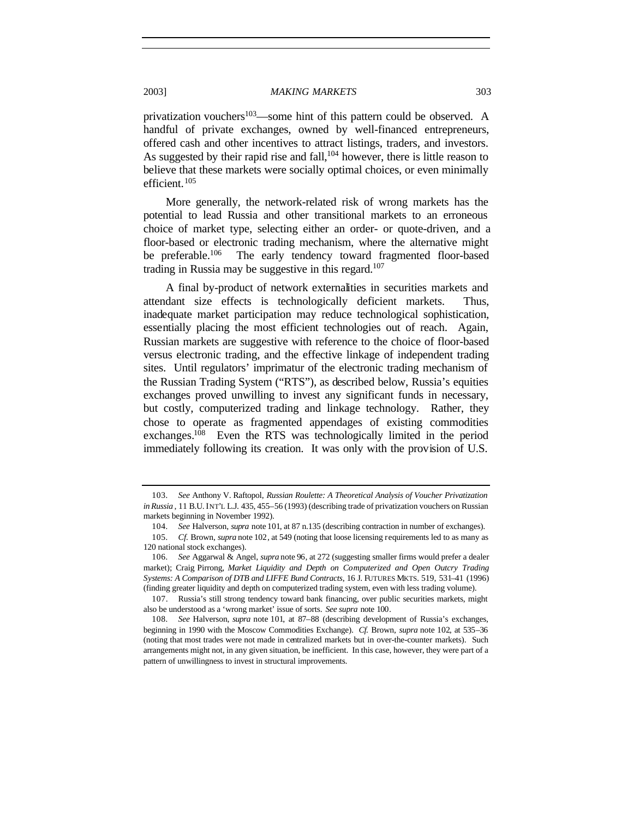privatization vouchers<sup>103</sup>—some hint of this pattern could be observed. A handful of private exchanges, owned by well-financed entrepreneurs, offered cash and other incentives to attract listings, traders, and investors. As suggested by their rapid rise and fall,  $104$  however, there is little reason to believe that these markets were socially optimal choices, or even minimally efficient.<sup>105</sup>

More generally, the network-related risk of wrong markets has the potential to lead Russia and other transitional markets to an erroneous choice of market type, selecting either an order- or quote-driven, and a floor-based or electronic trading mechanism, where the alternative might<br>be preferable.<sup>106</sup> The early tendency toward fragmented floor-based The early tendency toward fragmented floor-based trading in Russia may be suggestive in this regard.<sup>107</sup>

A final by-product of network externalities in securities markets and attendant size effects is technologically deficient markets. Thus, inadequate market participation may reduce technological sophistication, essentially placing the most efficient technologies out of reach. Again, Russian markets are suggestive with reference to the choice of floor-based versus electronic trading, and the effective linkage of independent trading sites. Until regulators' imprimatur of the electronic trading mechanism of the Russian Trading System ("RTS"), as described below, Russia's equities exchanges proved unwilling to invest any significant funds in necessary, but costly, computerized trading and linkage technology. Rather, they chose to operate as fragmented appendages of existing commodities exchanges.<sup>108</sup> Even the RTS was technologically limited in the period immediately following its creation. It was only with the provision of U.S.

<sup>103</sup>*. See* Anthony V. Raftopol, *Russian Roulette: A Theoretical Analysis of Voucher Privatization in Russia* , 11 B.U. INT'L L.J. 435, 455–56 (1993) (describing trade of privatization vouchers on Russian markets beginning in November 1992).

<sup>104</sup>*. See* Halverson, *supra* note 101, at 87 n.135 (describing contraction in number of exchanges).

<sup>105</sup>*. Cf.* Brown, *supra* note 102, at 549 (noting that loose licensing requirements led to as many as 120 national stock exchanges).

<sup>106</sup>*. See* Aggarwal & Angel, *supra* note 96, at 272 (suggesting smaller firms would prefer a dealer market); Craig Pirrong, *Market Liquidity and Depth on Computerized and Open Outcry Trading Systems: A Comparison of DTB and LIFFE Bund Contracts*, 16 J. FUTURES MKTS. 519, 531–41 (1996) (finding greater liquidity and depth on computerized trading system, even with less trading volume).

<sup>107.</sup> Russia's still strong tendency toward bank financing, over public securities markets, might also be understood as a 'wrong market' issue of sorts. *See supra* note 100.

<sup>108</sup>*. See* Halverson, *supra* note 101, at 87–88 (describing development of Russia's exchanges, beginning in 1990 with the Moscow Commodities Exchange). *Cf.* Brown, *supra* note 102, at 535–36 (noting that most trades were not made in centralized markets but in over-the-counter markets). Such arrangements might not, in any given situation, be inefficient. In this case, however, they were part of a pattern of unwillingness to invest in structural improvements.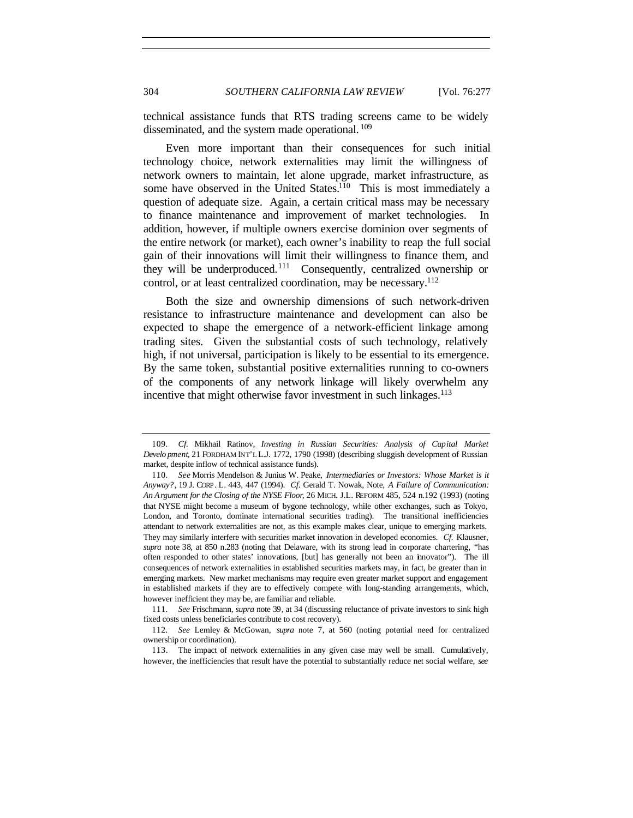technical assistance funds that RTS trading screens came to be widely disseminated, and the system made operational. <sup>109</sup>

Even more important than their consequences for such initial technology choice, network externalities may limit the willingness of network owners to maintain, let alone upgrade, market infrastructure, as some have observed in the United States.<sup>110</sup> This is most immediately a question of adequate size. Again, a certain critical mass may be necessary to finance maintenance and improvement of market technologies. In addition, however, if multiple owners exercise dominion over segments of the entire network (or market), each owner's inability to reap the full social gain of their innovations will limit their willingness to finance them, and they will be underproduced.<sup>111</sup> Consequently, centralized ownership or control, or at least centralized coordination, may be necessary.<sup>112</sup>

Both the size and ownership dimensions of such network-driven resistance to infrastructure maintenance and development can also be expected to shape the emergence of a network-efficient linkage among trading sites. Given the substantial costs of such technology, relatively high, if not universal, participation is likely to be essential to its emergence. By the same token, substantial positive externalities running to co-owners of the components of any network linkage will likely overwhelm any incentive that might otherwise favor investment in such linkages.<sup>113</sup>

111*. See* Frischmann, *supra* note 39, at 34 (discussing reluctance of private investors to sink high fixed costs unless beneficiaries contribute to cost recovery).

<sup>109</sup>*. Cf.* Mikhail Ratinov, *Investing in Russian Securities: Analysis of Capital Market Develo pment*, 21 FORDHAM INT'L L.J. 1772, 1790 (1998) (describing sluggish development of Russian market, despite inflow of technical assistance funds).

<sup>110</sup>*. See* Morris Mendelson & Junius W. Peake, *Intermediaries or Investors: Whose Market is it Anyway?*, 19 J. CORP. L. 443, 447 (1994). *Cf*. Gerald T. Nowak, Note, *A Failure of Communication: An Argument for the Closing of the NYSE Floor*, 26 MICH. J.L. REFORM 485, 524 n.192 (1993) (noting that NYSE might become a museum of bygone technology, while other exchanges, such as Tokyo, London, and Toronto, dominate international securities trading). The transitional inefficiencies attendant to network externalities are not, as this example makes clear, unique to emerging markets. They may similarly interfere with securities market innovation in developed economies. *Cf.* Klausner, *supra* note 38, at 850 n.283 (noting that Delaware, with its strong lead in corporate chartering, "has often responded to other states' innovations, [but] has generally not been an innovator"). The ill consequences of network externalities in established securities markets may, in fact, be greater than in emerging markets. New market mechanisms may require even greater market support and engagement in established markets if they are to effectively compete with long-standing arrangements, which, however inefficient they may be, are familiar and reliable.

<sup>112</sup>*. See* Lemley & McGowan, *supra* note 7, at 560 (noting potential need for centralized ownership or coordination).

<sup>113.</sup> The impact of network externalities in any given case may well be small. Cumulatively, however, the inefficiencies that result have the potential to substantially reduce net social welfare, *see*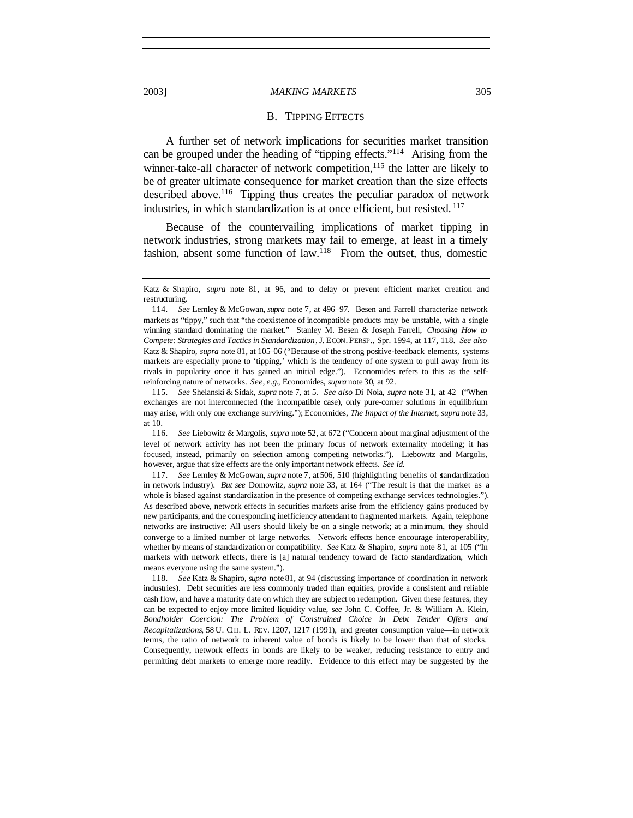#### B. TIPPING EFFECTS

A further set of network implications for securities market transition can be grouped under the heading of "tipping effects."<sup>114</sup> Arising from the winner-take-all character of network competition, $115$  the latter are likely to be of greater ultimate consequence for market creation than the size effects described above.<sup>116</sup> Tipping thus creates the peculiar paradox of network industries, in which standardization is at once efficient, but resisted. <sup>117</sup>

Because of the countervailing implications of market tipping in network industries, strong markets may fail to emerge, at least in a timely fashion, absent some function of law.<sup>118</sup> From the outset, thus, domestic

Katz & Shapiro, *supra* note 81, at 96, and to delay or prevent efficient market creation and restructuring.

<sup>114</sup>*. See* Lemley & McGowan, *supra* note 7, at 496–97. Besen and Farrell characterize network markets as "tippy," such that "the coexistence of incompatible products may be unstable, with a single winning standard dominating the market." Stanley M. Besen & Joseph Farrell, *Choosing How to Compete: Strategies and Tactics in Standardization*, J. ECON. PERSP., Spr. 1994, at 117, 118. *See also* Katz & Shapiro, *supra* note 81, at 105–06 ("Because of the strong positive-feedback elements, systems markets are especially prone to 'tipping,' which is the tendency of one system to pull away from its rivals in popularity once it has gained an initial edge."). Economides refers to this as the selfreinforcing nature of networks. *See, e.g.*, Economides, *supra* note 30, at 92.

<sup>115</sup>*. See* Shelanski & Sidak, *supra* note 7, at 5. *See also* Di Noia, *supra* note 31, at 42 ("When exchanges are not interconnected (the incompatible case), only pure-corner solutions in equilibrium may arise, with only one exchange surviving."); Economides, *The Impact of the Internet, supra* note 33, at 10.

<sup>116</sup>*. See* Liebowitz & Margolis, *supra* note 52, at 672 ("Concern about marginal adjustment of the level of network activity has not been the primary focus of network externality modeling; it has focused, instead, primarily on selection among competing networks."). Liebowitz and Margolis, however, argue that size effects are the only important network effects. *See id.*

<sup>117</sup>*. See* Lemley & McGowan, *supra* note 7, at 506, 510 (highlighting benefits of standardization in network industry). *But see* Domowitz, *supra* note 33, at 164 ("The result is that the market as a whole is biased against standardization in the presence of competing exchange services technologies."). As described above, network effects in securities markets arise from the efficiency gains produced by new participants, and the corresponding inefficiency attendant to fragmented markets. Again, telephone networks are instructive: All users should likely be on a single network; at a minimum, they should converge to a limited number of large networks. Network effects hence encourage interoperability, whether by means of standardization or compatibility. *See* Katz & Shapiro, *supra* note 81, at 105 ("In markets with network effects, there is [a] natural tendency toward de facto standardization, which means everyone using the same system.").

<sup>118</sup>*. See* Katz & Shapiro, *supra* note 81, at 94 (discussing importance of coordination in network industries). Debt securities are less commonly traded than equities, provide a consistent and reliable cash flow, and have a maturity date on which they are subject to redemption. Given these features, they can be expected to enjoy more limited liquidity value, *see* John C. Coffee, Jr. & William A. Klein, *Bondholder Coercion: The Problem of Constrained Choice in Debt Tender Offers and Recapitalizations*, 58 U. CHI. L. REV. 1207, 1217 (1991), and greater consumption value—in network terms, the ratio of network to inherent value of bonds is likely to be lower than that of stocks. Consequently, network effects in bonds are likely to be weaker, reducing resistance to entry and permitting debt markets to emerge more readily. Evidence to this effect may be suggested by the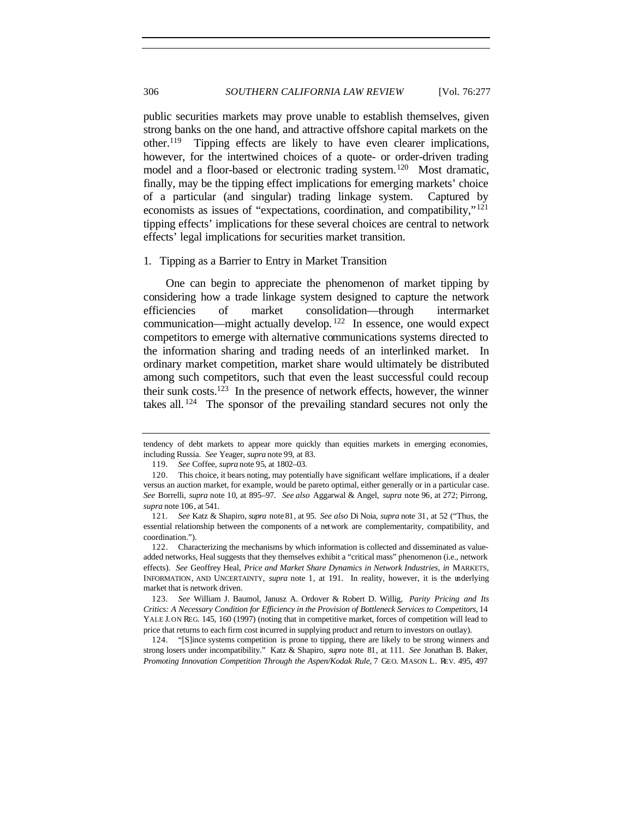public securities markets may prove unable to establish themselves, given strong banks on the one hand, and attractive offshore capital markets on the other.<sup>119</sup> Tipping effects are likely to have even clearer implications, however, for the intertwined choices of a quote- or order-driven trading model and a floor-based or electronic trading system.<sup>120</sup> Most dramatic, finally, may be the tipping effect implications for emerging markets' choice of a particular (and singular) trading linkage system. Captured by economists as issues of "expectations, coordination, and compatibility,"<sup>121</sup> tipping effects' implications for these several choices are central to network effects' legal implications for securities market transition.

1. Tipping as a Barrier to Entry in Market Transition

One can begin to appreciate the phenomenon of market tipping by considering how a trade linkage system designed to capture the network efficiencies of market consolidation—through intermarket communication—might actually develop. <sup>122</sup> In essence, one would expect competitors to emerge with alternative communications systems directed to the information sharing and trading needs of an interlinked market. In ordinary market competition, market share would ultimately be distributed among such competitors, such that even the least successful could recoup their sunk costs.<sup>123</sup> In the presence of network effects, however, the winner takes all.  $124$  The sponsor of the prevailing standard secures not only the

124. "[S]ince systems competition is prone to tipping, there are likely to be strong winners and strong losers under incompatibility." Katz & Shapiro, *supra* note 81, at 111. *See* Jonathan B. Baker, *Promoting Innovation Competition Through the Aspen/Kodak Rule*, 7 GEO. MASON L. REV. 495, 497

tendency of debt markets to appear more quickly than equities markets in emerging economies, including Russia. *See* Yeager, *supra* note 99, at 83.

<sup>119</sup>*. See* Coffee, *supra* note 95, at 1802–03.

<sup>120.</sup> This choice, it bears noting, may potentially have significant welfare implications, if a dealer versus an auction market, for example, would be pareto optimal, either generally or in a particular case. *See* Borrelli, *supra* note 10, at 895–97. *See also* Aggarwal & Angel, *supra* note 96, at 272; Pirrong, *supra* note 106, at 541.

<sup>121</sup>*. See* Katz & Shapiro, *supra* note 81, at 95. *See also* Di Noia, *supra* note 31, at 52 ("Thus, the essential relationship between the components of a network are complementarity, compatibility, and coordination.").

<sup>122.</sup> Characterizing the mechanisms by which information is collected and disseminated as valueadded networks, Heal suggests that they themselves exhibit a "critical mass" phenomenon (i.e., network effects). *See* Geoffrey Heal, *Price and Market Share Dynamics in Network Industries*, *in* MARKETS, INFORMATION, AND UNCERTAINTY, *supra* note 1, at 191. In reality, however, it is the underlying market that is network driven.

<sup>123</sup>*. See* William J. Baumol, Janusz A. Ordover & Robert D. Willig, *Parity Pricing and Its Critics: A Necessary Condition for Efficiency in the Provision of Bottleneck Services to Competitors*, 14 YALE J. ON REG. 145, 160 (1997) (noting that in competitive market, forces of competition will lead to price that returns to each firm cost incurred in supplying product and return to investors on outlay).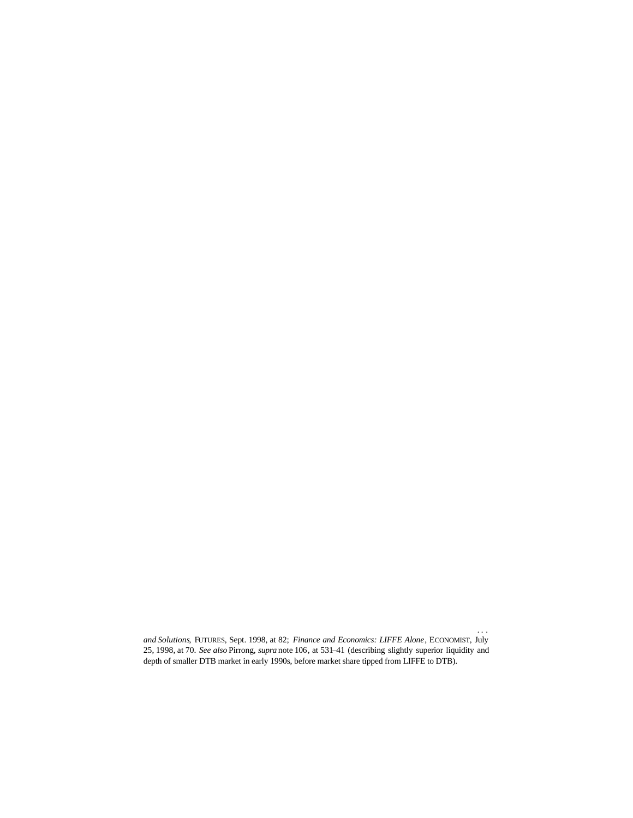liquidity—after Eurex's capture of nearly the entire market in the contracts. *. . . and Solutions*, FUTURES, Sept. 1998, at 82; *Finance and Economics: LIFFE Alone*, ECONOMIST, July 25, 1998, at 70. *See also* Pirrong, *supra* note 106, at 531–41 (describing slightly superior liquidity and depth of smaller DTB market in early 1990s, before market share tipped from LIFFE to DTB).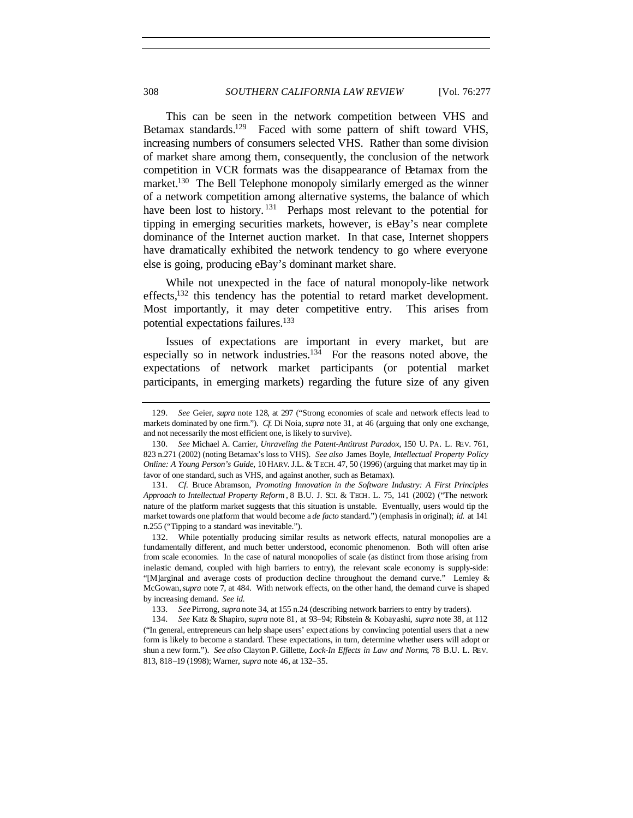This can be seen in the network competition between VHS and Betamax standards.<sup>129</sup> Faced with some pattern of shift toward VHS, increasing numbers of consumers selected VHS. Rather than some division of market share among them, consequently, the conclusion of the network competition in VCR formats was the disappearance of Betamax from the market.<sup>130</sup> The Bell Telephone monopoly similarly emerged as the winner of a network competition among alternative systems, the balance of which have been lost to history.<sup>131</sup> Perhaps most relevant to the potential for tipping in emerging securities markets, however, is eBay's near complete dominance of the Internet auction market. In that case, Internet shoppers have dramatically exhibited the network tendency to go where everyone else is going, producing eBay's dominant market share.

While not unexpected in the face of natural monopoly-like network effects,<sup>132</sup> this tendency has the potential to retard market development. Most importantly, it may deter competitive entry. This arises from potential expectations failures.<sup>133</sup>

Issues of expectations are important in every market, but are especially so in network industries.<sup>134</sup> For the reasons noted above, the expectations of network market participants (or potential market participants, in emerging markets) regarding the future size of any given

133*. See* Pirrong, *supra* note 34, at 155 n.24 (describing network barriers to entry by traders).

134*. See* Katz & Shapiro, *supra* note 81, at 93–94; Ribstein & Kobayashi, *supra* note 38, at 112 ("In general, entrepreneurs can help shape users' expect ations by convincing potential users that a new form is likely to become a standard. These expectations, in turn, determine whether users will adopt or shun a new form."). *See also* Clayton P. Gillette, *Lock-In Effects in Law and Norms*, 78 B.U. L. REV. 813, 818–19 (1998); Warner, *supra* note 46, at 132–35.

<sup>129</sup>*. See* Geier, *supra* note 128, at 297 ("Strong economies of scale and network effects lead to markets dominated by one firm."). *Cf.* Di Noia, *supra* note 31, at 46 (arguing that only one exchange, and not necessarily the most efficient one, is likely to survive).

<sup>130</sup>*. See* Michael A. Carrier, *Unraveling the Patent-Antitrust Paradox*, 150 U. PA. L. REV. 761, 823 n.271 (2002) (noting Betamax's loss to VHS). *See also* James Boyle, *Intellectual Property Policy Online: A Young Person's Guide*, 10 HARV. J.L. & TECH. 47, 50 (1996) (arguing that market may tip in favor of one standard, such as VHS, and against another, such as Betamax).

<sup>131</sup>*. Cf.* Bruce Abramson, *Promoting Innovation in the Software Industry: A First Principles Approach to Intellectual Property Reform* , 8 B.U. J. SCI. & TECH. L. 75, 141 (2002) ("The network nature of the platform market suggests that this situation is unstable. Eventually, users would tip the market towards one platform that would become a *de facto* standard.") (emphasis in original); *id.* at 141 n.255 ("Tipping to a standard was inevitable.").

<sup>132.</sup> While potentially producing similar results as network effects, natural monopolies are a fundamentally different, and much better understood, economic phenomenon. Both will often arise from scale economies. In the case of natural monopolies of scale (as distinct from those arising from inelastic demand, coupled with high barriers to entry), the relevant scale economy is supply-side: "[M]arginal and average costs of production decline throughout the demand curve." Lemley & McGowan, *supra* note 7, at 484. With network effects, on the other hand, the demand curve is shaped by increasing demand. *See id.*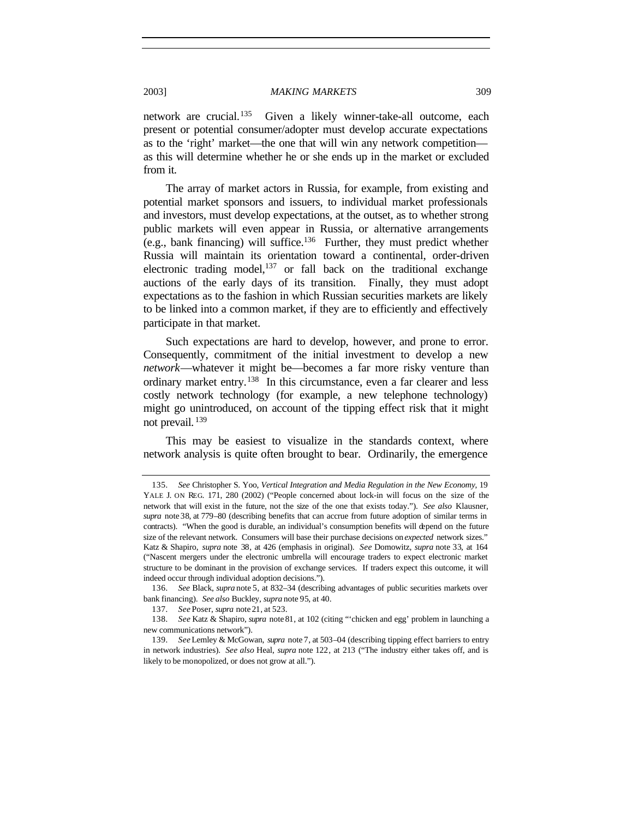network are crucial.<sup>135</sup> Given a likely winner-take-all outcome, each present or potential consumer/adopter must develop accurate expectations as to the 'right' market—the one that will win any network competition as this will determine whether he or she ends up in the market or excluded from it.

The array of market actors in Russia, for example, from existing and potential market sponsors and issuers, to individual market professionals and investors, must develop expectations, at the outset, as to whether strong public markets will even appear in Russia, or alternative arrangements (e.g., bank financing) will suffice.<sup>136</sup> Further, they must predict whether Russia will maintain its orientation toward a continental, order-driven electronic trading model,  $137$  or fall back on the traditional exchange auctions of the early days of its transition. Finally, they must adopt expectations as to the fashion in which Russian securities markets are likely to be linked into a common market, if they are to efficiently and effectively participate in that market.

Such expectations are hard to develop, however, and prone to error. Consequently, commitment of the initial investment to develop a new *network*—whatever it might be—becomes a far more risky venture than ordinary market entry.<sup>138</sup> In this circumstance, even a far clearer and less costly network technology (for example, a new telephone technology) might go unintroduced, on account of the tipping effect risk that it might not prevail. <sup>139</sup>

This may be easiest to visualize in the standards context, where network analysis is quite often brought to bear. Ordinarily, the emergence

<sup>135</sup>*. See* Christopher S. Yoo, *Vertical Integration and Media Regulation in the New Economy*, 19 YALE J. ON REG. 171, 280 (2002) ("People concerned about lock-in will focus on the size of the network that will exist in the future, not the size of the one that exists today."). *See also* Klausner, *supra* note 38, at 779–80 (describing benefits that can accrue from future adoption of similar terms in contracts). "When the good is durable, an individual's consumption benefits will depend on the future size of the relevant network. Consumers will base their purchase decisions on *expected* network sizes." Katz & Shapiro, *supra* note 38, at 426 (emphasis in original). *See* Domowitz, *supra* note 33, at 164 ("Nascent mergers under the electronic umbrella will encourage traders to expect electronic market structure to be dominant in the provision of exchange services. If traders expect this outcome, it will indeed occur through individual adoption decisions.").

<sup>136</sup>*. See* Black, *supra* note 5, at 832–34 (describing advantages of public securities markets over bank financing). *See also* Buckley, *supra* note 95, at 40.

<sup>137</sup>*. See* Poser, *supra* note 21, at 523.

<sup>138</sup>*. See* Katz & Shapiro, *supra* note 81, at 102 (citing "'chicken and egg' problem in launching a new communications network").

<sup>139</sup>*. See* Lemley & McGowan, *supra* note 7, at 503–04 (describing tipping effect barriers to entry in network industries). *See also* Heal, *supra* note 122, at 213 ("The industry either takes off, and is likely to be monopolized, or does not grow at all.").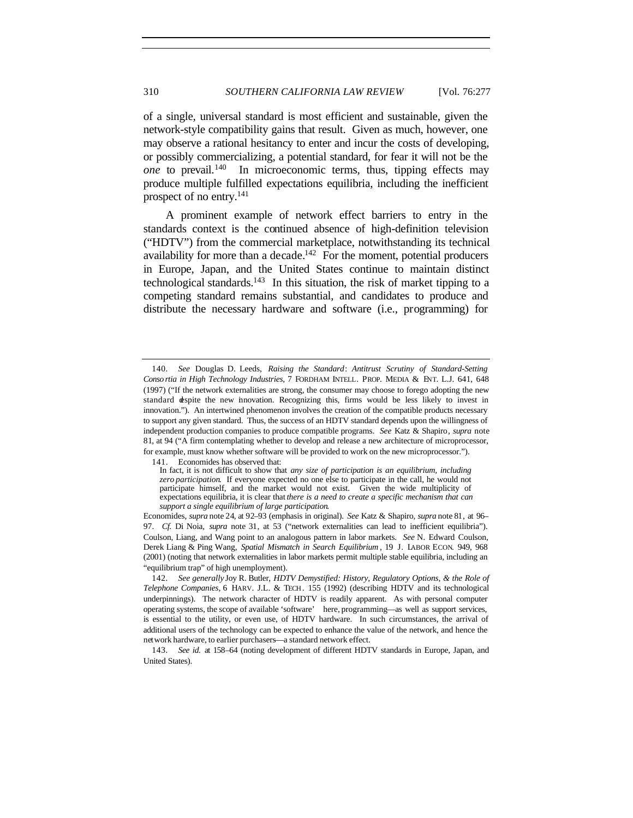of a single, universal standard is most efficient and sustainable, given the network-style compatibility gains that result. Given as much, however, one may observe a rational hesitancy to enter and incur the costs of developing, or possibly commercializing, a potential standard, for fear it will not be the *one* to prevail.<sup>140</sup> In microeconomic terms, thus, tipping effects may produce multiple fulfilled expectations equilibria, including the inefficient prospect of no entry.<sup>141</sup>

A prominent example of network effect barriers to entry in the standards context is the continued absence of high-definition television ("HDTV") from the commercial marketplace, notwithstanding its technical availability for more than a decade.<sup>142</sup> For the moment, potential producers in Europe, Japan, and the United States continue to maintain distinct technological standards.<sup>143</sup> In this situation, the risk of market tipping to a competing standard remains substantial, and candidates to produce and distribute the necessary hardware and software (i.e., programming) for

141. Economides has observed that:

<sup>140</sup>*. See* Douglas D. Leeds, *Raising the Standard*: *Antitrust Scrutiny of Standard-Setting Conso rtia in High Technology Industries*, 7 FORDHAM INTELL. PROP. MEDIA & ENT. L.J. 641, 648 (1997) ("If the network externalities are strong, the consumer may choose to forego adopting the new standard despite the new innovation. Recognizing this, firms would be less likely to invest in innovation."). An intertwined phenomenon involves the creation of the compatible products necessary to support any given standard. Thus, the success of an HDTV standard depends upon the willingness of independent production companies to produce compatible programs. *See* Katz & Shapiro*, supra* note 81, at 94 ("A firm contemplating whether to develop and release a new architecture of microprocessor, for example, must know whether software will be provided to work on the new microprocessor.").

In fact, it is not difficult to show that *any size of participation is an equilibrium, including zero participation*. If everyone expected no one else to participate in the call, he would not participate himself, and the market would not exist. Given the wide multiplicity of expectations equilibria, it is clear that *there is a need to create a specific mechanism that can support a single equilibrium of large participation*.

Economides, *supra* note 24, at 92–93 (emphasis in original). *See* Katz & Shapiro, *supra* note 81, at 96– 97. *Cf.* Di Noia, *supra* note 31, at 53 ("network externalities can lead to inefficient equilibria"). Coulson, Liang, and Wang point to an analogous pattern in labor markets. *See* N. Edward Coulson, Derek Liang & Ping Wang, *Spatial Mismatch in Search Equilibrium* , 19 J. LABOR ECON. 949, 968 (2001) (noting that network externalities in labor markets permit multiple stable equilibria, including an "equilibrium trap" of high unemployment).

<sup>142</sup>*. See generally* Joy R. Butler, *HDTV Demystified: History, Regulatory Options, & the Role of Telephone Companies*, 6 HARV. J.L. & TECH . 155 (1992) (describing HDTV and its technological underpinnings). The network character of HDTV is readily apparent. As with personal computer operating systems, the scope of available 'software' here, programming—as well as support services, is essential to the utility, or even use, of HDTV hardware. In such circumstances, the arrival of additional users of the technology can be expected to enhance the value of the network, and hence the network hardware, to earlier purchasers—a standard network effect.

<sup>143</sup>*. See id.* at 158–64 (noting development of different HDTV standards in Europe, Japan, and United States).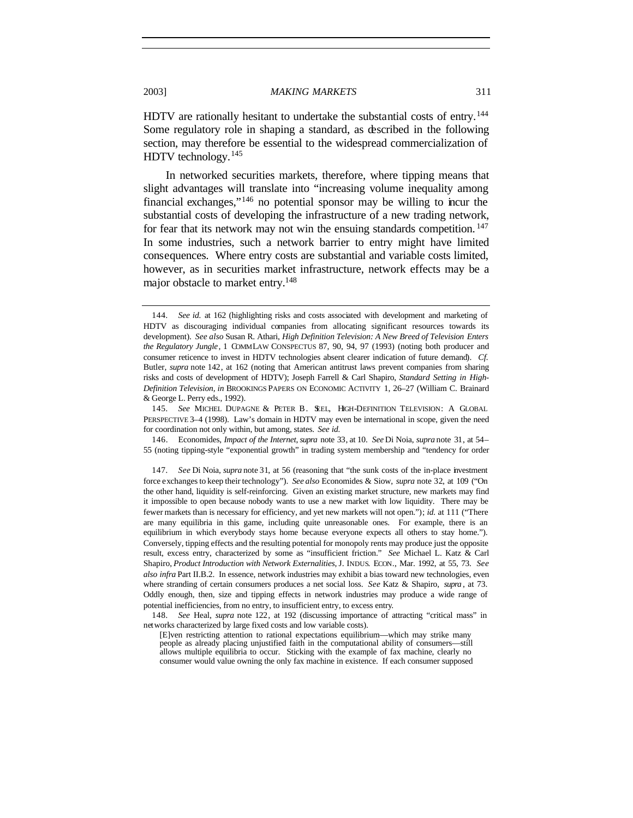HDTV are rationally hesitant to undertake the substantial costs of entry.<sup>144</sup> Some regulatory role in shaping a standard, as described in the following section, may therefore be essential to the widespread commercialization of HDTV technology.<sup>145</sup>

In networked securities markets, therefore, where tipping means that slight advantages will translate into "increasing volume inequality among financial exchanges,"<sup>146</sup> no potential sponsor may be willing to incur the substantial costs of developing the infrastructure of a new trading network, for fear that its network may not win the ensuing standards competition. <sup>147</sup> In some industries, such a network barrier to entry might have limited consequences. Where entry costs are substantial and variable costs limited, however, as in securities market infrastructure, network effects may be a major obstacle to market entry.<sup>148</sup>

<sup>144</sup>*. See id.* at 162 (highlighting risks and costs associated with development and marketing of HDTV as discouraging individual companies from allocating significant resources towards its development). *See also* Susan R. Athari, *High Definition Television: A New Breed of Television Enters the Regulatory Jungle*, 1 COMMLAW CONSPECTUS 87, 90, 94, 97 (1993) (noting both producer and consumer reticence to invest in HDTV technologies absent clearer indication of future demand). *Cf.* Butler, *supra* note 142, at 162 (noting that American antitrust laws prevent companies from sharing risks and costs of development of HDTV); Joseph Farrell & Carl Shapiro, *Standard Setting in High-Definition Television, in* BROOKINGS PAPERS ON ECONOMIC ACTIVITY 1, 26–27 (William C. Brainard & George L. Perry eds., 1992).

<sup>145</sup>*. See* MICHEL DUPAGNE & PETER B. SEEL, HIGH-DEFINITION TELEVISION: A GLOBAL PERSPECTIVE 3–4 (1998). Law's domain in HDTV may even be international in scope, given the need for coordination not only within, but among, states. *See id.*

<sup>146.</sup> Economides, *Impact of the Internet*, *supra* note 33, at 10. *See* Di Noia, *supra* note 31, at 54– 55 (noting tipping-style "exponential growth" in trading system membership and "tendency for order

<sup>147</sup>*. See* Di Noia, *supra* note 31, at 56 (reasoning that "the sunk costs of the in-place investment force exchanges to keep their technology"). *See also* Economides & Siow, *supra* note 32, at 109 ("On the other hand, liquidity is self-reinforcing. Given an existing market structure, new markets may find it impossible to open because nobody wants to use a new market with low liquidity. There may be fewer markets than is necessary for efficiency, and yet new markets will not open."); *id.* at 111 ("There are many equilibria in this game, including quite unreasonable ones. For example, there is an equilibrium in which everybody stays home because everyone expects all others to stay home."). Conversely, tipping effects and the resulting potential for monopoly rents may produce just the opposite result, excess entry, characterized by some as "insufficient friction." *See* Michael L. Katz & Carl Shapiro, *Product Introduction with Network Externalities*, J. INDUS. ECON., Mar. 1992, at 55, 73. *See also infra* Part II.B.2. In essence, network industries may exhibit a bias toward new technologies, even where stranding of certain consumers produces a net social loss. *See* Katz & Shapiro, *supra* , at 73. Oddly enough, then, size and tipping effects in network industries may produce a wide range of potential inefficiencies, from no entry, to insufficient entry, to excess entry.

<sup>148</sup>*. See* Heal, *supra* note 122, at 192 (discussing importance of attracting "critical mass" in networks characterized by large fixed costs and low variable costs).

<sup>[</sup>E]ven restricting attention to rational expectations equilibrium—which may strike many people as already placing unjustified faith in the computational ability of consumers—still allows multiple equilibria to occur. Sticking with the example of fax machine, clearly no consumer would value owning the only fax machine in existence. If each consumer supposed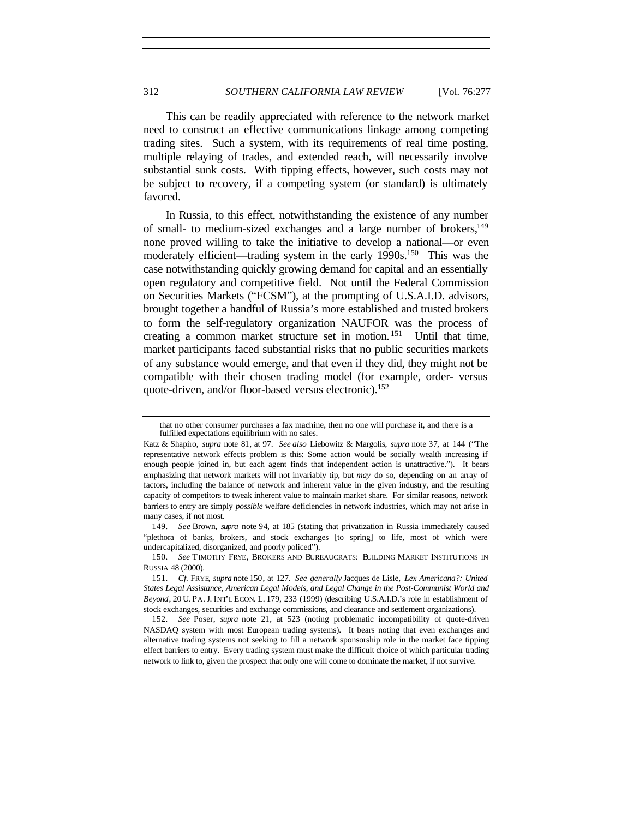This can be readily appreciated with reference to the network market need to construct an effective communications linkage among competing trading sites. Such a system, with its requirements of real time posting, multiple relaying of trades, and extended reach, will necessarily involve substantial sunk costs. With tipping effects, however, such costs may not be subject to recovery, if a competing system (or standard) is ultimately favored.

In Russia, to this effect, notwithstanding the existence of any number of small- to medium-sized exchanges and a large number of brokers,<sup>149</sup> none proved willing to take the initiative to develop a national—or even moderately efficient—trading system in the early 1990s.<sup>150</sup> This was the case notwithstanding quickly growing demand for capital and an essentially open regulatory and competitive field. Not until the Federal Commission on Securities Markets ("FCSM"), at the prompting of U.S.A.I.D. advisors, brought together a handful of Russia's more established and trusted brokers to form the self-regulatory organization NAUFOR was the process of creating a common market structure set in motion. <sup>151</sup> Until that time, market participants faced substantial risks that no public securities markets of any substance would emerge, and that even if they did, they might not be compatible with their chosen trading model (for example, order- versus quote-driven, and/or floor-based versus electronic).<sup>152</sup>

that no other consumer purchases a fax machine, then no one will purchase it, and there is a fulfilled expectations equilibrium with no sales.

Katz & Shapiro, *supra* note 81, at 97. *See also* Liebowitz & Margolis, *supra* note 37, at 144 ("The representative network effects problem is this: Some action would be socially wealth increasing if enough people joined in, but each agent finds that independent action is unattractive."). It bears emphasizing that network markets will not invariably tip, but *may* do so, depending on an array of factors, including the balance of network and inherent value in the given industry, and the resulting capacity of competitors to tweak inherent value to maintain market share. For similar reasons, network barriers to entry are simply *possible* welfare deficiencies in network industries, which may not arise in many cases, if not most.

<sup>149</sup>*. See* Brown, *supra* note 94, at 185 (stating that privatization in Russia immediately caused "plethora of banks, brokers, and stock exchanges [to spring] to life, most of which were undercapitalized, disorganized, and poorly policed").

<sup>150</sup>*. See* TIMOTHY FRYE, BROKERS AND BUREAUCRATS: BUILDING MARKET INSTITUTIONS IN RUSSIA 48 (2000).

<sup>151</sup>*. Cf.* FRYE, *supra* note 150, at 127. *See generally* Jacques de Lisle, *Lex Americana?: United States Legal Assistance, American Legal Models, and Legal Change in the Post-Communist World and Beyond*, 20 U. PA. J. INT'L ECON. L. 179, 233 (1999) (describing U.S.A.I.D.'s role in establishment of stock exchanges, securities and exchange commissions, and clearance and settlement organizations).

<sup>152</sup>*. See* Poser, *supra* note 21, at 523 (noting problematic incompatibility of quote-driven NASDAQ system with most European trading systems). It bears noting that even exchanges and alternative trading systems not seeking to fill a network sponsorship role in the market face tipping effect barriers to entry. Every trading system must make the difficult choice of which particular trading network to link to, given the prospect that only one will come to dominate the market, if not survive.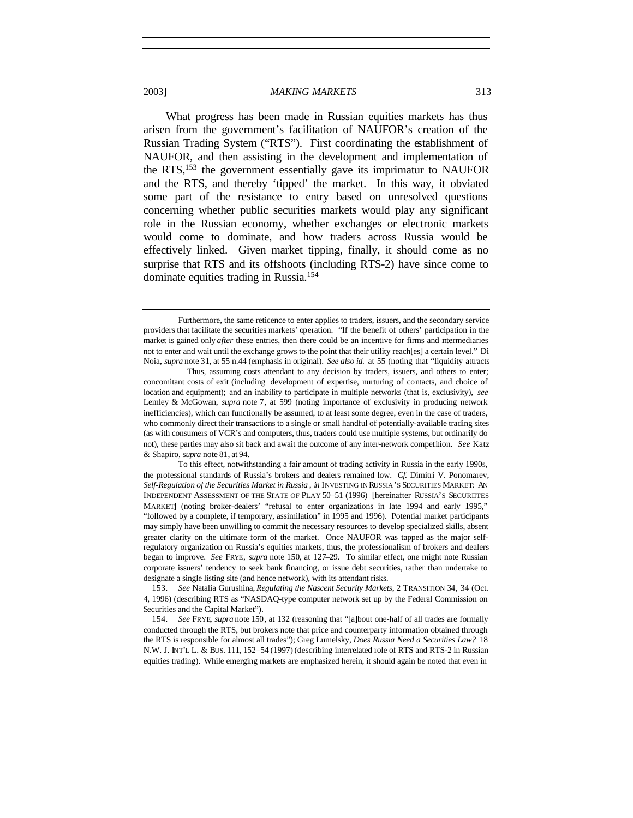What progress has been made in Russian equities markets has thus arisen from the government's facilitation of NAUFOR's creation of the Russian Trading System ("RTS"). First coordinating the establishment of NAUFOR, and then assisting in the development and implementation of the RTS,<sup>153</sup> the government essentially gave its imprimatur to NAUFOR and the RTS, and thereby 'tipped' the market. In this way, it obviated some part of the resistance to entry based on unresolved questions concerning whether public securities markets would play any significant role in the Russian economy, whether exchanges or electronic markets would come to dominate, and how traders across Russia would be effectively linked. Given market tipping, finally, it should come as no surprise that RTS and its offshoots (including RTS-2) have since come to dominate equities trading in Russia.<sup>154</sup>

Furthermore, the same reticence to enter applies to traders, issuers, and the secondary service providers that facilitate the securities markets' operation. "If the benefit of others' participation in the market is gained only *after* these entries, then there could be an incentive for firms and intermediaries not to enter and wait until the exchange grows to the point that their utility reach[es] a certain level." Di Noia, *supra* note 31, at 55 n.44 (emphasis in original). *See also id.* at 55 (noting that "liquidity attracts

Thus, assuming costs attendant to any decision by traders, issuers, and others to enter; concomitant costs of exit (including development of expertise, nurturing of contacts, and choice of location and equipment); and an inability to participate in multiple networks (that is, exclusivity), *see* Lemley & McGowan, *supra* note 7, at 599 (noting importance of exclusivity in producing network inefficiencies), which can functionally be assumed, to at least some degree, even in the case of traders, who commonly direct their transactions to a single or small handful of potentially-available trading sites (as with consumers of VCR's and computers, thus, traders could use multiple systems, but ordinarily do not), these parties may also sit back and await the outcome of any inter-network competition. *See* Katz & Shapiro, *supra* note 81, at 94.

To this effect, notwithstanding a fair amount of trading activity in Russia in the early 1990s, the professional standards of Russia's brokers and dealers remained low. *Cf.* Dimitri V. Ponomarev, *Self-Regulation of the Securities Market in Russia* , *in* INVESTING IN RUSSIA'S SECURITIES MARKET: AN INDEPENDENT ASSESSMENT OF THE STATE OF PLAY 50–51 (1996) [hereinafter RUSSIA'S SECURIITES MARKET] (noting broker-dealers' "refusal to enter organizations in late 1994 and early 1995," "followed by a complete, if temporary, assimilation" in 1995 and 1996). Potential market participants may simply have been unwilling to commit the necessary resources to develop specialized skills, absent greater clarity on the ultimate form of the market. Once NAUFOR was tapped as the major selfregulatory organization on Russia's equities markets, thus, the professionalism of brokers and dealers began to improve. *See* FRYE, *supra* note 150, at 127–29. To similar effect, one might note Russian corporate issuers' tendency to seek bank financing, or issue debt securities, rather than undertake to designate a single listing site (and hence network), with its attendant risks.

<sup>153</sup>*. See* Natalia Gurushina, *Regulating the Nascent Security Markets*, 2 TRANSITION 34, 34 (Oct. 4, 1996) (describing RTS as "NASDAQ-type computer network set up by the Federal Commission on Securities and the Capital Market").

<sup>154</sup>*. See* FRYE, *supra* note 150, at 132 (reasoning that "[a]bout one-half of all trades are formally conducted through the RTS, but brokers note that price and counterparty information obtained through the RTS is responsible for almost all trades"); Greg Lumelsky, *Does Russia Need a Securities Law?* 18 N.W. J. INT'L L. & BUS. 111, 152–54 (1997) (describing interrelated role of RTS and RTS-2 in Russian equities trading). While emerging markets are emphasized herein, it should again be noted that even in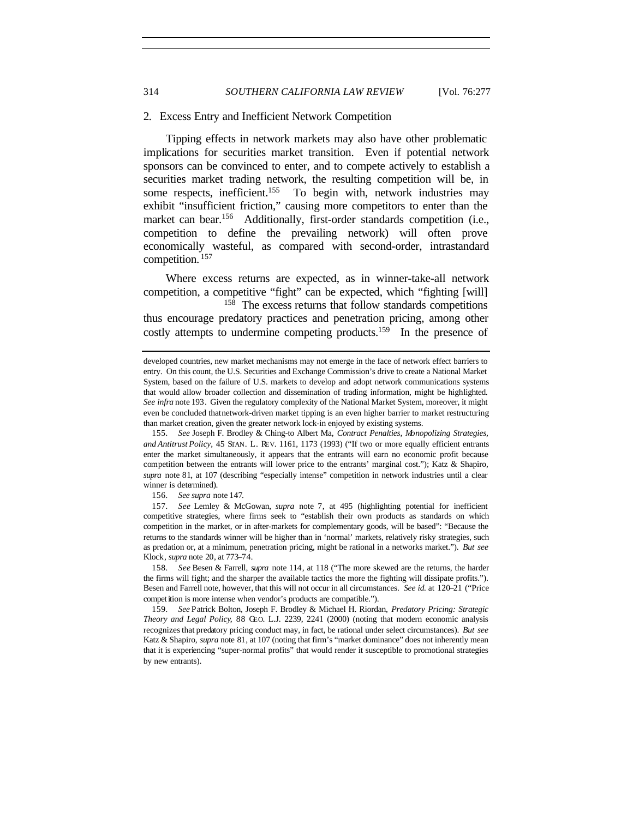#### 2. Excess Entry and Inefficient Network Competition

Tipping effects in network markets may also have other problematic implications for securities market transition. Even if potential network sponsors can be convinced to enter, and to compete actively to establish a securities market trading network, the resulting competition will be, in some respects, inefficient.<sup>155</sup> To begin with, network industries may exhibit "insufficient friction," causing more competitors to enter than the market can bear.<sup>156</sup> Additionally, first-order standards competition (i.e., competition to define the prevailing network) will often prove economically wasteful, as compared with second-order, intrastandard competition. <sup>157</sup>

Where excess returns are expected, as in winner-take-all network competition, a competitive "fight" can be expected, which "fighting [will] <sup>158</sup> The excess returns that follow standards competitions thus encourage predatory practices and penetration pricing, among other costly attempts to undermine competing products.<sup>159</sup> In the presence of

156*. See supra* note 147.

157*. See* Lemley & McGowan, *supra* note 7, at 495 (highlighting potential for inefficient competitive strategies, where firms seek to "establish their own products as standards on which competition in the market, or in after-markets for complementary goods, will be based": "Because the returns to the standards winner will be higher than in 'normal' markets, relatively risky strategies, such as predation or, at a minimum, penetration pricing, might be rational in a networks market."). *But see* Klock*, supra* note 20, at 773–74*.*

158*. See* Besen & Farrell, *supra* note 114, at 118 ("The more skewed are the returns, the harder the firms will fight; and the sharper the available tactics the more the fighting will dissipate profits."). Besen and Farrell note, however, that this will not occur in all circumstances. *See id.* at 120–21 ("Price compet ition is more intense when vendor's products are compatible.").

159*. See* Patrick Bolton, Joseph F. Brodley & Michael H. Riordan, *Predatory Pricing: Strategic Theory and Legal Policy*, 88 GEO. L.J. 2239, 2241 (2000) (noting that modern economic analysis recognizes that predatory pricing conduct may, in fact, be rational under select circumstances). *But see* Katz & Shapiro, *supra* note 81, at 107 (noting that firm's "market dominance" does not inherently mean that it is experiencing "super-normal profits" that would render it susceptible to promotional strategies by new entrants).

developed countries, new market mechanisms may not emerge in the face of network effect barriers to entry. On this count, the U.S. Securities and Exchange Commission's drive to create a National Market System, based on the failure of U.S. markets to develop and adopt network communications systems that would allow broader collection and dissemination of trading information, might be highlighted. *See infra* note 193. Given the regulatory complexity of the National Market System, moreover, it might even be concluded that network-driven market tipping is an even higher barrier to market restructuring than market creation, given the greater network lock-in enjoyed by existing systems.

<sup>155</sup>*. See* Joseph F. Brodley & Ching-to Albert Ma, *Contract Penalties, Monopolizing Strategies, and Antitrust Policy*, 45 STAN. L. REV. 1161, 1173 (1993) ("If two or more equally efficient entrants enter the market simultaneously, it appears that the entrants will earn no economic profit because competition between the entrants will lower price to the entrants' marginal cost."); Katz & Shapiro, *supra* note 81, at 107 (describing "especially intense" competition in network industries until a clear winner is determined).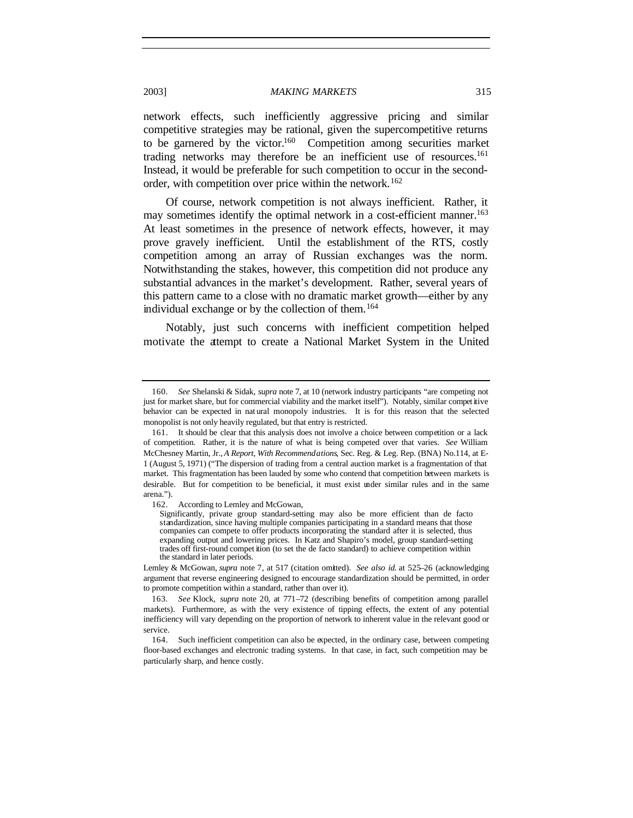network effects, such inefficiently aggressive pricing and similar competitive strategies may be rational, given the supercompetitive returns to be garnered by the victor.<sup>160</sup> Competition among securities market trading networks may therefore be an inefficient use of resources.<sup>161</sup> Instead, it would be preferable for such competition to occur in the secondorder, with competition over price within the network.<sup>162</sup>

Of course, network competition is not always inefficient. Rather, it may sometimes identify the optimal network in a cost-efficient manner.<sup>163</sup> At least sometimes in the presence of network effects, however, it may prove gravely inefficient. Until the establishment of the RTS, costly competition among an array of Russian exchanges was the norm. Notwithstanding the stakes, however, this competition did not produce any substantial advances in the market's development. Rather, several years of this pattern came to a close with no dramatic market growth—either by any individual exchange or by the collection of them.<sup>164</sup>

Notably, just such concerns with inefficient competition helped motivate the attempt to create a National Market System in the United

<sup>160</sup>*. See* Shelanski & Sidak, *supra* note 7, at 10 (network industry participants "are competing not just for market share, but for commercial viability and the market itself"). Notably, similar competitive behavior can be expected in nat ural monopoly industries. It is for this reason that the selected monopolist is not only heavily regulated, but that entry is restricted.

<sup>161.</sup> It should be clear that this analysis does not involve a choice between competition or a lack of competition. Rather, it is the nature of what is being competed over that varies. *See* William McChesney Martin, Jr., *A Report, With Recommendations*, Sec. Reg. & Leg. Rep. (BNA) No.114, at E-1 (August 5, 1971) ("The dispersion of trading from a central auction market is a fragmentation of that market. This fragmentation has been lauded by some who contend that competition between markets is desirable. But for competition to be beneficial, it must exist under similar rules and in the same arena.").

<sup>162.</sup> According to Lemley and McGowan,

Significantly, private group standard-setting may also be more efficient than de facto standardization, since having multiple companies participating in a standard means that those companies can compete to offer products incorporating the standard after it is selected, thus expanding output and lowering prices. In Katz and Shapiro's model, group standard-setting trades off first-round compet ition (to set the de facto standard) to achieve competition within the standard in later periods.

Lemley & McGowan, *supra* note 7, at 517 (citation omitted). *See also id.* at 525–26 (acknowledging argument that reverse engineering designed to encourage standardization should be permitted, in order to promote competition within a standard, rather than over it).

<sup>163</sup>*. See* Klock, *supra* note 20, at 771–72 (describing benefits of competition among parallel markets). Furthermore, as with the very existence of tipping effects, the extent of any potential inefficiency will vary depending on the proportion of network to inherent value in the relevant good or service.

<sup>164.</sup> Such inefficient competition can also be expected, in the ordinary case, between competing floor-based exchanges and electronic trading systems. In that case, in fact, such competition may be particularly sharp, and hence costly.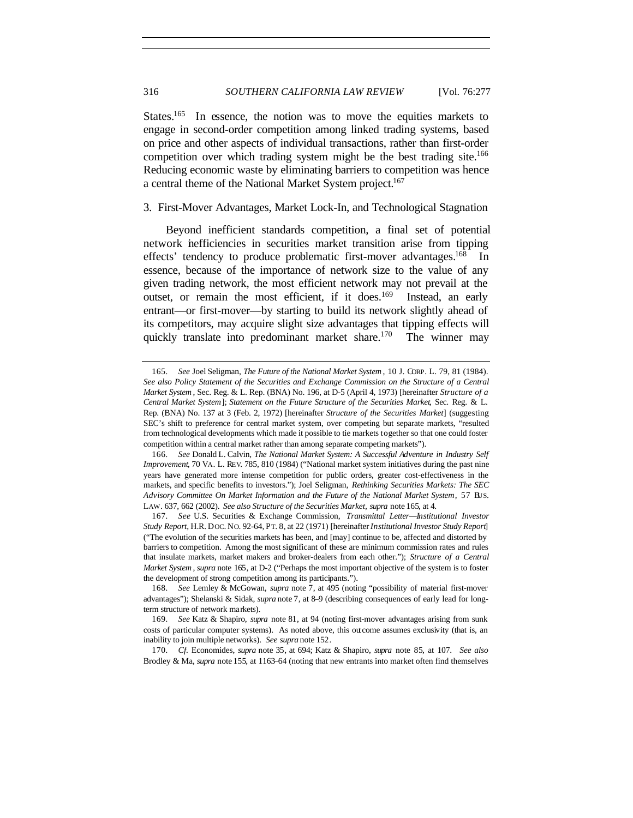States.<sup>165</sup> In essence, the notion was to move the equities markets to engage in second-order competition among linked trading systems, based on price and other aspects of individual transactions, rather than first-order competition over which trading system might be the best trading site.<sup>166</sup> Reducing economic waste by eliminating barriers to competition was hence a central theme of the National Market System project.<sup>167</sup>

## 3. First-Mover Advantages, Market Lock-In, and Technological Stagnation

Beyond inefficient standards competition, a final set of potential network inefficiencies in securities market transition arise from tipping effects' tendency to produce problematic first-mover advantages.<sup>168</sup> In essence, because of the importance of network size to the value of any given trading network, the most efficient network may not prevail at the outset, or remain the most efficient, if it does.<sup>169</sup> Instead, an early entrant—or first-mover—by starting to build its network slightly ahead of its competitors, may acquire slight size advantages that tipping effects will quickly translate into predominant market share.<sup>170</sup> The winner may

<sup>165</sup>*. See* Joel Seligman, *The Future of the National Market System* , 10 J. CORP. L. 79, 81 (1984). *See also Policy Statement of the Securities and Exchange Commission on the Structure of a Central Market System* , Sec. Reg. & L. Rep. (BNA) No. 196, at D-5 (April 4, 1973) [hereinafter *Structure of a Central Market System*]; *Statement on the Future Structure of the Securities Market*, Sec. Reg. & L. Rep. (BNA) No. 137 at 3 (Feb. 2, 1972) [hereinafter *Structure of the Securities Market*] (suggesting SEC's shift to preference for central market system, over competing but separate markets, "resulted from technological developments which made it possible to tie markets together so that one could foster competition within a central market rather than among separate competing markets").

<sup>166</sup>*. See* Donald L. Calvin, *The National Market System: A Successful Adventure in Industry Self Improvement*, 70 VA. L. REV. 785, 810 (1984) ("National market system initiatives during the past nine years have generated more intense competition for public orders, greater cost-effectiveness in the markets, and specific benefits to investors."); Joel Seligman, *Rethinking Securities Markets: The SEC Advisory Committee On Market Information and the Future of the National Market System*, 57 BUS. LAW. 637, 662 (2002). *See also Structure of the Securities Market*, *supra* note 165, at 4.

<sup>167</sup>*. See* U.S. Securities & Exchange Commission, *Transmittal Letter—Institutional Investor Study Report*, H.R. DOC. NO. 92-64, PT. 8, at 22 (1971) [hereinafter *Institutional Investor Study Report*] ("The evolution of the securities markets has been, and [may] continue to be, affected and distorted by barriers to competition. Among the most significant of these are minimum commission rates and rules that insulate markets, market makers and broker-dealers from each other."); *Structure of a Central Market System* , *supra* note 165, at D-2 ("Perhaps the most important objective of the system is to foster the development of strong competition among its participants.").

<sup>168</sup>*. See* Lemley & McGowan, *supra* note 7, at 495 (noting "possibility of material first-mover advantages"); Shelanski & Sidak, *supra* note 7, at 8–9 (describing consequences of early lead for longterm structure of network markets).

<sup>169</sup>*. See* Katz & Shapiro, *supra* note 81, at 94 (noting first-mover advantages arising from sunk costs of particular computer systems). As noted above, this outcome assumes exclusivity (that is, an inability to join multiple networks). *See supra* note 152.

<sup>170</sup>*. Cf.* Economides, *supra* note 35, at 694; Katz & Shapiro, *supra* note 85, at 107. *See also* Brodley & Ma, *supra* note 155, at 1163–64 (noting that new entrants into market often find themselves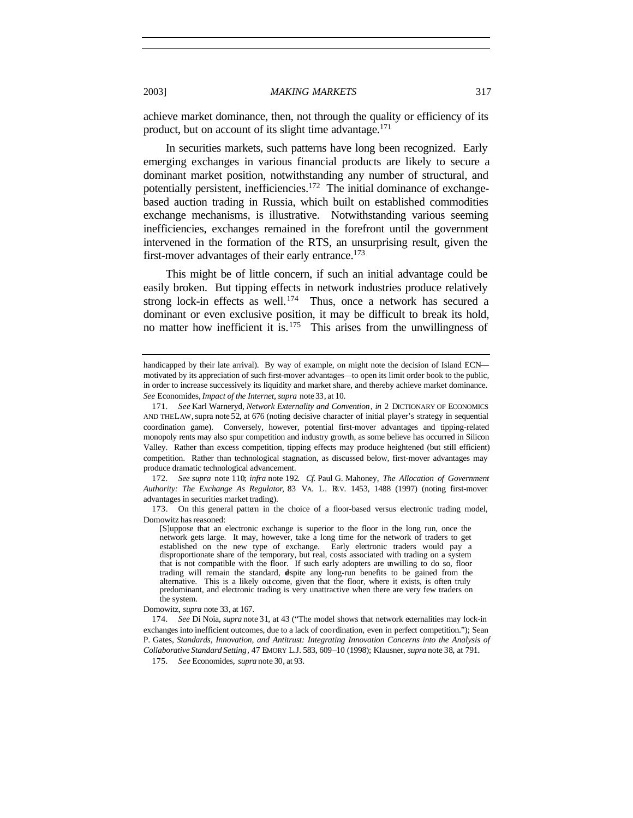achieve market dominance, then, not through the quality or efficiency of its product, but on account of its slight time advantage.<sup>171</sup>

In securities markets, such patterns have long been recognized. Early emerging exchanges in various financial products are likely to secure a dominant market position, notwithstanding any number of structural, and potentially persistent, inefficiencies.<sup>172</sup> The initial dominance of exchangebased auction trading in Russia, which built on established commodities exchange mechanisms, is illustrative. Notwithstanding various seeming inefficiencies, exchanges remained in the forefront until the government intervened in the formation of the RTS, an unsurprising result, given the first-mover advantages of their early entrance.<sup>173</sup>

This might be of little concern, if such an initial advantage could be easily broken. But tipping effects in network industries produce relatively strong lock-in effects as well.<sup>174</sup> Thus, once a network has secured a dominant or even exclusive position, it may be difficult to break its hold, no matter how inefficient it is.<sup>175</sup> This arises from the unwillingness of

172*. See supra* note 110; *infra* note 192. *Cf.* Paul G. Mahoney, *The Allocation of Government Authority: The Exchange As Regulator*, 83 VA. L. REV. 1453, 1488 (1997) (noting first-mover advantages in securities market trading).

173. On this general pattern in the choice of a floor-based versus electronic trading model, Domowitz has reasoned:

handicapped by their late arrival). By way of example, on might note the decision of Island ECN motivated by its appreciation of such first-mover advantages—to open its limit order book to the public, in order to increase successively its liquidity and market share, and thereby achieve market dominance. *See* Economides, *Impact of the Internet, supra* note 33, at 10.

<sup>171</sup>*. See* Karl Warneryd, *Network Externality and Convention*, *in* 2 DICTIONARY OF ECONOMICS AND THE LAW, supra note 52, at 676 (noting decisive character of initial player's strategy in sequential coordination game). Conversely, however, potential first-mover advantages and tipping-related monopoly rents may also spur competition and industry growth, as some believe has occurred in Silicon Valley. Rather than excess competition, tipping effects may produce heightened (but still efficient) competition. Rather than technological stagnation, as discussed below, first-mover advantages may produce dramatic technological advancement.

<sup>[</sup>S]uppose that an electronic exchange is superior to the floor in the long run, once the network gets large. It may, however, take a long time for the network of traders to get established on the new type of exchange. Early electronic traders would pay a disproportionate share of the temporary, but real, costs associated with trading on a system that is not compatible with the floor. If such early adopters are unwilling to do so, floor trading will remain the standard, despite any long-run benefits to be gained from the alternative. This is a likely outcome, given that the floor, where it exists, is often truly predominant, and electronic trading is very unattractive when there are very few traders on the system.

Domowitz, *supra* note 33, at 167.

<sup>174</sup>*. See* Di Noia, *supra* note 31, at 43 ("The model shows that network externalities may lock-in exchanges into inefficient outcomes, due to a lack of coordination, even in perfect competition."); Sean P. Gates, *Standards, Innovation, and Antitrust: Integrating Innovation Concerns into the Analysis of Collaborative Standard Setting*, 47 EMORY L.J. 583, 609–10 (1998); Klausner, *supra* note 38, at 791.

<sup>175</sup>*. See* Economides, *supra* note 30, at 93.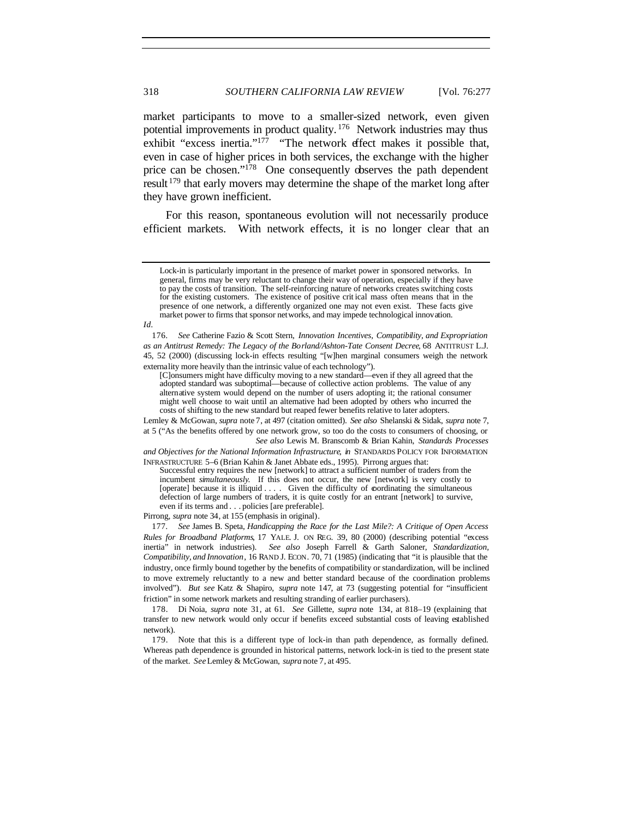market participants to move to a smaller-sized network, even given potential improvements in product quality. <sup>176</sup> Network industries may thus exhibit "excess inertia."<sup>177</sup> "The network effect makes it possible that, even in case of higher prices in both services, the exchange with the higher price can be chosen."<sup>178</sup> One consequently observes the path dependent result<sup>179</sup> that early movers may determine the shape of the market long after they have grown inefficient.

For this reason, spontaneous evolution will not necessarily produce efficient markets. With network effects, it is no longer clear that an

Lemley & McGowan, *supra* note 7, at 497 (citation omitted). *See also* Shelanski & Sidak, *supra* note 7, at 5 ("As the benefits offered by one network grow, so too do the costs to consumers of choosing, or *See also* Lewis M. Branscomb & Brian Kahin, *Standards Processes*

*and Objectives for the National Information Infrastructure*, *in* STANDARDS POLICY FOR INFORMATION INFRASTRUCTURE 5–6 (Brian Kahin & Janet Abbate eds., 1995). Pirrong argues that:

Successful entry requires the new [network] to attract a sufficient number of traders from the incumbent *simultaneously*. If this does not occur, the new [network] is very costly to [operate] because it is illiquid . . . . Given the difficulty of coordinating the simultaneous defection of large numbers of traders, it is quite costly for an entrant [network] to survive, even if its terms and . . . policies [are preferable].

Pirrong, *supra* note 34, at 155 (emphasis in original).

177*. See* James B. Speta, *Handicapping the Race for the Last Mile?: A Critique of Open Access Rules for Broadband Platforms*, 17 YALE. J. ON REG. 39, 80 (2000) (describing potential "excess inertia" in network industries). *See also* Joseph Farrell & Garth Saloner, *Standardization, Compatibility, and Innovation*, 16 RAND J. ECON. 70, 71 (1985) (indicating that "it is plausible that the industry, once firmly bound together by the benefits of compatibility or standardization, will be inclined to move extremely reluctantly to a new and better standard because of the coordination problems involved"). *But see* Katz & Shapiro, *supra* note 147, at 73 (suggesting potential for "insufficient friction" in some network markets and resulting stranding of earlier purchasers).

178. Di Noia, *supra* note 31, at 61. *See* Gillette, *supra* note 134, at 818–19 (explaining that transfer to new network would only occur if benefits exceed substantial costs of leaving established network).

179. Note that this is a different type of lock-in than path dependence, as formally defined. Whereas path dependence is grounded in historical patterns, network lock-in is tied to the present state of the market. *See* Lemley & McGowan, *supra* note 7, at 495.

Lock-in is particularly important in the presence of market power in sponsored networks. In general, firms may be very reluctant to change their way of operation, especially if they have to pay the costs of transition. The self-reinforcing nature of networks creates switching costs for the existing customers. The existence of positive crit ical mass often means that in the presence of one network, a differently organized one may not even exist. These facts give market power to firms that sponsor networks, and may impede technological innovation.

*Id.*

<sup>176</sup>*. See* Catherine Fazio & Scott Stern, *Innovation Incentives, Compatibility, and Expropriation as an Antitrust Remedy: The Legacy of the Borland/Ashton-Tate Consent Decree*, 68 ANTITRUST L.J. 45, 52 (2000) (discussing lock-in effects resulting "[w]hen marginal consumers weigh the network externality more heavily than the intrinsic value of each technology").

<sup>[</sup>C]onsumers might have difficulty moving to a new standard—even if they all agreed that the adopted standard was suboptimal—because of collective action problems. The value of any alternative system would depend on the number of users adopting it; the rational consumer might well choose to wait until an alternative had been adopted by others who incurred the costs of shifting to the new standard but reaped fewer benefits relative to later adopters.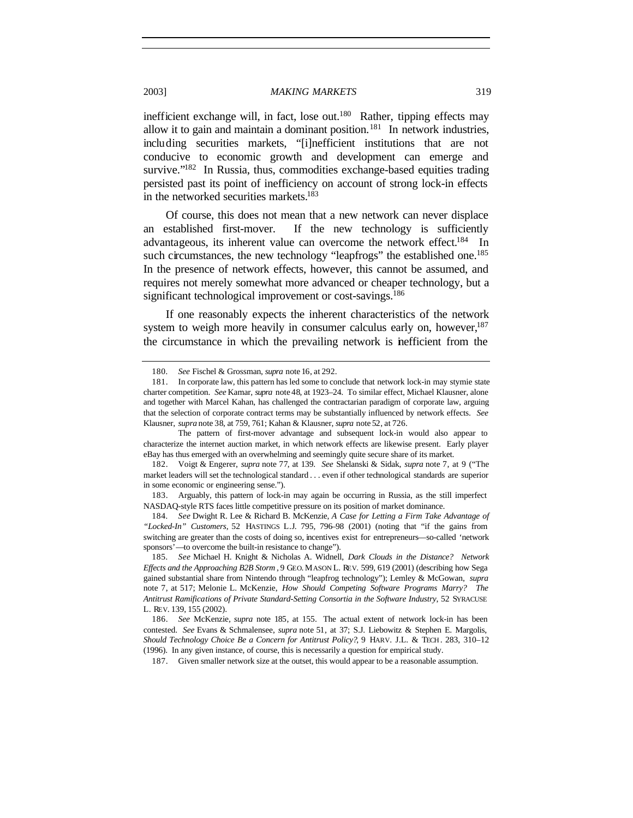inefficient exchange will, in fact, lose out. $180$  Rather, tipping effects may allow it to gain and maintain a dominant position.<sup>181</sup> In network industries, including securities markets, "[i]nefficient institutions that are not conducive to economic growth and development can emerge and survive."<sup>182</sup> In Russia, thus, commodities exchange-based equities trading persisted past its point of inefficiency on account of strong lock-in effects in the networked securities markets.<sup>183</sup>

Of course, this does not mean that a new network can never displace an established first-mover. If the new technology is sufficiently advantageous, its inherent value can overcome the network effect.<sup>184</sup> In such circumstances, the new technology "leapfrogs" the established one.<sup>185</sup> In the presence of network effects, however, this cannot be assumed, and requires not merely somewhat more advanced or cheaper technology, but a significant technological improvement or cost-savings.<sup>186</sup>

If one reasonably expects the inherent characteristics of the network system to weigh more heavily in consumer calculus early on, however, $187$ the circumstance in which the prevailing network is inefficient from the

<sup>180</sup>*. See* Fischel & Grossman, *supra* note 16, at 292.

<sup>181.</sup> In corporate law, this pattern has led some to conclude that network lock-in may stymie state charter competition. *See* Kamar, *supra* note 48, at 1923–24. To similar effect, Michael Klausner, alone and together with Marcel Kahan, has challenged the contractarian paradigm of corporate law, arguing that the selection of corporate contract terms may be substantially influenced by network effects. *See* Klausner, *supra* note 38, at 759, 761; Kahan & Klausner, *supra* note 52, at 726.

The pattern of first-mover advantage and subsequent lock-in would also appear to characterize the internet auction market, in which network effects are likewise present. Early player eBay has thus emerged with an overwhelming and seemingly quite secure share of its market.

<sup>182.</sup> Voigt & Engerer, *supra* note 77, at 139. *See* Shelanski & Sidak, *supra* note 7, at 9 ("The market leaders will set the technological standard . . . even if other technological standards are superior in some economic or engineering sense.").

<sup>183.</sup> Arguably, this pattern of lock-in may again be occurring in Russia, as the still imperfect NASDAQ-style RTS faces little competitive pressure on its position of market dominance.

<sup>184</sup>*. See* Dwight R. Lee & Richard B. McKenzie, *A Case for Letting a Firm Take Advantage of "Locked-In" Customers*, 52 HASTINGS L.J. 795, 796–98 (2001) (noting that "if the gains from switching are greater than the costs of doing so, incentives exist for entrepreneurs—so-called 'network sponsors'—to overcome the built-in resistance to change").

<sup>185</sup>*. See* Michael H. Knight & Nicholas A. Widnell, *Dark Clouds in the Distance? Network Effects and the Approaching B2B Storm* , 9 GEO. MASON L. REV. 599, 619 (2001) (describing how Sega gained substantial share from Nintendo through "leapfrog technology"); Lemley & McGowan, *supra* note 7, at 517; Melonie L. McKenzie, *How Should Competing Software Programs Marry? The Antitrust Ramifications of Private Standard-Setting Consortia in the Software Industry*, 52 SYRACUSE L. REV. 139, 155 (2002).

<sup>186.</sup> *See* McKenzie*, supra* note 185, at 155. The actual extent of network lock-in has been contested. *See* Evans & Schmalensee, *supra* note 51, at 37; S.J. Liebowitz & Stephen E. Margolis, *Should Technology Choice Be a Concern for Antitrust Policy?*, 9 HARV. J.L. & TECH . 283, 310–12 (1996). In any given instance, of course, this is necessarily a question for empirical study.

<sup>187.</sup> Given smaller network size at the outset, this would appear to be a reasonable assumption.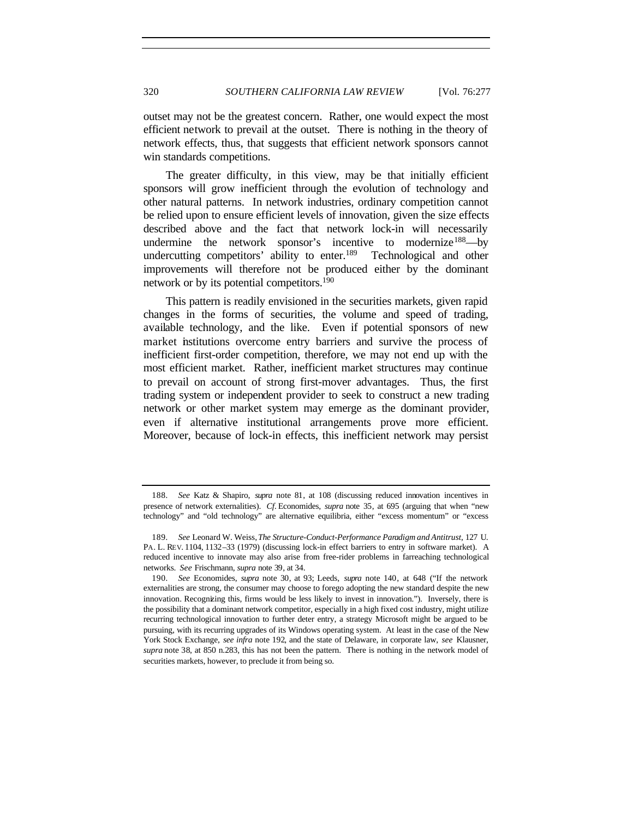outset may not be the greatest concern. Rather, one would expect the most efficient network to prevail at the outset. There is nothing in the theory of network effects, thus, that suggests that efficient network sponsors cannot win standards competitions.

The greater difficulty, in this view, may be that initially efficient sponsors will grow inefficient through the evolution of technology and other natural patterns. In network industries, ordinary competition cannot be relied upon to ensure efficient levels of innovation, given the size effects described above and the fact that network lock-in will necessarily undermine the network sponsor's incentive to modernize<sup>188</sup>—by undercutting competitors' ability to enter.<sup>189</sup> Technological and other improvements will therefore not be produced either by the dominant network or by its potential competitors.<sup>190</sup>

This pattern is readily envisioned in the securities markets, given rapid changes in the forms of securities, the volume and speed of trading, available technology, and the like. Even if potential sponsors of new market institutions overcome entry barriers and survive the process of inefficient first-order competition, therefore, we may not end up with the most efficient market. Rather, inefficient market structures may continue to prevail on account of strong first-mover advantages. Thus, the first trading system or independent provider to seek to construct a new trading network or other market system may emerge as the dominant provider, even if alternative institutional arrangements prove more efficient. Moreover, because of lock-in effects, this inefficient network may persist

<sup>188</sup>*. See* Katz & Shapiro, *supra* note 81, at 108 (discussing reduced innovation incentives in presence of network externalities). *Cf.* Economides, *supra* note 35, at 695 (arguing that when "new technology" and "old technology" are alternative equilibria, either "excess momentum" or "excess

<sup>189</sup>*. See* Leonard W. Weiss, *The Structure-Conduct-Performance Paradigm and Antitrust*, 127 U. PA. L. REV. 1104, 1132–33 (1979) (discussing lock-in effect barriers to entry in software market). A reduced incentive to innovate may also arise from free-rider problems in farreaching technological networks. *See* Frischmann, *supra* note 39, at 34.

<sup>190</sup>*. See* Economides, *supra* note 30, at 93; Leeds, *supra* note 140, at 648 ("If the network externalities are strong, the consumer may choose to forego adopting the new standard despite the new innovation. Recognizing this, firms would be less likely to invest in innovation."). Inversely, there is the possibility that a dominant network competitor, especially in a high fixed cost industry, might utilize recurring technological innovation to further deter entry, a strategy Microsoft might be argued to be pursuing, with its recurring upgrades of its Windows operating system. At least in the case of the New York Stock Exchange, *see infra* note 192, and the state of Delaware, in corporate law, *see* Klausner, *supra* note 38, at 850 n.283, this has not been the pattern. There is nothing in the network model of securities markets, however, to preclude it from being so.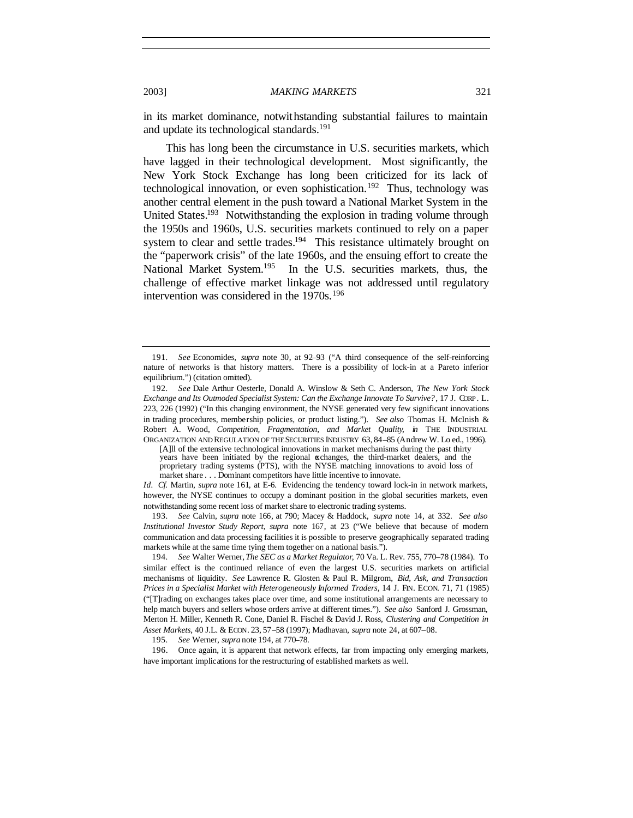in its market dominance, notwithstanding substantial failures to maintain and update its technological standards.<sup>191</sup>

This has long been the circumstance in U.S. securities markets, which have lagged in their technological development. Most significantly, the New York Stock Exchange has long been criticized for its lack of technological innovation, or even sophistication.<sup>192</sup> Thus, technology was another central element in the push toward a National Market System in the United States.<sup>193</sup> Notwithstanding the explosion in trading volume through the 1950s and 1960s, U.S. securities markets continued to rely on a paper system to clear and settle trades.<sup>194</sup> This resistance ultimately brought on the "paperwork crisis" of the late 1960s, and the ensuing effort to create the National Market System.<sup>195</sup> In the U.S. securities markets, thus, the challenge of effective market linkage was not addressed until regulatory intervention was considered in the 1970s.<sup>196</sup>

[A]ll of the extensive technological innovations in market mechanisms during the past thirty years have been initiated by the regional exchanges, the third-market dealers, and the proprietary trading systems (PTS), with the NYSE matching innovations to avoid loss of market share . . . Dominant competitors have little incentive to innovate.

*Id. Cf.* Martin, *supra* note 161, at E-6. Evidencing the tendency toward lock-in in network markets, however, the NYSE continues to occupy a dominant position in the global securities markets, even notwithstanding some recent loss of market share to electronic trading systems.

193*. See* Calvin, *supra* note 166, at 790; Macey & Haddock, *supra* note 14, at 332. *See also Institutional Investor Study Report*, *supra* note 167, at 23 ("We believe that because of modern communication and data processing facilities it is possible to preserve geographically separated trading markets while at the same time tying them together on a national basis.").

194*. See* Walter Werner, *The SEC as a Market Regulator*, 70 Va. L. Rev. 755, 770–78 (1984). To similar effect is the continued reliance of even the largest U.S. securities markets on artificial mechanisms of liquidity. *See* Lawrence R. Glosten & Paul R. Milgrom, *Bid, Ask, and Transaction Prices in a Specialist Market with Heterogeneously Informed Traders*, 14 J. FIN. ECON. 71, 71 (1985) ("[T]rading on exchanges takes place over time, and some institutional arrangements are necessary to help match buyers and sellers whose orders arrive at different times."). *See also* Sanford J. Grossman, Merton H. Miller, Kenneth R. Cone, Daniel R. Fischel & David J. Ross, *Clustering and Competition in Asset Markets*, 40 J.L. & ECON. 23, 57–58 (1997); Madhavan, *supra* note 24, at 607–08.

195*. See* Werner, *supra* note 194, at 770–78.

196. Once again, it is apparent that network effects, far from impacting only emerging markets, have important implications for the restructuring of established markets as well.

<sup>191</sup>*. See* Economides, *supra* note 30, at 92–93 ("A third consequence of the self-reinforcing nature of networks is that history matters. There is a possibility of lock-in at a Pareto inferior equilibrium.") (citation omitted).

<sup>192</sup>*. See* Dale Arthur Oesterle, Donald A. Winslow & Seth C. Anderson, *The New York Stock Exchange and Its Outmoded Specialist System: Can the Exchange Innovate To Survive?*, 17 J. CORP. L. 223, 226 (1992) ("In this changing environment, the NYSE generated very few significant innovations in trading procedures, membership policies, or product listing."). *See also* Thomas H. McInish & Robert A. Wood, *Competition, Fragmentation, and Market Quality*, *in* THE INDUSTRIAL ORGANIZATION AND REGULATION OF THE SECURITIES INDUSTRY 63, 84–85 (Andrew W. Lo ed., 1996).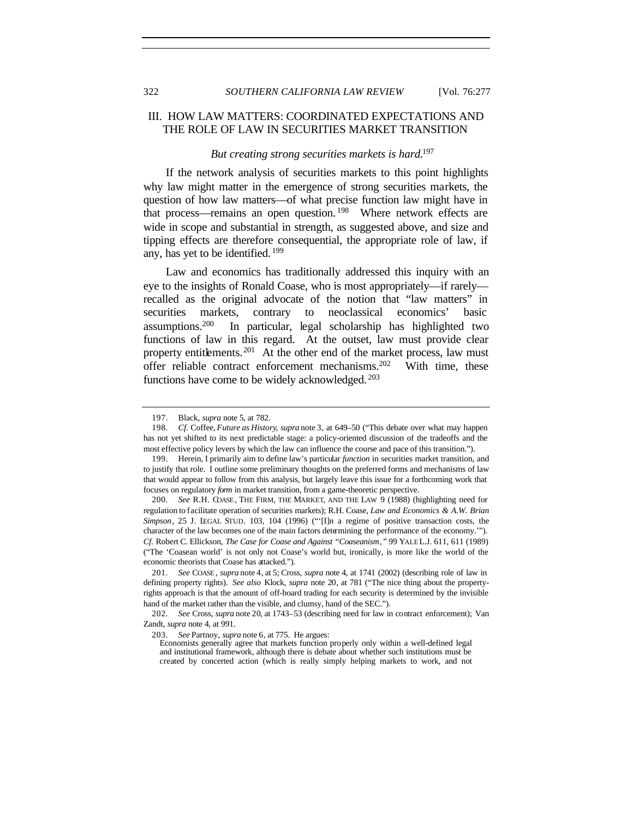# III. HOW LAW MATTERS: COORDINATED EXPECTATIONS AND THE ROLE OF LAW IN SECURITIES MARKET TRANSITION

## *But creating strong securities markets is hard.*<sup>197</sup>

If the network analysis of securities markets to this point highlights why law might matter in the emergence of strong securities markets, the question of how law matters—of what precise function law might have in that process—remains an open question. <sup>198</sup> Where network effects are wide in scope and substantial in strength, as suggested above, and size and tipping effects are therefore consequential, the appropriate role of law, if any, has yet to be identified. <sup>199</sup>

Law and economics has traditionally addressed this inquiry with an eye to the insights of Ronald Coase, who is most appropriately—if rarely recalled as the original advocate of the notion that "law matters" in securities markets, contrary to neoclassical economics' basic assumptions.<sup>200</sup> In particular, legal scholarship has highlighted two functions of law in this regard. At the outset, law must provide clear property entitlements.<sup>201</sup> At the other end of the market process, law must offer reliable contract enforcement mechanisms.<sup>202</sup> With time, these functions have come to be widely acknowledged. <sup>203</sup>

<sup>197.</sup> Black, *supra* note 5, at 782.

<sup>198</sup>*. Cf.* Coffee, *Future as History*, *supra* note 3, at 649–50 ("This debate over what may happen has not yet shifted to its next predictable stage: a policy-oriented discussion of the tradeoffs and the most effective policy levers by which the law can influence the course and pace of this transition.").

<sup>199.</sup> Herein, I primarily aim to define law's particular *function* in securities market transition, and to justify that role. I outline some preliminary thoughts on the preferred forms and mechanisms of law that would appear to follow from this analysis, but largely leave this issue for a forthcoming work that focuses on regulatory *form* in market transition, from a game-theoretic perspective.

<sup>200</sup>*. See* R.H. COASE , THE FIRM, THE MARKET, AND THE LAW 9 (1988) (highlighting need for regulation to facilitate operation of securities markets); R.H. Coase, *Law and Economics & A.W. Brian Simpson*, 25 J. LEGAL STUD. 103, 104 (1996) ("'[I]n a regime of positive transaction costs, the character of the law becomes one of the main factors determining the performance of the economy.'"). *Cf.* Robert C. Ellickson, *The Case for Coase and Against "Coaseanism*,*"* 99 YALE L.J. 611, 611 (1989) ("The 'Coasean world' is not only not Coase's world but, ironically, is more like the world of the economic theorists that Coase has attacked.").

<sup>201</sup>*. See* COASE , *supra* note 4, at 5; Cross, *supra* note 4, at 1741 (2002) (describing role of law in defining property rights). *See also* Klock, *supra* note 20, at 781 ("The nice thing about the propertyrights approach is that the amount of off-board trading for each security is determined by the invisible hand of the market rather than the visible, and clumsy, hand of the SEC.").

<sup>202</sup>*. See* Cross, *supra* note 20, at 1743–53 (describing need for law in contract enforcement); Van Zandt, *supra* note 4, at 991.

<sup>203</sup>*. See* Partnoy, *supra* note 6, at 775. He argues:

Economists generally agree that markets function properly only within a well-defined legal and institutional framework, although there is debate about whether such institutions must be created by concerted action (which is really simply helping markets to work, and not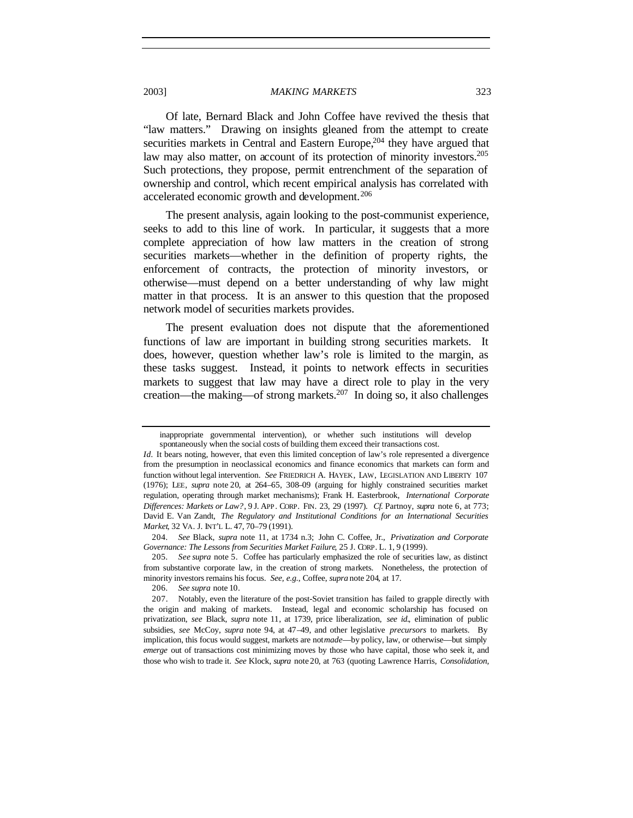Of late, Bernard Black and John Coffee have revived the thesis that "law matters." Drawing on insights gleaned from the attempt to create securities markets in Central and Eastern Europe,<sup>204</sup> they have argued that law may also matter, on account of its protection of minority investors.<sup>205</sup> Such protections, they propose, permit entrenchment of the separation of ownership and control, which recent empirical analysis has correlated with accelerated economic growth and development.<sup>206</sup>

The present analysis, again looking to the post-communist experience, seeks to add to this line of work. In particular, it suggests that a more complete appreciation of how law matters in the creation of strong securities markets—whether in the definition of property rights, the enforcement of contracts, the protection of minority investors, or otherwise—must depend on a better understanding of why law might matter in that process. It is an answer to this question that the proposed network model of securities markets provides.

The present evaluation does not dispute that the aforementioned functions of law are important in building strong securities markets. It does, however, question whether law's role is limited to the margin, as these tasks suggest. Instead, it points to network effects in securities markets to suggest that law may have a direct role to play in the very creation—the making—of strong markets.<sup>207</sup> In doing so, it also challenges

205*. See supra* note 5. Coffee has particularly emphasized the role of securities law, as distinct from substantive corporate law, in the creation of strong markets. Nonetheless, the protection of minority investors remains his focus. *See, e.g.*, Coffee, *supra* note 204, at 17.

206*. See supra* note 10.

inappropriate governmental intervention), or whether such institutions will develop spontaneously when the social costs of building them exceed their transactions cost.

*Id.* It bears noting, however, that even this limited conception of law's role represented a divergence from the presumption in neoclassical economics and finance economics that markets can form and function without legal intervention. *See* FRIEDRICH A. HAYEK, LAW, LEGISLATION AND LIBERTY 107 (1976); LEE, *supra* note 20, at 264–65, 308–09 (arguing for highly constrained securities market regulation, operating through market mechanisms); Frank H. Easterbrook, *International Corporate Differences: Markets or Law?*, 9 J. APP. CORP. FIN. 23, 29 (1997). *Cf.* Partnoy, *supra* note 6, at 773; David E. Van Zandt, *The Regulatory and Institutional Conditions for an International Securities Market*, 32 VA. J. INT'L L. 47, 70–79 (1991).

<sup>204</sup>*. See* Black, *supra* note 11, at 1734 n.3; John C. Coffee, Jr., *Privatization and Corporate Governance: The Lessons from Securities Market Failure*, 25 J. CORP. L. 1, 9 (1999).

<sup>207.</sup> Notably, even the literature of the post-Soviet transition has failed to grapple directly with the origin and making of markets. Instead, legal and economic scholarship has focused on privatization, *see* Black, *supra* note 11, at 1739, price liberalization, *see id.*, elimination of public subsidies, *see* McCoy, *supra* note 94, at 47–49, and other legislative *precursors* to markets. By implication, this focus would suggest, markets are not *made*—by policy, law, or otherwise—but simply *emerge* out of transactions cost minimizing moves by those who have capital, those who seek it, and those who wish to trade it. *See* Klock, *supra* note 20, at 763 (quoting Lawrence Harris, *Consolidation,*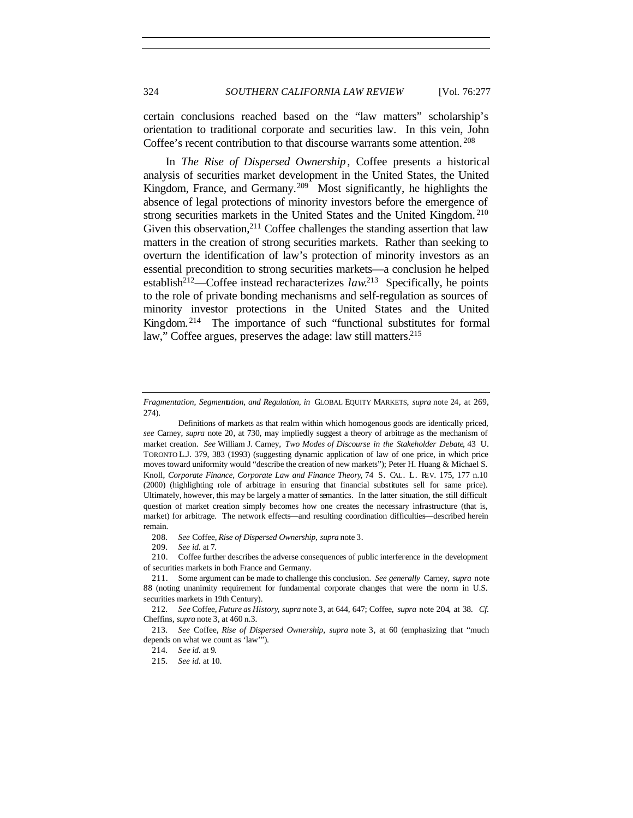certain conclusions reached based on the "law matters" scholarship's orientation to traditional corporate and securities law. In this vein, John Coffee's recent contribution to that discourse warrants some attention. <sup>208</sup>

In *The Rise of Dispersed Ownership*, Coffee presents a historical analysis of securities market development in the United States, the United Kingdom, France, and Germany.<sup>209</sup> Most significantly, he highlights the absence of legal protections of minority investors before the emergence of strong securities markets in the United States and the United Kingdom.<sup>210</sup> Given this observation,  $2^{11}$  Coffee challenges the standing assertion that law matters in the creation of strong securities markets. Rather than seeking to overturn the identification of law's protection of minority investors as an essential precondition to strong securities markets—a conclusion he helped establish<sup>212</sup>—Coffee instead recharacterizes  $law^{213}$  Specifically, he points to the role of private bonding mechanisms and self-regulation as sources of minority investor protections in the United States and the United Kingdom. <sup>214</sup> The importance of such "functional substitutes for formal law," Coffee argues, preserves the adage: law still matters.<sup>215</sup>

208*. See* Coffee, *Rise of Dispersed Ownership*, *supra* note 3.

215*. See id.* at 10.

*Fragmentation, Segmentation, and Regulation, in* GLOBAL EQUITY MARKETS, *supra* note 24, at 269, 274).

Definitions of markets as that realm within which homogenous goods are identically priced, *see* Carney, *supra* note 20, at 730, may impliedly suggest a theory of arbitrage as the mechanism of market creation. *See* William J. Carney, *Two Modes of Discourse in the Stakeholder Debate*, 43 U. TORONTO L.J. 379, 383 (1993) (suggesting dynamic application of law of one price, in which price moves toward uniformity would "describe the creation of new markets"); Peter H. Huang & Michael S. Knoll, *Corporate Finance, Corporate Law and Finance Theory*, 74 S. CAL. L. REV. 175, 177 n.10 (2000) (highlighting role of arbitrage in ensuring that financial substitutes sell for same price). Ultimately, however, this may be largely a matter of semantics. In the latter situation, the still difficult question of market creation simply becomes how one creates the necessary infrastructure (that is, market) for arbitrage. The network effects—and resulting coordination difficulties—described herein remain.

<sup>209</sup>*. See id.* at 7.

<sup>210.</sup> Coffee further describes the adverse consequences of public interference in the development of securities markets in both France and Germany.

<sup>211.</sup> Some argument can be made to challenge this conclusion. *See generally* Carney, *supra* note 88 (noting unanimity requirement for fundamental corporate changes that were the norm in U.S. securities markets in 19th Century).

<sup>212</sup>*. See* Coffee, *Future as History*, *supra* note 3, at 644, 647; Coffee, *supra* note 204, at 38. *Cf.* Cheffins, *supra* note 3, at 460 n.3.

<sup>213</sup>*. See* Coffee, *Rise of Dispersed Ownership*, *supra* note 3, at 60 (emphasizing that "much depends on what we count as 'law'").

<sup>214</sup>*. See id.* at 9.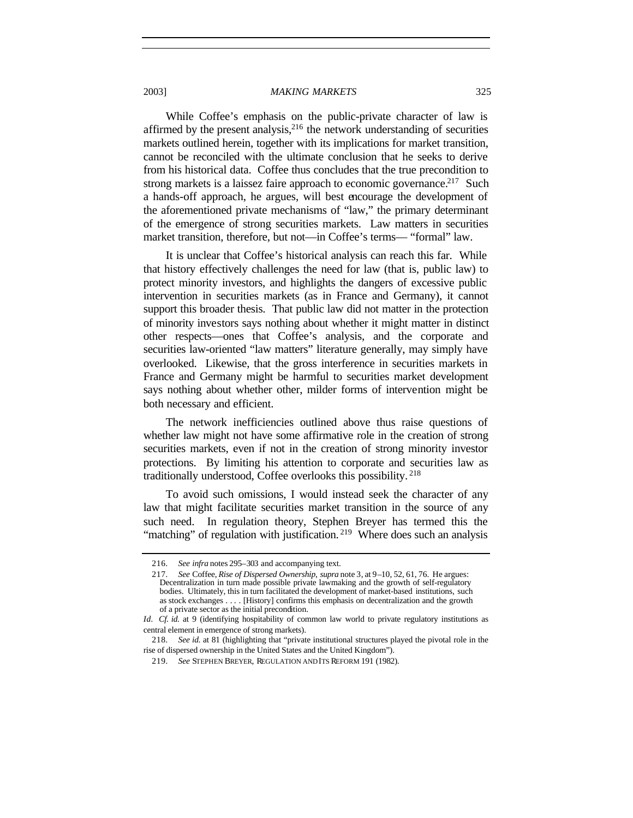While Coffee's emphasis on the public-private character of law is affirmed by the present analysis, $2^{16}$  the network understanding of securities markets outlined herein, together with its implications for market transition, cannot be reconciled with the ultimate conclusion that he seeks to derive from his historical data. Coffee thus concludes that the true precondition to strong markets is a laissez faire approach to economic governance.<sup>217</sup> Such a hands-off approach, he argues, will best encourage the development of the aforementioned private mechanisms of "law," the primary determinant of the emergence of strong securities markets. Law matters in securities market transition, therefore, but not—in Coffee's terms— "formal" law.

It is unclear that Coffee's historical analysis can reach this far. While that history effectively challenges the need for law (that is, public law) to protect minority investors, and highlights the dangers of excessive public intervention in securities markets (as in France and Germany), it cannot support this broader thesis. That public law did not matter in the protection of minority investors says nothing about whether it might matter in distinct other respects—ones that Coffee's analysis, and the corporate and securities law-oriented "law matters" literature generally, may simply have overlooked. Likewise, that the gross interference in securities markets in France and Germany might be harmful to securities market development says nothing about whether other, milder forms of intervention might be both necessary and efficient.

The network inefficiencies outlined above thus raise questions of whether law might not have some affirmative role in the creation of strong securities markets, even if not in the creation of strong minority investor protections. By limiting his attention to corporate and securities law as traditionally understood, Coffee overlooks this possibility. <sup>218</sup>

To avoid such omissions, I would instead seek the character of any law that might facilitate securities market transition in the source of any such need. In regulation theory, Stephen Breyer has termed this the "matching" of regulation with justification.<sup>219</sup> Where does such an analysis

<sup>216</sup>*. See infra* notes 295–303 and accompanying text.

<sup>217</sup>*. See* Coffee, *Rise of Dispersed Ownership*, *supra* note 3, at 9–10, 52, 61, 76. He argues: Decentralization in turn made possible private lawmaking and the growth of self-regulatory bodies. Ultimately, this in turn facilitated the development of market-based institutions, such as stock exchanges . . . . [History] confirms this emphasis on decentralization and the growth of a private sector as the initial precondition.

*Id.* Cf. id. at 9 (identifying hospitability of common law world to private regulatory institutions as central element in emergence of strong markets).

<sup>218</sup>*. See id.* at 81 (highlighting that "private institutional structures played the pivotal role in the rise of dispersed ownership in the United States and the United Kingdom").

<sup>219</sup>*. See* STEPHEN BREYER, REGULATION AND ITS REFORM 191 (1982).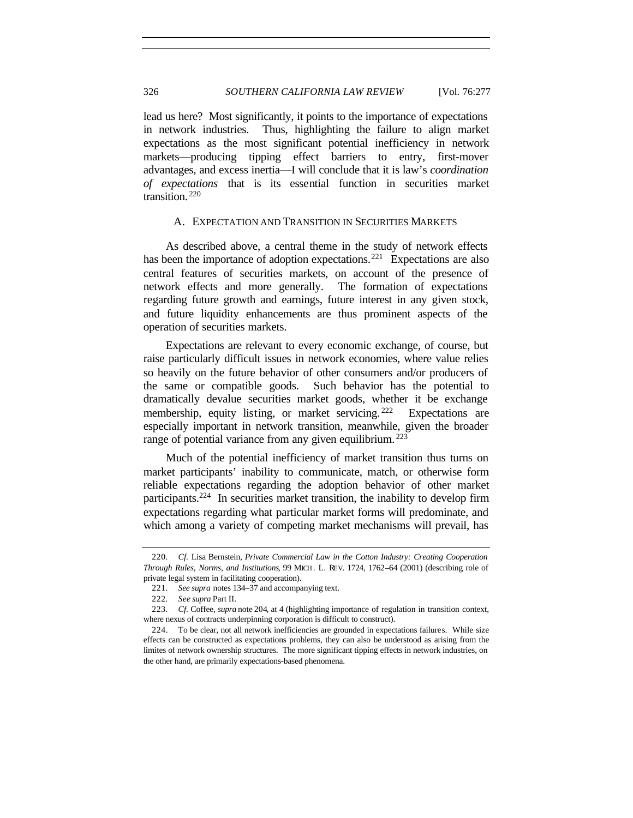lead us here? Most significantly, it points to the importance of expectations in network industries. Thus, highlighting the failure to align market expectations as the most significant potential inefficiency in network markets—producing tipping effect barriers to entry, first-mover advantages, and excess inertia—I will conclude that it is law's *coordination of expectations* that is its essential function in securities market transition. <sup>220</sup>

## A. EXPECTATION AND TRANSITION IN SECURITIES MARKETS

As described above, a central theme in the study of network effects has been the importance of adoption expectations.<sup>221</sup> Expectations are also central features of securities markets, on account of the presence of network effects and more generally. The formation of expectations regarding future growth and earnings, future interest in any given stock, and future liquidity enhancements are thus prominent aspects of the operation of securities markets.

Expectations are relevant to every economic exchange, of course, but raise particularly difficult issues in network economies, where value relies so heavily on the future behavior of other consumers and/or producers of the same or compatible goods. Such behavior has the potential to dramatically devalue securities market goods, whether it be exchange membership, equity listing, or market servicing.<sup>222</sup> Expectations are especially important in network transition, meanwhile, given the broader range of potential variance from any given equilibrium.<sup>223</sup>

Much of the potential inefficiency of market transition thus turns on market participants' inability to communicate, match, or otherwise form reliable expectations regarding the adoption behavior of other market participants.<sup>224</sup> In securities market transition, the inability to develop firm expectations regarding what particular market forms will predominate, and which among a variety of competing market mechanisms will prevail, has

<sup>220</sup>*. Cf.* Lisa Bernstein, *Private Commercial Law in the Cotton Industry: Creating Cooperation Through Rules, Norms, and Institutions*, 99 MICH. L. REV. 1724, 1762–64 (2001) (describing role of private legal system in facilitating cooperation).

<sup>221</sup>*. See supra* notes 134–37 and accompanying text.

<sup>222</sup>*. See supra* Part II.

<sup>223</sup>*. Cf.* Coffee, *supra* note 204, at 4 (highlighting importance of regulation in transition context, where nexus of contracts underpinning corporation is difficult to construct).

<sup>224.</sup> To be clear, not all network inefficiencies are grounded in expectations failures. While size effects can be constructed as expectations problems, they can also be understood as arising from the limites of network ownership structures. The more significant tipping effects in network industries, on the other hand, are primarily expectations-based phenomena.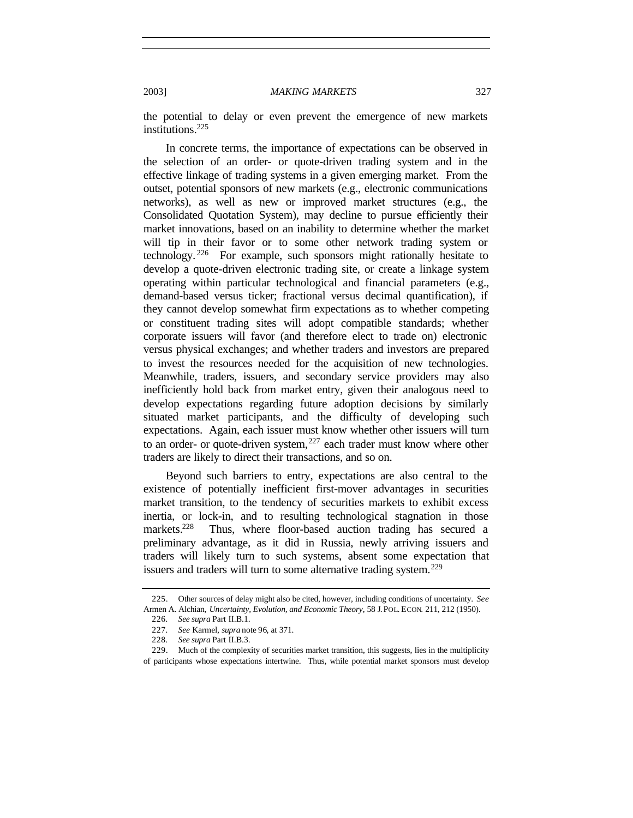the potential to delay or even prevent the emergence of new markets institutions.<sup>225</sup>

In concrete terms, the importance of expectations can be observed in the selection of an order- or quote-driven trading system and in the effective linkage of trading systems in a given emerging market. From the outset, potential sponsors of new markets (e.g., electronic communications networks), as well as new or improved market structures (e.g., the Consolidated Quotation System), may decline to pursue efficiently their market innovations, based on an inability to determine whether the market will tip in their favor or to some other network trading system or technology. <sup>226</sup> For example, such sponsors might rationally hesitate to develop a quote-driven electronic trading site, or create a linkage system operating within particular technological and financial parameters (e.g., demand-based versus ticker; fractional versus decimal quantification), if they cannot develop somewhat firm expectations as to whether competing or constituent trading sites will adopt compatible standards; whether corporate issuers will favor (and therefore elect to trade on) electronic versus physical exchanges; and whether traders and investors are prepared to invest the resources needed for the acquisition of new technologies. Meanwhile, traders, issuers, and secondary service providers may also inefficiently hold back from market entry, given their analogous need to develop expectations regarding future adoption decisions by similarly situated market participants, and the difficulty of developing such expectations. Again, each issuer must know whether other issuers will turn to an order- or quote-driven system,  $227$  each trader must know where other traders are likely to direct their transactions, and so on.

Beyond such barriers to entry, expectations are also central to the existence of potentially inefficient first-mover advantages in securities market transition, to the tendency of securities markets to exhibit excess inertia, or lock-in, and to resulting technological stagnation in those<br>markets.<sup>228</sup> Thus, where floor-based auction trading has secured a Thus, where floor-based auction trading has secured a preliminary advantage, as it did in Russia, newly arriving issuers and traders will likely turn to such systems, absent some expectation that issuers and traders will turn to some alternative trading system.<sup>229</sup>

<sup>225.</sup> Other sources of delay might also be cited, however, including conditions of uncertainty. *See* Armen A. Alchian, *Uncertainty, Evolution, and Economic Theory*, 58 J. POL. ECON. 211, 212 (1950).

<sup>226</sup>*. See supra* Part II.B.1.

<sup>227</sup>*. See* Karmel, *supra* note 96, at 371.

<sup>228</sup>*. See supra* Part II.B.3.

<sup>229.</sup> Much of the complexity of securities market transition, this suggests, lies in the multiplicity of participants whose expectations intertwine. Thus, while potential market sponsors must develop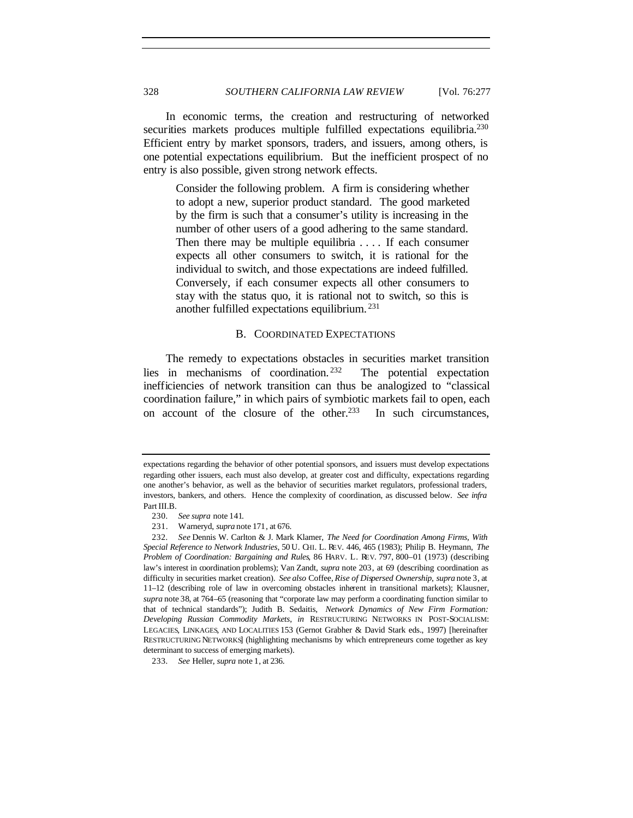In economic terms, the creation and restructuring of networked securities markets produces multiple fulfilled expectations equilibria.<sup>230</sup> Efficient entry by market sponsors, traders, and issuers, among others, is one potential expectations equilibrium. But the inefficient prospect of no entry is also possible, given strong network effects.

Consider the following problem. A firm is considering whether to adopt a new, superior product standard. The good marketed by the firm is such that a consumer's utility is increasing in the number of other users of a good adhering to the same standard. Then there may be multiple equilibria . . . . If each consumer expects all other consumers to switch, it is rational for the individual to switch, and those expectations are indeed fulfilled. Conversely, if each consumer expects all other consumers to stay with the status quo, it is rational not to switch, so this is another fulfilled expectations equilibrium. <sup>231</sup>

## B. COORDINATED EXPECTATIONS

The remedy to expectations obstacles in securities market transition lies in mechanisms of coordination. <sup>232</sup> The potential expectation inefficiencies of network transition can thus be analogized to "classical coordination failure," in which pairs of symbiotic markets fail to open, each on account of the closure of the other.<sup>233</sup> In such circumstances,

expectations regarding the behavior of other potential sponsors, and issuers must develop expectations regarding other issuers, each must also develop, at greater cost and difficulty, expectations regarding one another's behavior, as well as the behavior of securities market regulators, professional traders, investors, bankers, and others. Hence the complexity of coordination, as discussed below. *See infra* Part III.B.

<sup>230</sup>*. See supra* note 141.

<sup>231.</sup> Warneryd, *supra* note 171, at 676.

<sup>232</sup>*. See* Dennis W. Carlton & J. Mark Klamer, *The Need for Coordination Among Firms, With Special Reference to Network Industries*, 50 U. CHI. L. REV. 446, 465 (1983); Philip B. Heymann, *The Problem of Coordination: Bargaining and Rules*, 86 HARV. L. REV. 797, 800–01 (1973) (describing law's interest in coordination problems); Van Zandt, *supra* note 203, at 69 (describing coordination as difficulty in securities market creation). *See also* Coffee, *Rise of Dispersed Ownership*, *supra* note 3, at 11–12 (describing role of law in overcoming obstacles inherent in transitional markets); Klausner, *supra* note 38, at 764–65 (reasoning that "corporate law may perform a coordinating function similar to that of technical standards"); Judith B. Sedaitis, *Network Dynamics of New Firm Formation: Developing Russian Commodity Markets*, *in* RESTRUCTURING NETWORKS IN POST-SOCIALISM: LEGACIES, LINKAGES, AND LOCALITIES 153 (Gernot Grabher & David Stark eds., 1997) [hereinafter RESTRUCTURING NETWORKS] (highlighting mechanisms by which entrepreneurs come together as key determinant to success of emerging markets).

<sup>233</sup>*. See* Heller, *supra* note 1, at 236.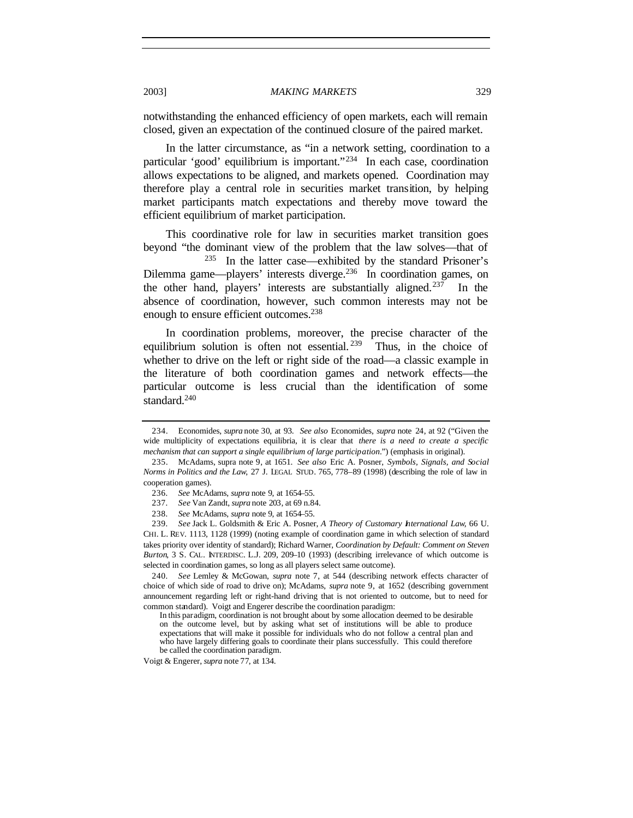notwithstanding the enhanced efficiency of open markets, each will remain closed, given an expectation of the continued closure of the paired market.

In the latter circumstance, as "in a network setting, coordination to a particular 'good' equilibrium is important."<sup>234</sup> In each case, coordination allows expectations to be aligned, and markets opened. Coordination may therefore play a central role in securities market transition, by helping market participants match expectations and thereby move toward the efficient equilibrium of market participation.

This coordinative role for law in securities market transition goes beyond "the dominant view of the problem that the law solves—that of

<sup>235</sup> In the latter case—exhibited by the standard Prisoner's Dilemma game—players' interests diverge.<sup>236</sup> In coordination games, on the other hand, players' interests are substantially aligned.<sup>237</sup> In the absence of coordination, however, such common interests may not be enough to ensure efficient outcomes.<sup>238</sup>

In coordination problems, moreover, the precise character of the equilibrium solution is often not essential.<sup>239</sup> Thus, in the choice of whether to drive on the left or right side of the road—a classic example in the literature of both coordination games and network effects—the particular outcome is less crucial than the identification of some standard. $240$ 

239*. See* Jack L. Goldsmith & Eric A. Posner, *A Theory of Customary International Law*, 66 U. CHI. L. REV. 1113, 1128 (1999) (noting example of coordination game in which selection of standard takes priority over identity of standard); Richard Warner, *Coordination by Default: Comment on Steven Burton*, 3 S. CAL. INTERDISC. L.J. 209, 209–10 (1993) (describing irrelevance of which outcome is selected in coordination games, so long as all players select same outcome).

240*. See* Lemley & McGowan, *supra* note 7, at 544 (describing network effects character of choice of which side of road to drive on); McAdams, *supra* note 9, at 1652 (describing government announcement regarding left or right-hand driving that is not oriented to outcome, but to need for common standard). Voigt and Engerer describe the coordination paradigm:

Voigt & Engerer, *supra* note 77, at 134.

<sup>234.</sup> Economides, *supra* note 30, at 93. *See also* Economides, *supra* note 24, at 92 ("Given the wide multiplicity of expectations equilibria, it is clear that *there is a need to create a specific mechanism that can support a single equilibrium of large participation*.") (emphasis in original).

<sup>235.</sup> McAdams, supra note 9, at 1651. *See also* Eric A. Posner, *Symbols, Signals, and Social Norms in Politics and the Law*, 27 J. LEGAL STUD. 765, 778–89 (1998) (describing the role of law in cooperation games).

<sup>236</sup>*. See* McAdams, *supra* note 9, at 1654–55.

<sup>237</sup>*. See* Van Zandt, *supra* note 203, at 69 n.84.

<sup>238</sup>*. See* McAdams, *supra* note 9, at 1654–55.

In this paradigm, coordination is not brought about by some allocation deemed to be desirable on the outcome level, but by asking what set of institutions will be able to produce expectations that will make it possible for individuals who do not follow a central plan and who have largely differing goals to coordinate their plans successfully. This could therefore be called the coordination paradigm.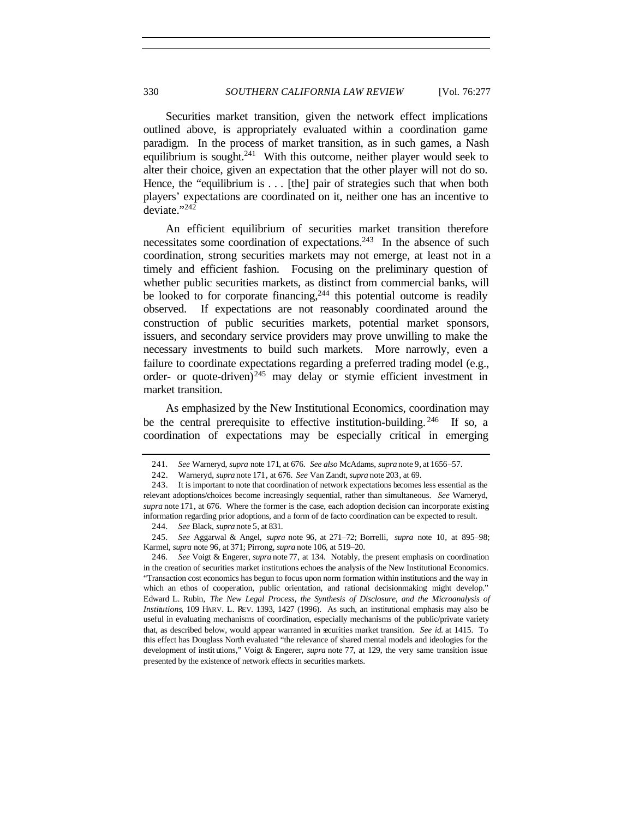Securities market transition, given the network effect implications outlined above, is appropriately evaluated within a coordination game paradigm. In the process of market transition, as in such games, a Nash equilibrium is sought.<sup>241</sup> With this outcome, neither player would seek to alter their choice, given an expectation that the other player will not do so. Hence, the "equilibrium is . . . [the] pair of strategies such that when both players' expectations are coordinated on it, neither one has an incentive to deviate."<sup>242</sup>

An efficient equilibrium of securities market transition therefore necessitates some coordination of expectations.<sup>243</sup> In the absence of such coordination, strong securities markets may not emerge, at least not in a timely and efficient fashion. Focusing on the preliminary question of whether public securities markets, as distinct from commercial banks, will be looked to for corporate financing,<sup>244</sup> this potential outcome is readily observed. If expectations are not reasonably coordinated around the construction of public securities markets, potential market sponsors, issuers, and secondary service providers may prove unwilling to make the necessary investments to build such markets. More narrowly, even a failure to coordinate expectations regarding a preferred trading model (e.g., order- or quote-driven) $^{245}$  may delay or stymie efficient investment in market transition.

As emphasized by the New Institutional Economics, coordination may be the central prerequisite to effective institution-building.  $246$  If so, a coordination of expectations may be especially critical in emerging

<sup>241</sup>*. See* Warneryd, *supra* note 171, at 676. *See also* McAdams, *supra* note 9, at 1656–57.

<sup>242.</sup> Warneryd, *supra* note 171, at 676. *See* Van Zandt, *supra* note 203, at 69.

<sup>243.</sup> It is important to note that coordination of network expectations becomes less essential as the relevant adoptions/choices become increasingly sequential, rather than simultaneous. *See* Warneryd, *supra* note 171, at 676. Where the former is the case, each adoption decision can incorporate existing information regarding prior adoptions, and a form of de facto coordination can be expected to result.

<sup>244</sup>*. See* Black, *supra* note 5, at 831.

<sup>245</sup>*. See* Aggarwal & Angel, *supra* note 96, at 271–72; Borrelli, *supra* note 10, at 895–98; Karmel, *supra* note 96, at 371; Pirrong, *supra* note 106, at 519–20.

<sup>246</sup>*. See* Voigt & Engerer, *supra* note 77, at 134. Notably, the present emphasis on coordination in the creation of securities market institutions echoes the analysis of the New Institutional Economics. "Transaction cost economics has begun to focus upon norm formation within institutions and the way in which an ethos of cooperation, public orientation, and rational decisionmaking might develop." Edward L. Rubin, *The New Legal Process, the Synthesis of Disclosure, and the Microanalysis of Institutions*, 109 HARV. L. REV. 1393, 1427 (1996). As such, an institutional emphasis may also be useful in evaluating mechanisms of coordination, especially mechanisms of the public/private variety that, as described below, would appear warranted in securities market transition. *See id.* at 1415. To this effect has Douglass North evaluated "the relevance of shared mental models and ideologies for the development of instit utions," Voigt & Engerer, *supra* note 77, at 129, the very same transition issue presented by the existence of network effects in securities markets.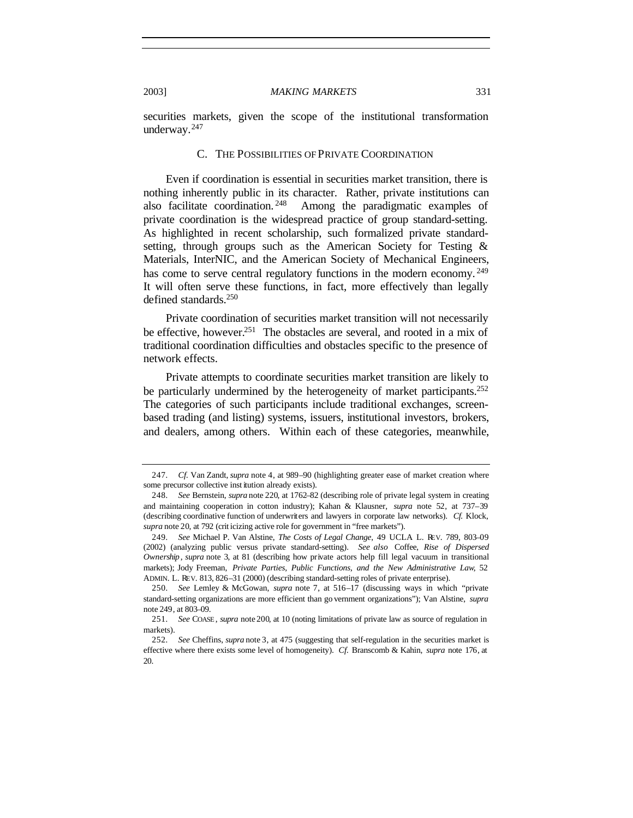securities markets, given the scope of the institutional transformation underway.<sup>247</sup>

#### C. THE POSSIBILITIES OF PRIVATE COORDINATION

Even if coordination is essential in securities market transition, there is nothing inherently public in its character. Rather, private institutions can also facilitate coordination.<sup>248</sup> Among the paradigmatic examples of Among the paradigmatic examples of private coordination is the widespread practice of group standard-setting. As highlighted in recent scholarship, such formalized private standardsetting, through groups such as the American Society for Testing & Materials, InterNIC, and the American Society of Mechanical Engineers, has come to serve central regulatory functions in the modern economy.<sup>249</sup> It will often serve these functions, in fact, more effectively than legally defined standards.<sup>250</sup>

Private coordination of securities market transition will not necessarily be effective, however.<sup>251</sup> The obstacles are several, and rooted in a mix of traditional coordination difficulties and obstacles specific to the presence of network effects.

Private attempts to coordinate securities market transition are likely to be particularly undermined by the heterogeneity of market participants.<sup>252</sup> The categories of such participants include traditional exchanges, screenbased trading (and listing) systems, issuers, institutional investors, brokers, and dealers, among others. Within each of these categories, meanwhile,

<sup>247</sup>*. Cf.* Van Zandt, *supra* note 4, at 989–90 (highlighting greater ease of market creation where some precursor collective inst itution already exists).

<sup>248</sup>*. See* Bernstein, *supra* note 220, at 1762–82 (describing role of private legal system in creating and maintaining cooperation in cotton industry); Kahan & Klausner, *supra* note 52, at 737–39 (describing coordinative function of underwriters and lawyers in corporate law networks). *Cf.* Klock, *supra* note 20, at 792 (crit icizing active role for government in "free markets").

<sup>249</sup>*. See* Michael P. Van Alstine, *The Costs of Legal Change*, 49 UCLA L. REV. 789, 803–09 (2002) (analyzing public versus private standard-setting). *See also* Coffee, *Rise of Dispersed Ownership* , *supra* note 3, at 81 (describing how private actors help fill legal vacuum in transitional markets); Jody Freeman, *Private Parties, Public Functions, and the New Administrative Law*, 52 ADMIN. L. REV. 813, 826–31 (2000) (describing standard-setting roles of private enterprise).

<sup>250</sup>*. See* Lemley & McGowan, *supra* note 7, at 516–17 (discussing ways in which "private standard-setting organizations are more efficient than go vernment organizations"); Van Alstine, *supra* note 249, at 803–09.

<sup>251</sup>*. See* COASE , *supra* note 200, at 10 (noting limitations of private law as source of regulation in markets).

<sup>252</sup>*. See* Cheffins, *supra* note 3, at 475 (suggesting that self-regulation in the securities market is effective where there exists some level of homogeneity). *Cf.* Branscomb & Kahin, *supra* note 176, at 20.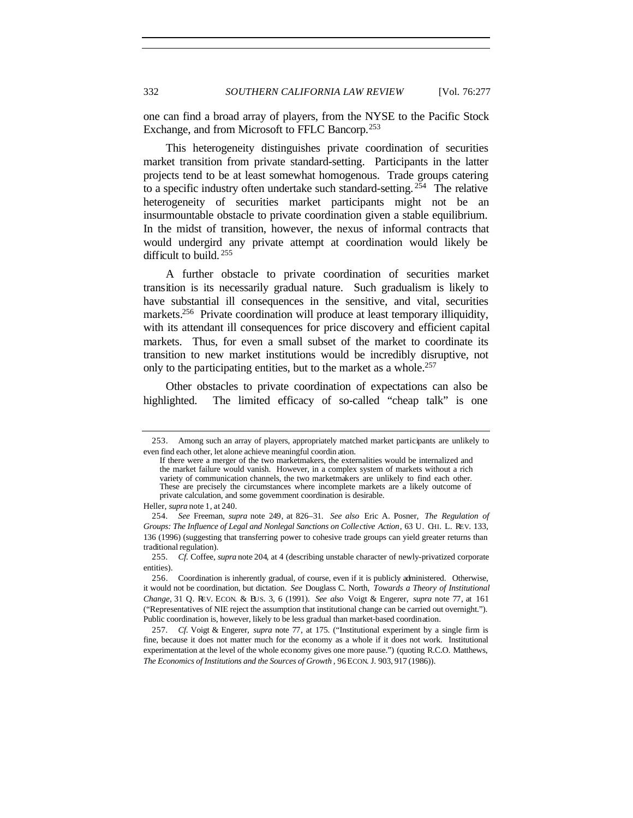one can find a broad array of players, from the NYSE to the Pacific Stock Exchange, and from Microsoft to FFLC Bancorp.<sup>253</sup>

This heterogeneity distinguishes private coordination of securities market transition from private standard-setting. Participants in the latter projects tend to be at least somewhat homogenous. Trade groups catering to a specific industry often undertake such standard-setting. <sup>254</sup> The relative heterogeneity of securities market participants might not be an insurmountable obstacle to private coordination given a stable equilibrium. In the midst of transition, however, the nexus of informal contracts that would undergird any private attempt at coordination would likely be difficult to build.<sup>255</sup>

A further obstacle to private coordination of securities market transition is its necessarily gradual nature. Such gradualism is likely to have substantial ill consequences in the sensitive, and vital, securities markets.<sup>256</sup> Private coordination will produce at least temporary illiquidity, with its attendant ill consequences for price discovery and efficient capital markets. Thus, for even a small subset of the market to coordinate its transition to new market institutions would be incredibly disruptive, not only to the participating entities, but to the market as a whole.<sup>257</sup>

Other obstacles to private coordination of expectations can also be highlighted. The limited efficacy of so-called "cheap talk" is one

Heller, *supra* note 1, at 240.

<sup>253.</sup> Among such an array of players, appropriately matched market participants are unlikely to even find each other, let alone achieve meaningful coordin ation.

If there were a merger of the two marketmakers, the externalities would be internalized and the market failure would vanish. However, in a complex system of markets without a rich variety of communication channels, the two marketmakers are unlikely to find each other. These are precisely the circumstances where incomplete markets are a likely outcome of private calculation, and some government coordination is desirable.

<sup>254</sup>*. See* Freeman, *supra* note 249, at 826–31. *See also* Eric A. Posner, *The Regulation of Groups: The Influence of Legal and Nonlegal Sanctions on Collective Action*, 63 U. CHI. L. REV. 133, 136 (1996) (suggesting that transferring power to cohesive trade groups can yield greater returns than traditional regulation).

<sup>255</sup>*. Cf.* Coffee, *supra* note 204, at 4 (describing unstable character of newly-privatized corporate entities).

<sup>256.</sup> Coordination is inherently gradual, of course, even if it is publicly administered. Otherwise, it would not be coordination, but dictation. *See* Douglass C. North, *Towards a Theory of Institutional Change*, 31 Q. REV. ECON. & BUS. 3, 6 (1991). *See also* Voigt & Engerer, *supra* note 77, at 161 ("Representatives of NIE reject the assumption that institutional change can be carried out overnight."). Public coordination is, however, likely to be less gradual than market-based coordination.

<sup>257</sup>*. Cf*. Voigt & Engerer, *supra* note 77, at 175. ("Institutional experiment by a single firm is fine, because it does not matter much for the economy as a whole if it does not work. Institutional experimentation at the level of the whole economy gives one more pause.") (quoting R.C.O. Matthews, *The Economics of Institutions and the Sources of Growth* , 96 ECON. J. 903, 917 (1986)).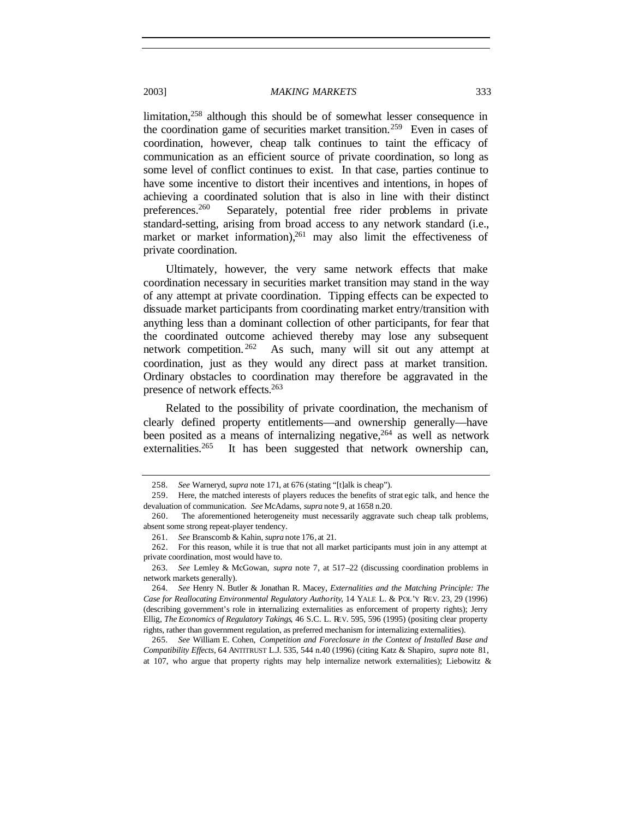limitation,<sup>258</sup> although this should be of somewhat lesser consequence in the coordination game of securities market transition.<sup>259</sup> Even in cases of coordination, however, cheap talk continues to taint the efficacy of communication as an efficient source of private coordination, so long as some level of conflict continues to exist. In that case, parties continue to have some incentive to distort their incentives and intentions, in hopes of achieving a coordinated solution that is also in line with their distinct preferences.<sup>260</sup> Separately, potential free rider problems in private standard-setting, arising from broad access to any network standard (i.e., market or market information),  $^{261}$  may also limit the effectiveness of private coordination.

Ultimately, however, the very same network effects that make coordination necessary in securities market transition may stand in the way of any attempt at private coordination. Tipping effects can be expected to dissuade market participants from coordinating market entry/transition with anything less than a dominant collection of other participants, for fear that the coordinated outcome achieved thereby may lose any subsequent network competition. <sup>262</sup> As such, many will sit out any attempt at coordination, just as they would any direct pass at market transition. Ordinary obstacles to coordination may therefore be aggravated in the presence of network effects.<sup>263</sup>

Related to the possibility of private coordination, the mechanism of clearly defined property entitlements—and ownership generally—have been posited as a means of internalizing negative,<sup>264</sup> as well as network externalities.<sup>265</sup> It has been suggested that network ownership can,

265*. See* William E. Cohen, *Competition and Foreclosure in the Context of Installed Base and Compatibility Effects*, 64 ANTITRUST L.J. 535, 544 n.40 (1996) (citing Katz & Shapiro, *supra* note 81, at 107, who argue that property rights may help internalize network externalities); Liebowitz &

<sup>258</sup>*. See* Warneryd, *supra* note 171, at 676 (stating "[t]alk is cheap").

<sup>259.</sup> Here, the matched interests of players reduces the benefits of strat egic talk, and hence the devaluation of communication. *See* McAdams, *supra* note 9, at 1658 n.20.

<sup>260.</sup> The aforementioned heterogeneity must necessarily aggravate such cheap talk problems, absent some strong repeat-player tendency.

<sup>261</sup>*. See* Branscomb & Kahin, *supra* note 176, at 21.

<sup>262.</sup> For this reason, while it is true that not all market participants must join in any attempt at private coordination, most would have to.

<sup>263</sup>*. See* Lemley & McGowan, *supra* note 7, at 517–22 (discussing coordination problems in network markets generally).

<sup>264</sup>*. See* Henry N. Butler & Jonathan R. Macey, *Externalities and the Matching Principle: The Case for Reallocating Environmental Regulatory Authority*, 14 YALE L. & POL'Y REV. 23, 29 (1996) (describing government's role in internalizing externalities as enforcement of property rights); Jerry Ellig, *The Economics of Regulatory Takings*, 46 S.C. L. REV. 595, 596 (1995) (positing clear property rights, rather than government regulation, as preferred mechanism for internalizing externalities).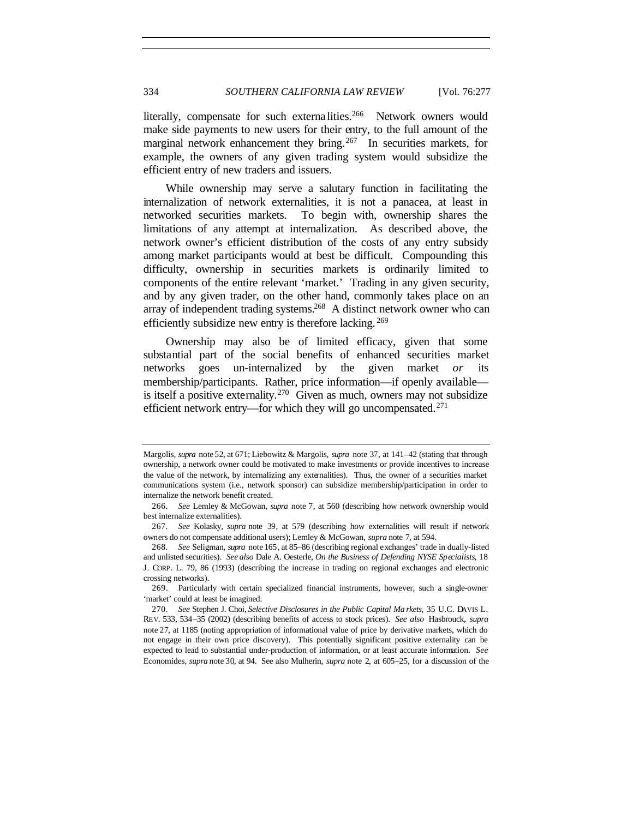literally, compensate for such externa lities.<sup>266</sup> Network owners would make side payments to new users for their entry, to the full amount of the marginal network enhancement they bring.<sup>267</sup> In securities markets, for example, the owners of any given trading system would subsidize the efficient entry of new traders and issuers.

While ownership may serve a salutary function in facilitating the internalization of network externalities, it is not a panacea, at least in networked securities markets. To begin with, ownership shares the limitations of any attempt at internalization. As described above, the network owner's efficient distribution of the costs of any entry subsidy among market participants would at best be difficult. Compounding this difficulty, ownership in securities markets is ordinarily limited to components of the entire relevant 'market.' Trading in any given security, and by any given trader, on the other hand, commonly takes place on an array of independent trading systems.<sup>268</sup> A distinct network owner who can efficiently subsidize new entry is therefore lacking. <sup>269</sup>

Ownership may also be of limited efficacy, given that some substantial part of the social benefits of enhanced securities market networks goes un-internalized by the given market *or* its membership/participants. Rather, price information—if openly available is itself a positive externality.<sup>270</sup> Given as much, owners may not subsidize efficient network entry—for which they will go uncompensated.<sup>271</sup>

Margolis, *supra* note 52, at 671; Liebowitz & Margolis, *supra* note 37, at 141–42 (stating that through ownership, a network owner could be motivated to make investments or provide incentives to increase the value of the network, by internalizing any externalities). Thus, the owner of a securities market communications system (i.e., network sponsor) can subsidize membership/participation in order to internalize the network benefit created.

<sup>266</sup>*. See* Lemley & McGowan, *supra* note 7, at 560 (describing how network ownership would best internalize externalities).

<sup>267</sup>*. See* Kolasky, *supra* note 39, at 579 (describing how externalities will result if network owners do not compensate additional users); Lemley & McGowan, *supra* note 7, at 594.

<sup>268</sup>*. See* Seligman, *supra* note 165, at 85–86 (describing regional exchanges' trade in dually-listed and unlisted securities). *See also* Dale A. Oesterle, *On the Business of Defending NYSE Specialists*, 18 J. CORP. L. 79, 86 (1993) (describing the increase in trading on regional exchanges and electronic crossing networks).

<sup>269.</sup> Particularly with certain specialized financial instruments, however, such a single-owner 'market' could at least be imagined.

<sup>270</sup>*. See* Stephen J. Choi, *Selective Disclosures in the Public Capital Ma rkets*, 35 U.C. DAVIS L. REV. 533, 534–35 (2002) (describing benefits of access to stock prices). *See also* Hasbrouck, *supra* note 27, at 1185 (noting appropriation of informational value of price by derivative markets, which do not engage in their own price discovery). This potentially significant positive externality can be expected to lead to substantial under-production of information, or at least accurate information. *See* Economides, *supra* note 30, at 94. See also Mulherin, *supra* note 2, at 605–25, for a discussion of the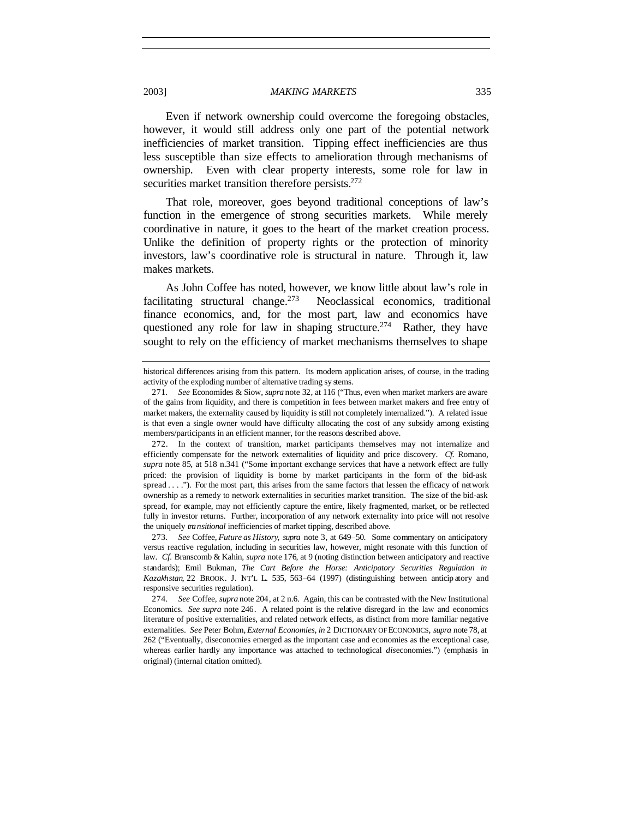Even if network ownership could overcome the foregoing obstacles, however, it would still address only one part of the potential network inefficiencies of market transition. Tipping effect inefficiencies are thus less susceptible than size effects to amelioration through mechanisms of ownership. Even with clear property interests, some role for law in securities market transition therefore persists.<sup>272</sup>

That role, moreover, goes beyond traditional conceptions of law's function in the emergence of strong securities markets. While merely coordinative in nature, it goes to the heart of the market creation process. Unlike the definition of property rights or the protection of minority investors, law's coordinative role is structural in nature. Through it, law makes markets.

As John Coffee has noted, however, we know little about law's role in facilitating structural change.<sup>273</sup> Neoclassical economics, traditional finance economics, and, for the most part, law and economics have questioned any role for law in shaping structure.<sup>274</sup> Rather, they have sought to rely on the efficiency of market mechanisms themselves to shape

historical differences arising from this pattern. Its modern application arises, of course, in the trading activity of the exploding number of alternative trading sy stems.

<sup>271</sup>*. See* Economides & Siow, *supra* note 32, at 116 ("Thus, even when market markers are aware of the gains from liquidity, and there is competition in fees between market makers and free entry of market makers, the externality caused by liquidity is still not completely internalized."). A related issue is that even a single owner would have difficulty allocating the cost of any subsidy among existing members/participants in an efficient manner, for the reasons described above.

<sup>272.</sup> In the context of transition, market participants themselves may not internalize and efficiently compensate for the network externalities of liquidity and price discovery. *Cf.* Romano, *supra* note 85, at 518 n.341 ("Some important exchange services that have a network effect are fully priced: the provision of liquidity is borne by market participants in the form of the bid-ask spread . . . ."). For the most part, this arises from the same factors that lessen the efficacy of network ownership as a remedy to network externalities in securities market transition. The size of the bid-ask spread, for example, may not efficiently capture the entire, likely fragmented, market, or be reflected fully in investor returns. Further, incorporation of any network externality into price will not resolve the uniquely *transitional* inefficiencies of market tipping, described above.

<sup>273</sup>*. See* Coffee, *Future as History*, *supra* note 3, at 649–50. Some commentary on anticipatory versus reactive regulation, including in securities law, however, might resonate with this function of law. *Cf.* Branscomb & Kahin, *supra* note 176, at 9 (noting distinction between anticipatory and reactive standards); Emil Bukman, *The Cart Before the Horse: Anticipatory Securities Regulation in Kazakhstan*, 22 BROOK. J. INT'L L. 535, 563–64 (1997) (distinguishing between anticip atory and responsive securities regulation).

<sup>274</sup>*. See* Coffee, *supra* note 204, at 2 n.6. Again, this can be contrasted with the New Institutional Economics. *See supra* note 246. A related point is the relative disregard in the law and economics literature of positive externalities, and related network effects, as distinct from more familiar negative externalities. *See* Peter Bohm, *External Economies*, *in* 2 DICTIONARY OF ECONOMICS, *supra* note 78, at 262 ("Eventually, diseconomies emerged as the important case and economies as the exceptional case, whereas earlier hardly any importance was attached to technological *dis*economies.") (emphasis in original) (internal citation omitted).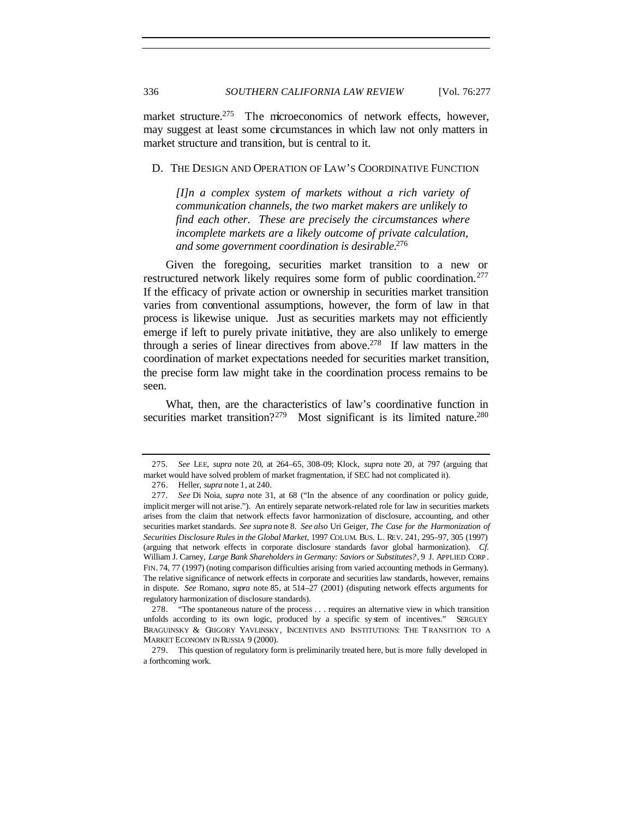market structure.<sup>275</sup> The microeconomics of network effects, however, may suggest at least some circumstances in which law not only matters in market structure and transition, but is central to it.

#### D. THE DESIGN AND OPERATION OF LAW'S COORDINATIVE FUNCTION

*[I]n a complex system of markets without a rich variety of communication channels, the two market makers are unlikely to find each other. These are precisely the circumstances where incomplete markets are a likely outcome of private calculation, and some government coordination is desirable.*<sup>276</sup>

Given the foregoing, securities market transition to a new or restructured network likely requires some form of public coordination.<sup>277</sup> If the efficacy of private action or ownership in securities market transition varies from conventional assumptions, however, the form of law in that process is likewise unique. Just as securities markets may not efficiently emerge if left to purely private initiative, they are also unlikely to emerge through a series of linear directives from above.<sup>278</sup> If law matters in the coordination of market expectations needed for securities market transition, the precise form law might take in the coordination process remains to be seen.

What, then, are the characteristics of law's coordinative function in securities market transition?<sup>279</sup> Most significant is its limited nature.<sup>280</sup>

<sup>275</sup>*. See* LEE, *supra* note 20, at 264–65, 308–09; Klock, *supra* note 20, at 797 (arguing that market would have solved problem of market fragmentation, if SEC had not complicated it).

<sup>276.</sup> Heller, *supra* note 1, at 240.

<sup>277</sup>*. See* Di Noia, *supra* note 31, at 68 ("In the absence of any coordination or policy guide, implicit merger will not arise."). An entirely separate network-related role for law in securities markets arises from the claim that network effects favor harmonization of disclosure, accounting, and other securities market standards. *See supra* note 8. *See also* Uri Geiger, *The Case for the Harmonization of Securities Disclosure Rules in the Global Market*, 1997 COLUM. BUS. L. REV. 241, 295–97, 305 (1997) (arguing that network effects in corporate disclosure standards favor global harmonization). *Cf.* William J. Carney, *Large Bank Shareholders in Germany: Saviors or Substitutes?*, 9 J. APPLIED CORP . FIN. 74, 77 (1997) (noting comparison difficulties arising from varied accounting methods in Germany). The relative significance of network effects in corporate and securities law standards, however, remains in dispute. *See* Romano, *supra* note 85, at 514–27 (2001) (disputing network effects arguments for regulatory harmonization of disclosure standards).

<sup>278.</sup> "The spontaneous nature of the process . . . requires an alternative view in which transition unfolds according to its own logic, produced by a specific sy stem of incentives." SERGUEY BRAGUINSKY & GRIGORY YAVLINSKY, INCENTIVES AND INSTITUTIONS: THE TRANSITION TO A MARKET ECONOMY IN RUSSIA 9 (2000).

<sup>279.</sup> This question of regulatory form is preliminarily treated here, but is more fully developed in a forthcoming work.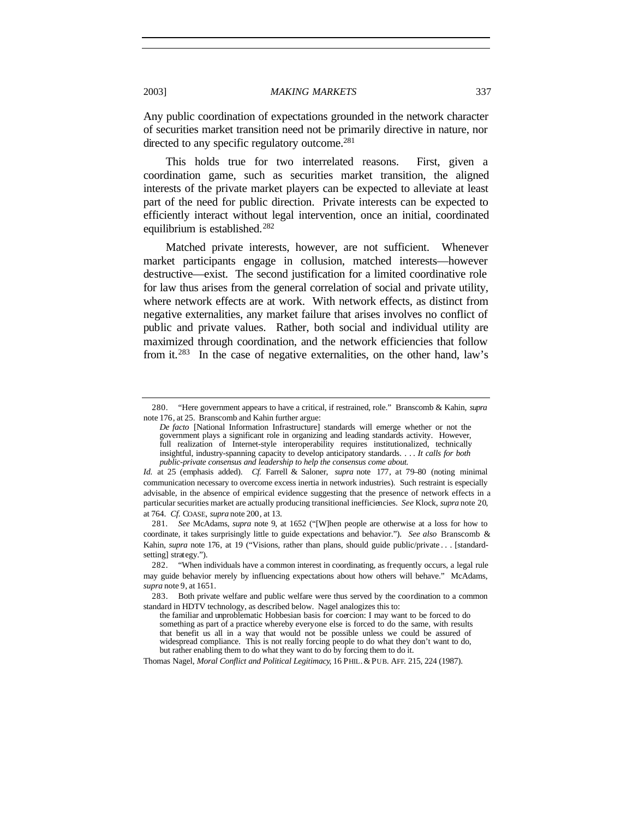Any public coordination of expectations grounded in the network character of securities market transition need not be primarily directive in nature, nor directed to any specific regulatory outcome.<sup>281</sup>

This holds true for two interrelated reasons. First, given a coordination game, such as securities market transition, the aligned interests of the private market players can be expected to alleviate at least part of the need for public direction. Private interests can be expected to efficiently interact without legal intervention, once an initial, coordinated equilibrium is established.<sup>282</sup>

Matched private interests, however, are not sufficient. Whenever market participants engage in collusion, matched interests—however destructive—exist. The second justification for a limited coordinative role for law thus arises from the general correlation of social and private utility, where network effects are at work. With network effects, as distinct from negative externalities, any market failure that arises involves no conflict of public and private values. Rather, both social and individual utility are maximized through coordination, and the network efficiencies that follow from it.<sup>283</sup> In the case of negative externalities, on the other hand, law's

Thomas Nagel, *Moral Conflict and Political Legitimacy*, 16 PHIL. & PUB. AFF. 215, 224 (1987).

<sup>280.</sup> "Here government appears to have a critical, if restrained, role." Branscomb & Kahin, *supra* note 176, at 25. Branscomb and Kahin further argue:

*De facto* [National Information Infrastructure] standards will emerge whether or not the government plays a significant role in organizing and leading standards activity. However, full realization of Internet-style interoperability requires institutionalized, technically insightful, industry-spanning capacity to develop anticipatory standards. . . . *It calls for both public-private consensus and leadership to help the consensus come about.*

*Id.* at 25 (emphasis added). *Cf.* Farrell & Saloner, *supra* note 177, at 79–80 (noting minimal communication necessary to overcome excess inertia in network industries). Such restraint is especially advisable, in the absence of empirical evidence suggesting that the presence of network effects in a particular securities market are actually producing transitional inefficiencies. *See* Klock, *supra* note 20, at 764. *Cf.* COASE, *supra* note 200, at 13.

<sup>281</sup>*. See* McAdams, *supra* note 9, at 1652 ("[W]hen people are otherwise at a loss for how to coordinate, it takes surprisingly little to guide expectations and behavior."). *See also* Branscomb & Kahin, *supra* note 176, at 19 ("Visions, rather than plans, should guide public/private . . . [standardsetting] strategy.").

<sup>282.</sup> "When individuals have a common interest in coordinating, as frequently occurs, a legal rule may guide behavior merely by influencing expectations about how others will behave." McAdams, *supra* note 9, at 1651.

<sup>283.</sup> Both private welfare and public welfare were thus served by the coordination to a common standard in HDTV technology, as described below. Nagel analogizes this to:

the familiar and unproblematic Hobbesian basis for coercion: I may want to be forced to do something as part of a practice whereby everyone else is forced to do the same, with results that benefit us all in a way that would not be possible unless we could be assured of widespread compliance. This is not really forcing people to do what they don't want to do, but rather enabling them to do what they want to do by forcing them to do it.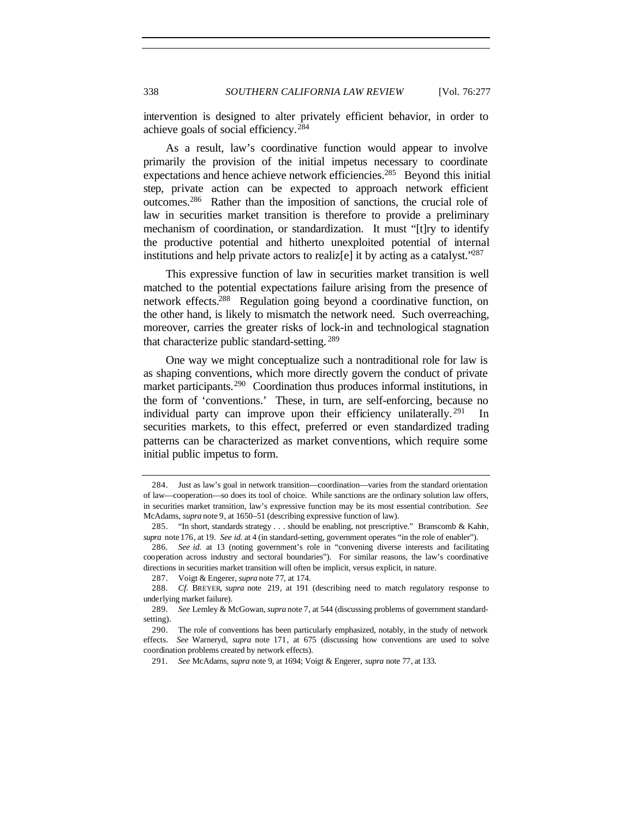intervention is designed to alter privately efficient behavior, in order to achieve goals of social efficiency.<sup>284</sup>

As a result, law's coordinative function would appear to involve primarily the provision of the initial impetus necessary to coordinate expectations and hence achieve network efficiencies.<sup>285</sup> Beyond this initial step, private action can be expected to approach network efficient outcomes.<sup>286</sup> Rather than the imposition of sanctions, the crucial role of law in securities market transition is therefore to provide a preliminary mechanism of coordination, or standardization. It must "[t]ry to identify the productive potential and hitherto unexploited potential of internal institutions and help private actors to realiz[e] it by acting as a catalyst." $287$ 

This expressive function of law in securities market transition is well matched to the potential expectations failure arising from the presence of network effects.<sup>288</sup> Regulation going beyond a coordinative function, on the other hand, is likely to mismatch the network need. Such overreaching, moreover, carries the greater risks of lock-in and technological stagnation that characterize public standard-setting. <sup>289</sup>

One way we might conceptualize such a nontraditional role for law is as shaping conventions, which more directly govern the conduct of private market participants.<sup>290</sup> Coordination thus produces informal institutions, in the form of 'conventions.' These, in turn, are self-enforcing, because no individual party can improve upon their efficiency unilaterally.<sup>291</sup> In securities markets, to this effect, preferred or even standardized trading patterns can be characterized as market conventions, which require some initial public impetus to form.

<sup>284.</sup> Just as law's goal in network transition—coordination—varies from the standard orientation of law—cooperation—so does its tool of choice. While sanctions are the ordinary solution law offers, in securities market transition, law's expressive function may be its most essential contribution. *See* McAdams, *supra* note 9, at 1650–51 (describing expressive function of law).

<sup>285.</sup> "In short, standards strategy . . . should be enabling, not prescriptive." Branscomb & Kahin, *supra* note 176, at 19. *See id.* at 4 (in standard-setting, government operates "in the role of enabler").

<sup>286</sup>*. See id.* at 13 (noting government's role in "convening diverse interests and facilitating cooperation across industry and sectoral boundaries"). For similar reasons, the law's coordinative directions in securities market transition will often be implicit, versus explicit, in nature.

<sup>287.</sup> Voigt & Engerer, *supra* note 77, at 174.

<sup>288</sup>*. Cf.* BREYER, *supra* note 219, at 191 (describing need to match regulatory response to underlying market failure).

<sup>289</sup>*. See* Lemley & McGowan, *supra* note 7, at 544 (discussing problems of government standardsetting).

<sup>290.</sup> The role of conventions has been particularly emphasized, notably, in the study of network effects. *See* Warneryd, *supra* note 171, at 675 (discussing how conventions are used to solve coordination problems created by network effects).

<sup>291</sup>*. See* McAdams, *supra* note 9, at 1694; Voigt & Engerer, *supra* note 77, at 133.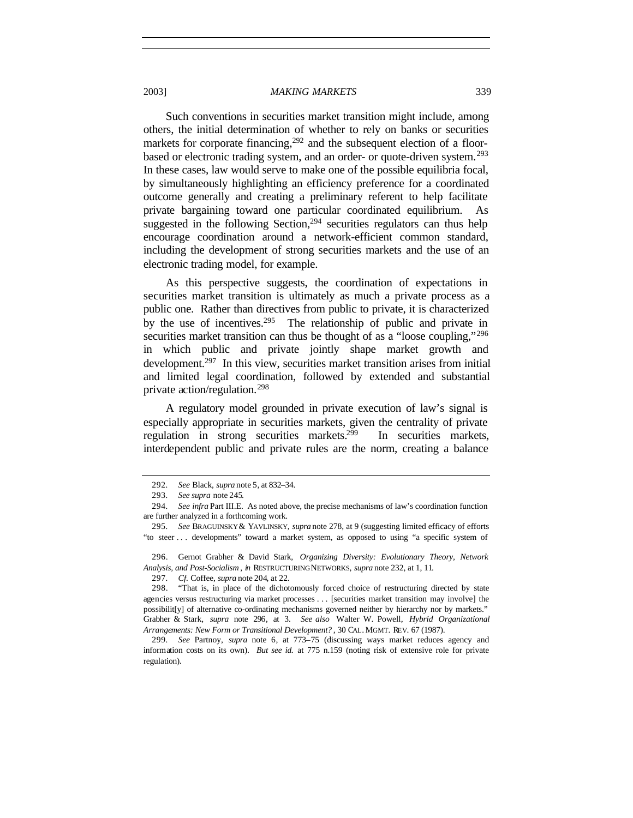Such conventions in securities market transition might include, among others, the initial determination of whether to rely on banks or securities markets for corporate financing,  $292$  and the subsequent election of a floorbased or electronic trading system, and an order- or quote-driven system.<sup>293</sup> In these cases, law would serve to make one of the possible equilibria focal, by simultaneously highlighting an efficiency preference for a coordinated outcome generally and creating a preliminary referent to help facilitate private bargaining toward one particular coordinated equilibrium. As suggested in the following Section,  $294$  securities regulators can thus help encourage coordination around a network-efficient common standard, including the development of strong securities markets and the use of an electronic trading model, for example.

As this perspective suggests, the coordination of expectations in securities market transition is ultimately as much a private process as a public one. Rather than directives from public to private, it is characterized by the use of incentives.<sup>295</sup> The relationship of public and private in securities market transition can thus be thought of as a "loose coupling,"<sup>296</sup> in which public and private jointly shape market growth and development.<sup>297</sup> In this view, securities market transition arises from initial and limited legal coordination, followed by extended and substantial private action/regulation.<sup>298</sup>

A regulatory model grounded in private execution of law's signal is especially appropriate in securities markets, given the centrality of private regulation in strong securities markets.<sup>299</sup> In securities markets, interdependent public and private rules are the norm, creating a balance

<sup>292</sup>*. See* Black, *supra* note 5, at 832–34.

<sup>293</sup>*. See supra* note 245.

<sup>294</sup>*. See infra* Part III.E. As noted above, the precise mechanisms of law's coordination function are further analyzed in a forthcoming work.

<sup>295</sup>*. See* BRAGUINSKY & YAVLINSKY, *supra* note 278, at 9 (suggesting limited efficacy of efforts "to steer . . . developments" toward a market system, as opposed to using "a specific system of

<sup>296.</sup> Gernot Grabher & David Stark, *Organizing Diversity: Evolutionary Theory, Network Analysis, and Post-Socialism* , *in* RESTRUCTURING NETWORKS, *supra* note 232, at 1, 11.

<sup>297</sup>*. Cf.* Coffee, *supra* note 204, at 22.

<sup>298.</sup> "That is, in place of the dichotomously forced choice of restructuring directed by state agencies versus restructuring via market processes . . . [securities market transition may involve] the possibilit[y] of alternative co-ordinating mechanisms governed neither by hierarchy nor by markets." Grabher & Stark, *supra* note 296, at 3. *See also* Walter W. Powell, *Hybrid Organizational Arrangements: New Form or Transitional Development?* , 30 CAL. MGMT. REV. 67 (1987).

<sup>299</sup>*. See* Partnoy, *supra* note 6, at 773–75 (discussing ways market reduces agency and information costs on its own). *But see id.* at 775 n.159 (noting risk of extensive role for private regulation).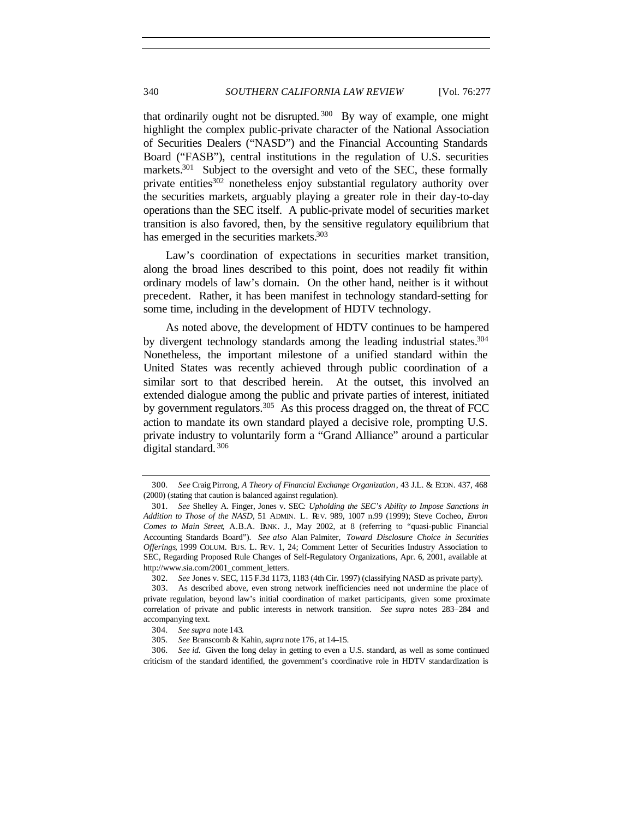that ordinarily ought not be disrupted.  $300$  By way of example, one might highlight the complex public-private character of the National Association of Securities Dealers ("NASD") and the Financial Accounting Standards Board ("FASB"), central institutions in the regulation of U.S. securities markets.<sup>301</sup> Subject to the oversight and veto of the SEC, these formally private entities<sup>302</sup> nonetheless enjoy substantial regulatory authority over the securities markets, arguably playing a greater role in their day-to-day operations than the SEC itself. A public-private model of securities market transition is also favored, then, by the sensitive regulatory equilibrium that has emerged in the securities markets.<sup>303</sup>

Law's coordination of expectations in securities market transition, along the broad lines described to this point, does not readily fit within ordinary models of law's domain. On the other hand, neither is it without precedent. Rather, it has been manifest in technology standard-setting for some time, including in the development of HDTV technology.

As noted above, the development of HDTV continues to be hampered by divergent technology standards among the leading industrial states.<sup>304</sup> Nonetheless, the important milestone of a unified standard within the United States was recently achieved through public coordination of a similar sort to that described herein. At the outset, this involved an extended dialogue among the public and private parties of interest, initiated by government regulators.<sup>305</sup> As this process dragged on, the threat of FCC action to mandate its own standard played a decisive role, prompting U.S. private industry to voluntarily form a "Grand Alliance" around a particular digital standard. <sup>306</sup>

<sup>300</sup>*. See* Craig Pirrong, *A Theory of Financial Exchange Organization*, 43 J.L. & ECON. 437, 468 (2000) (stating that caution is balanced against regulation).

<sup>301</sup>*. See* Shelley A. Finger, Jones v. SEC*: Upholding the SEC's Ability to Impose Sanctions in Addition to Those of the NASD*, 51 ADMIN. L. REV. 989, 1007 n.99 (1999); Steve Cocheo, *Enron Comes to Main Street*, A.B.A. BANK. J., May 2002, at 8 (referring to "quasi-public Financial Accounting Standards Board"). *See also* Alan Palmiter, *Toward Disclosure Choice in Securities Offerings*, 1999 COLUM. BUS. L. REV. 1, 24; Comment Letter of Securities Industry Association to SEC, Regarding Proposed Rule Changes of Self-Regulatory Organizations, Apr. 6, 2001, available at http://www.sia.com/2001\_comment\_letters.

<sup>302</sup>*. See* Jones v. SEC, 115 F.3d 1173, 1183 (4th Cir. 1997) (classifying NASD as private party).

<sup>303.</sup> As described above, even strong network inefficiencies need not undermine the place of private regulation, beyond law's initial coordination of market participants, given some proximate correlation of private and public interests in network transition. *See supra* notes 283–284 and accompanying text.

<sup>304</sup>*. See supra* note 143.

<sup>305</sup>*. See* Branscomb & Kahin, *supra* note 176, at 14–15.

<sup>306</sup>*. See id.* Given the long delay in getting to even a U.S. standard, as well as some continued criticism of the standard identified, the government's coordinative role in HDTV standardization is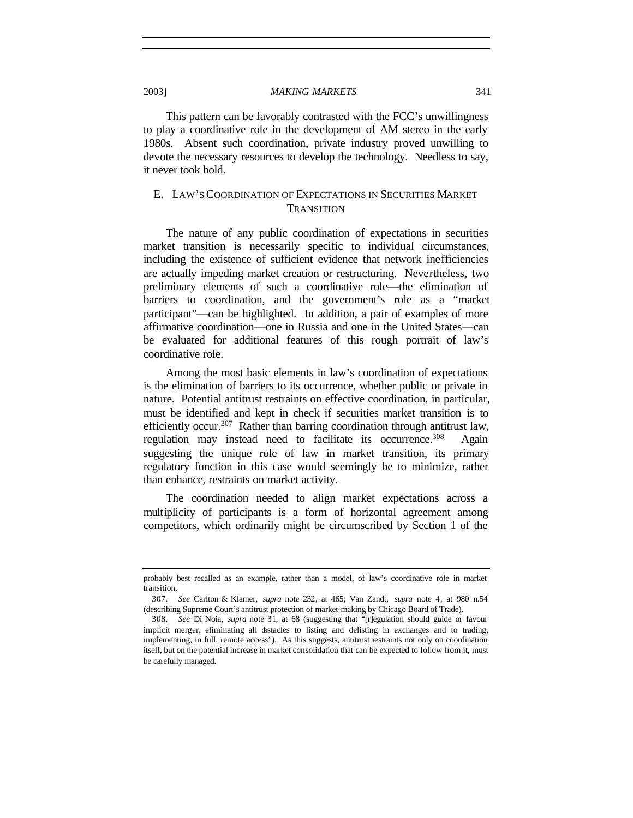This pattern can be favorably contrasted with the FCC's unwillingness to play a coordinative role in the development of AM stereo in the early 1980s. Absent such coordination, private industry proved unwilling to devote the necessary resources to develop the technology. Needless to say, it never took hold.

# E. LAW'S COORDINATION OF EXPECTATIONS IN SECURITIES MARKET **TRANSITION**

The nature of any public coordination of expectations in securities market transition is necessarily specific to individual circumstances, including the existence of sufficient evidence that network inefficiencies are actually impeding market creation or restructuring. Nevertheless, two preliminary elements of such a coordinative role—the elimination of barriers to coordination, and the government's role as a "market participant"—can be highlighted. In addition, a pair of examples of more affirmative coordination—one in Russia and one in the United States—can be evaluated for additional features of this rough portrait of law's coordinative role.

Among the most basic elements in law's coordination of expectations is the elimination of barriers to its occurrence, whether public or private in nature. Potential antitrust restraints on effective coordination, in particular, must be identified and kept in check if securities market transition is to efficiently occur.<sup>307</sup> Rather than barring coordination through antitrust law, regulation may instead need to facilitate its occurrence.<sup>308</sup> Again suggesting the unique role of law in market transition, its primary regulatory function in this case would seemingly be to minimize, rather than enhance, restraints on market activity.

The coordination needed to align market expectations across a multiplicity of participants is a form of horizontal agreement among competitors, which ordinarily might be circumscribed by Section 1 of the

probably best recalled as an example, rather than a model, of law's coordinative role in market transition.

<sup>307</sup>*. See* Carlton & Klamer, *supra* note 232, at 465; Van Zandt, *supra* note 4, at 980 n.54 (describing Supreme Court's antitrust protection of market-making by Chicago Board of Trade).

<sup>308</sup>*. See* Di Noia, *supra* note 31, at 68 (suggesting that "[r]egulation should guide or favour implicit merger, eliminating all obstacles to listing and delisting in exchanges and to trading, implementing, in full, remote access"). As this suggests, antitrust restraints not only on coordination itself, but on the potential increase in market consolidation that can be expected to follow from it, must be carefully managed.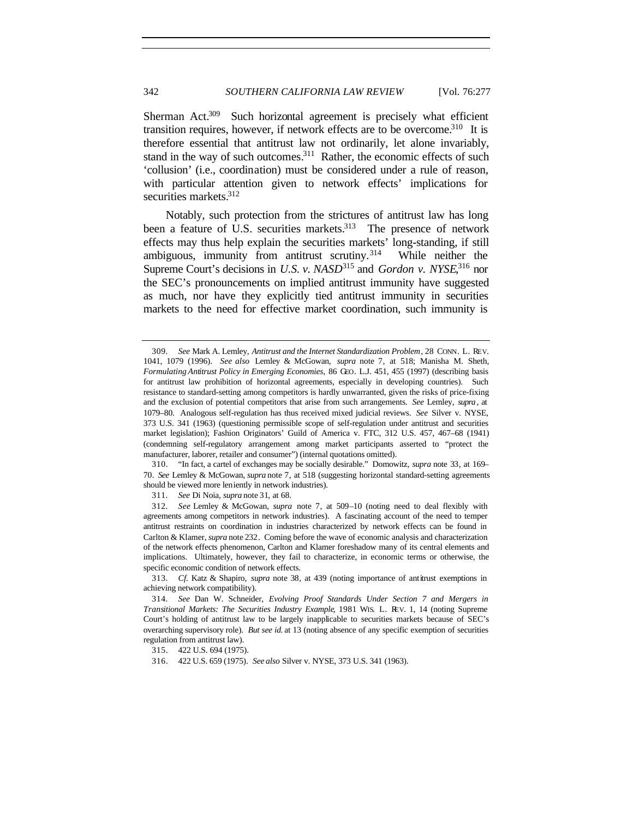Sherman Act.<sup>309</sup> Such horizontal agreement is precisely what efficient transition requires, however, if network effects are to be overcome.<sup>310</sup> It is therefore essential that antitrust law not ordinarily, let alone invariably, stand in the way of such outcomes.<sup>311</sup> Rather, the economic effects of such 'collusion' (i.e., coordination) must be considered under a rule of reason, with particular attention given to network effects' implications for securities markets.<sup>312</sup>

Notably, such protection from the strictures of antitrust law has long been a feature of U.S. securities markets.<sup>313</sup> The presence of network effects may thus help explain the securities markets' long-standing, if still ambiguous, immunity from antitrust scrutiny.<sup>314</sup> While neither the Supreme Court's decisions in *U.S. v. NASD*<sup>315</sup> and *Gordon v. NYSE*<sup>316</sup> nor the SEC's pronouncements on implied antitrust immunity have suggested as much, nor have they explicitly tied antitrust immunity in securities markets to the need for effective market coordination, such immunity is

311*. See* Di Noia, *supra* note 31, at 68.

315. 422 U.S. 694 (1975).

<sup>309</sup>*. See* Mark A. Lemley, *Antitrust and the Internet Standardization Problem*, 28 CONN. L. REV. 1041, 1079 (1996). *See also* Lemley & McGowan, *supra* note 7, at 518; Manisha M. Sheth, *Formulating Antitrust Policy in Emerging Economies*, 86 GEO. L.J. 451, 455 (1997) (describing basis for antitrust law prohibition of horizontal agreements, especially in developing countries). Such resistance to standard-setting among competitors is hardly unwarranted, given the risks of price-fixing and the exclusion of potential competitors that arise from such arrangements. *See* Lemley, *supra* , at 1079–80. Analogous self-regulation has thus received mixed judicial reviews. *See* Silver v. NYSE, 373 U.S. 341 (1963) (questioning permissible scope of self-regulation under antitrust and securities market legislation); Fashion Originators' Guild of America v. FTC, 312 U.S. 457, 467–68 (1941) (condemning self-regulatory arrangement among market participants asserted to "protect the manufacturer, laborer, retailer and consumer") (internal quotations omitted).

<sup>310.</sup> "In fact, a cartel of exchanges may be socially desirable." Domowitz, *supra* note 33, at 169– 70. *See* Lemley & McGowan, *supra* note 7, at 518 (suggesting horizontal standard-setting agreements should be viewed more leniently in network industries).

<sup>312</sup>*. See* Lemley & McGowan, *supra* note 7, at 509–10 (noting need to deal flexibly with agreements among competitors in network industries). A fascinating account of the need to temper antitrust restraints on coordination in industries characterized by network effects can be found in Carlton & Klamer, *supra* note 232. Coming before the wave of economic analysis and characterization of the network effects phenomenon, Carlton and Klamer foreshadow many of its central elements and implications. Ultimately, however, they fail to characterize, in economic terms or otherwise, the specific economic condition of network effects.

<sup>313</sup>*. Cf.* Katz & Shapiro, *supra* note 38, at 439 (noting importance of antitrust exemptions in achieving network compatibility).

<sup>314</sup>*. See* Dan W. Schneider, *Evolving Proof Standards Under Section 7 and Mergers in Transitional Markets: The Securities Industry Example*, 1981 WIS. L. REV. 1, 14 (noting Supreme Court's holding of antitrust law to be largely inapplicable to securities markets because of SEC's overarching supervisory role). *But see id.* at 13 (noting absence of any specific exemption of securities regulation from antitrust law).

<sup>316.</sup> 422 U.S. 659 (1975). *See also* Silver v. NYSE, 373 U.S. 341 (1963).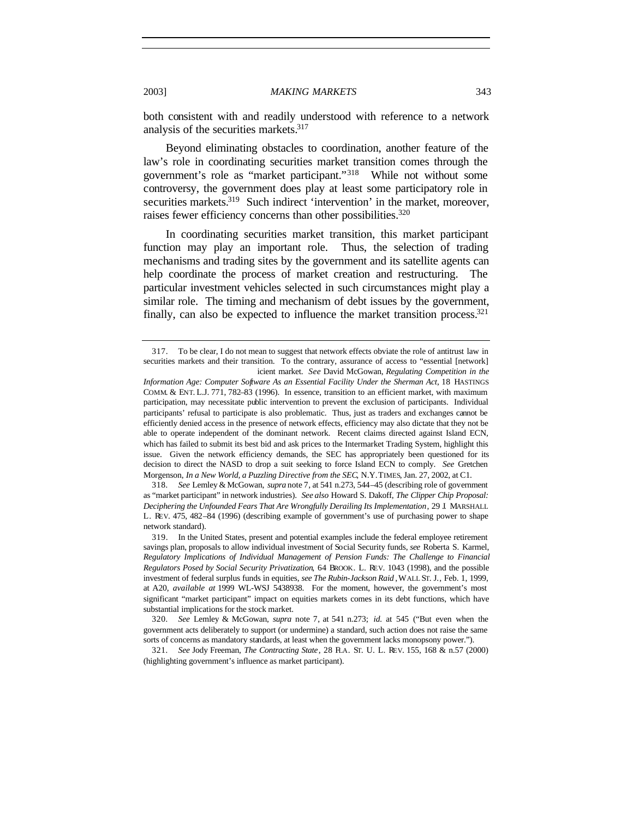both consistent with and readily understood with reference to a network analysis of the securities markets.<sup>317</sup>

Beyond eliminating obstacles to coordination, another feature of the law's role in coordinating securities market transition comes through the government's role as "market participant."<sup>318</sup> While not without some controversy, the government does play at least some participatory role in securities markets.<sup>319</sup> Such indirect 'intervention' in the market, moreover, raises fewer efficiency concerns than other possibilities.<sup>320</sup>

In coordinating securities market transition, this market participant function may play an important role. Thus, the selection of trading mechanisms and trading sites by the government and its satellite agents can help coordinate the process of market creation and restructuring. The particular investment vehicles selected in such circumstances might play a similar role. The timing and mechanism of debt issues by the government, finally, can also be expected to influence the market transition process.<sup>321</sup>

318*. See* Lemley & McGowan, *supra* note 7, at 541 n.273, 544–45 (describing role of government as "market participant" in network industries). *See also* Howard S. Dakoff, *The Clipper Chip Proposal: Deciphering the Unfounded Fears That Are Wrongfully Derailing Its Implementation*, 29 J. MARSHALL L. REV. 475, 482–84 (1996) (describing example of government's use of purchasing power to shape network standard).

<sup>317.</sup> To be clear, I do not mean to suggest that network effects obviate the role of antitrust law in securities markets and their transition. To the contrary, assurance of access to "essential [network] icient market. *See* David McGowan, *Regulating Competition in the*

*Information Age: Computer Software As an Essential Facility Under the Sherman Act*, 18 HASTINGS COMM. & ENT. L.J. 771, 782–83 (1996). In essence, transition to an efficient market, with maximum participation, may necessitate public intervention to prevent the exclusion of participants. Individual participants' refusal to participate is also problematic. Thus, just as traders and exchanges cannot be efficiently denied access in the presence of network effects, efficiency may also dictate that they not be able to operate independent of the dominant network. Recent claims directed against Island ECN, which has failed to submit its best bid and ask prices to the Intermarket Trading System, highlight this issue. Given the network efficiency demands, the SEC has appropriately been questioned for its decision to direct the NASD to drop a suit seeking to force Island ECN to comply. *See* Gretchen Morgenson, *In a New World, a Puzzling Directive from the SEC*, N.Y.TIMES, Jan. 27, 2002, at C1.

<sup>319.</sup> In the United States, present and potential examples include the federal employee retirement savings plan, proposals to allow individual investment of Social Security funds, *see* Roberta S. Karmel, *Regulatory Implications of Individual Management of Pension Funds: The Challenge to Financial Regulators Posed by Social Security Privatization*, 64 BROOK. L. REV. 1043 (1998), and the possible investment of federal surplus funds in equities, *see The Rubin-Jackson Raid* , WALL ST. J., Feb. 1, 1999, at A20, *available at* 1999 WL-WSJ 5438938. For the moment, however, the government's most significant "market participant" impact on equities markets comes in its debt functions, which have substantial implications for the stock market.

<sup>320</sup>*. See* Lemley & McGowan, *supra* note 7, at 541 n.273; *id.* at 545 ("But even when the government acts deliberately to support (or undermine) a standard, such action does not raise the same sorts of concerns as mandatory standards, at least when the government lacks monopsony power.").

<sup>321</sup>*. See* Jody Freeman, *The Contracting State*, 28 FLA. ST. U. L. REV. 155, 168 & n.57 (2000) (highlighting government's influence as market participant).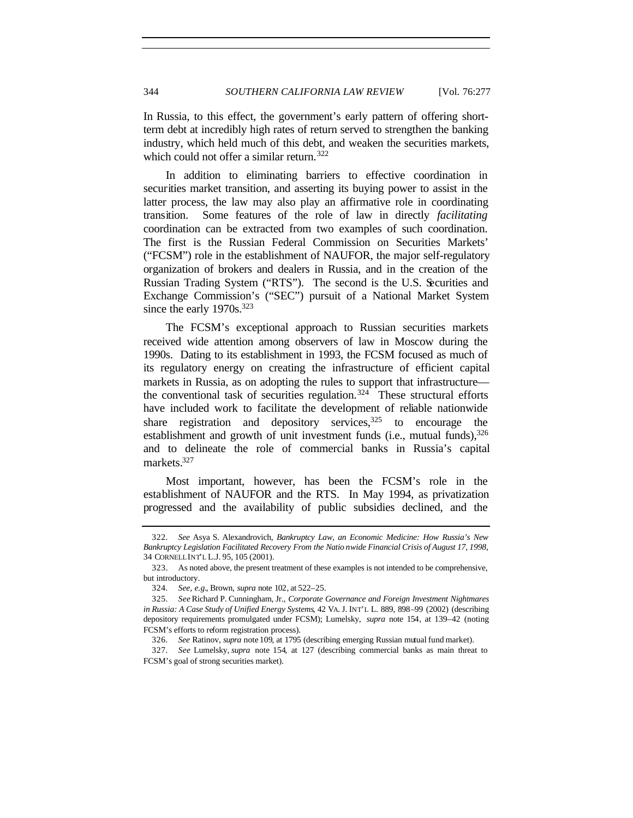In Russia, to this effect, the government's early pattern of offering shortterm debt at incredibly high rates of return served to strengthen the banking industry, which held much of this debt, and weaken the securities markets, which could not offer a similar return.<sup>322</sup>

In addition to eliminating barriers to effective coordination in securities market transition, and asserting its buying power to assist in the latter process, the law may also play an affirmative role in coordinating transition. Some features of the role of law in directly *facilitating* coordination can be extracted from two examples of such coordination. The first is the Russian Federal Commission on Securities Markets' ("FCSM") role in the establishment of NAUFOR, the major self-regulatory organization of brokers and dealers in Russia, and in the creation of the Russian Trading System ("RTS"). The second is the U.S. Securities and Exchange Commission's ("SEC") pursuit of a National Market System since the early  $1970s.^{323}$ 

The FCSM's exceptional approach to Russian securities markets received wide attention among observers of law in Moscow during the 1990s. Dating to its establishment in 1993, the FCSM focused as much of its regulatory energy on creating the infrastructure of efficient capital markets in Russia, as on adopting the rules to support that infrastructure the conventional task of securities regulation.<sup>324</sup> These structural efforts have included work to facilitate the development of reliable nationwide share registration and depository services.<sup>325</sup> to encourage the establishment and growth of unit investment funds (i.e., mutual funds),  $326$ and to delineate the role of commercial banks in Russia's capital markets.<sup>327</sup>

Most important, however, has been the FCSM's role in the establishment of NAUFOR and the RTS. In May 1994, as privatization progressed and the availability of public subsidies declined, and the

<sup>322</sup>*. See* Asya S. Alexandrovich, *Bankruptcy Law, an Economic Medicine: How Russia's New Bankruptcy Legislation Facilitated Recovery From the Natio nwide Financial Crisis of August 17, 1998,* 34 CORNELL INT'L L.J. 95, 105 (2001).

<sup>323.</sup> As noted above, the present treatment of these examples is not intended to be comprehensive, but introductory.

<sup>324</sup>*. See, e.g.*, Brown, *supra* note 102, at 522–25.

<sup>325</sup>*. See* Richard P. Cunningham, Jr., *Corporate Governance and Foreign Investment Nightmares in Russia: A Case Study of Unified Energy Systems*, 42 VA. J. INT'L L. 889, 898–99 (2002) (describing depository requirements promulgated under FCSM); Lumelsky, *supra* note 154, at 139–42 (noting FCSM's efforts to reform registration process).

<sup>326</sup>*. See* Ratinov, *supra* note 109, at 1795 (describing emerging Russian mutual fund market).

<sup>327</sup>*. See* Lumelsky, *supra* note 154, at 127 (describing commercial banks as main threat to FCSM's goal of strong securities market).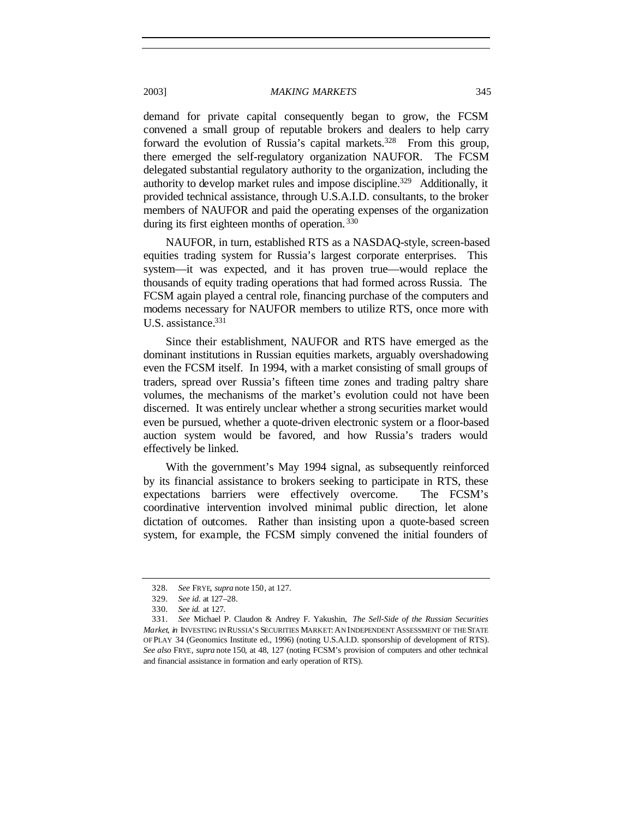demand for private capital consequently began to grow, the FCSM convened a small group of reputable brokers and dealers to help carry forward the evolution of Russia's capital markets.<sup>328</sup> From this group, there emerged the self-regulatory organization NAUFOR. The FCSM delegated substantial regulatory authority to the organization, including the authority to develop market rules and impose discipline.<sup>329</sup> Additionally, it provided technical assistance, through U.S.A.I.D. consultants, to the broker members of NAUFOR and paid the operating expenses of the organization during its first eighteen months of operation.<sup>330</sup>

NAUFOR, in turn, established RTS as a NASDAQ-style, screen-based equities trading system for Russia's largest corporate enterprises. This system—it was expected, and it has proven true—would replace the thousands of equity trading operations that had formed across Russia. The FCSM again played a central role, financing purchase of the computers and modems necessary for NAUFOR members to utilize RTS, once more with U.S. assistance.<sup>331</sup>

Since their establishment, NAUFOR and RTS have emerged as the dominant institutions in Russian equities markets, arguably overshadowing even the FCSM itself. In 1994, with a market consisting of small groups of traders, spread over Russia's fifteen time zones and trading paltry share volumes, the mechanisms of the market's evolution could not have been discerned. It was entirely unclear whether a strong securities market would even be pursued, whether a quote-driven electronic system or a floor-based auction system would be favored, and how Russia's traders would effectively be linked.

With the government's May 1994 signal, as subsequently reinforced by its financial assistance to brokers seeking to participate in RTS, these expectations barriers were effectively overcome. The FCSM's coordinative intervention involved minimal public direction, let alone dictation of outcomes. Rather than insisting upon a quote-based screen system, for example, the FCSM simply convened the initial founders of

<sup>328</sup>*. See* FRYE, *supra* note 150, at 127.

<sup>329</sup>*. See id.* at 127–28.

<sup>330</sup>*. See id.* at 127.

<sup>331</sup>*. See* Michael P. Claudon & Andrey F. Yakushin, *The Sell-Side of the Russian Securities Market*, *in* INVESTING IN RUSSIA'S SECURITIES MARKET: AN INDEPENDENT ASSESSMENT OF THE STATE OF PLAY 34 (Geonomics Institute ed., 1996) (noting U.S.A.I.D. sponsorship of development of RTS). *See also* FRYE, *supra* note 150, at 48, 127 (noting FCSM's provision of computers and other technical and financial assistance in formation and early operation of RTS).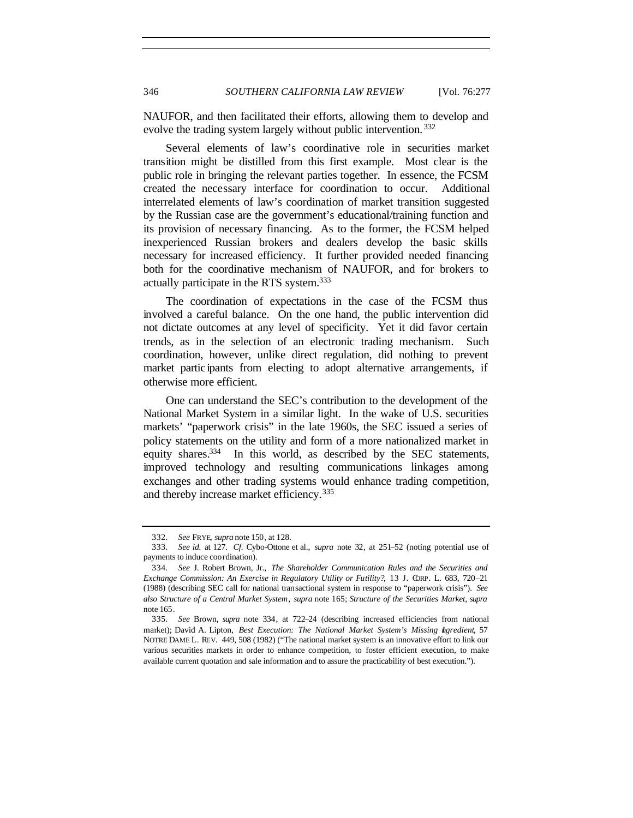NAUFOR, and then facilitated their efforts, allowing them to develop and evolve the trading system largely without public intervention.<sup>332</sup>

Several elements of law's coordinative role in securities market transition might be distilled from this first example. Most clear is the public role in bringing the relevant parties together. In essence, the FCSM created the necessary interface for coordination to occur. Additional interrelated elements of law's coordination of market transition suggested by the Russian case are the government's educational/training function and its provision of necessary financing. As to the former, the FCSM helped inexperienced Russian brokers and dealers develop the basic skills necessary for increased efficiency. It further provided needed financing both for the coordinative mechanism of NAUFOR, and for brokers to actually participate in the RTS system.<sup>333</sup>

The coordination of expectations in the case of the FCSM thus involved a careful balance. On the one hand, the public intervention did not dictate outcomes at any level of specificity. Yet it did favor certain trends, as in the selection of an electronic trading mechanism. Such coordination, however, unlike direct regulation, did nothing to prevent market partic ipants from electing to adopt alternative arrangements, if otherwise more efficient.

One can understand the SEC's contribution to the development of the National Market System in a similar light. In the wake of U.S. securities markets' "paperwork crisis" in the late 1960s, the SEC issued a series of policy statements on the utility and form of a more nationalized market in equity shares.<sup>334</sup> In this world, as described by the SEC statements, improved technology and resulting communications linkages among exchanges and other trading systems would enhance trading competition, and thereby increase market efficiency.<sup>335</sup>

<sup>332</sup>*. See* FRYE, *supra* note 150, at 128.

<sup>333</sup>*. See id.* at 127. *Cf.* Cybo-Ottone et al., *supra* note 32, at 251–52 (noting potential use of payments to induce coordination).

<sup>334</sup>*. See* J. Robert Brown, Jr., *The Shareholder Communication Rules and the Securities and Exchange Commission: An Exercise in Regulatory Utility or Futility?*, 13 J. CORP. L. 683, 720–21 (1988) (describing SEC call for national transactional system in response to "paperwork crisis"). *See also Structure of a Central Market System*, *supra* note 165; *Structure of the Securities Market*, *supra* note 165.

<sup>335</sup>*. See* Brown, *supra* note 334, at 722–24 (describing increased efficiencies from national market); David A. Lipton, *Best Execution: The National Market System's Missing Ingredient*, 57 NOTRE DAME L. REV. 449, 508 (1982) ("The national market system is an innovative effort to link our various securities markets in order to enhance competition, to foster efficient execution, to make available current quotation and sale information and to assure the practicability of best execution.").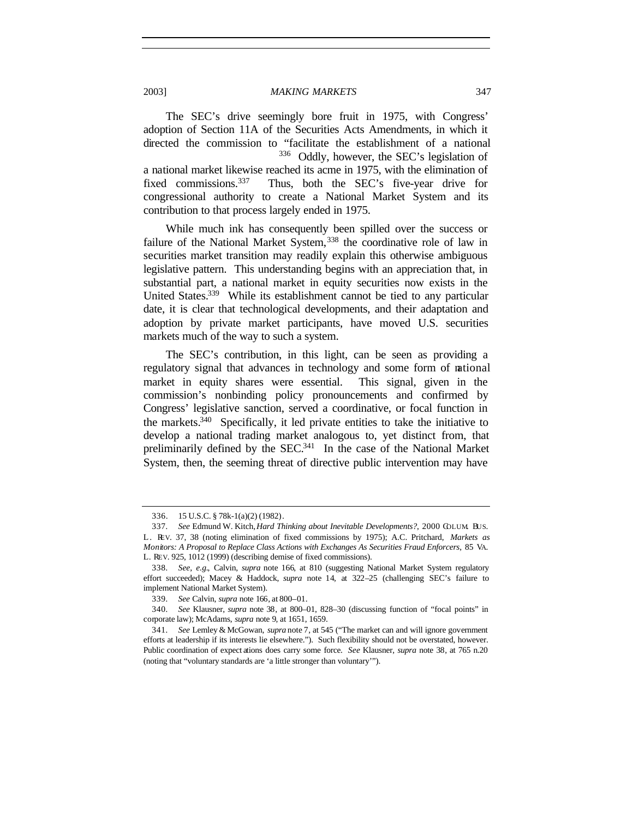The SEC's drive seemingly bore fruit in 1975, with Congress' adoption of Section 11A of the Securities Acts Amendments, in which it directed the commission to "facilitate the establishment of a national <sup>336</sup> Oddly, however, the SEC's legislation of a national market likewise reached its acme in 1975, with the elimination of fixed commissions.<sup>337</sup> Thus, both the SEC's five-year drive for congressional authority to create a National Market System and its contribution to that process largely ended in 1975.

While much ink has consequently been spilled over the success or failure of the National Market System,<sup>338</sup> the coordinative role of law in securities market transition may readily explain this otherwise ambiguous legislative pattern. This understanding begins with an appreciation that, in substantial part, a national market in equity securities now exists in the United States.<sup>339</sup> While its establishment cannot be tied to any particular date, it is clear that technological developments, and their adaptation and adoption by private market participants, have moved U.S. securities markets much of the way to such a system.

The SEC's contribution, in this light, can be seen as providing a regulatory signal that advances in technology and some form of national market in equity shares were essential. This signal, given in the commission's nonbinding policy pronouncements and confirmed by Congress' legislative sanction, served a coordinative, or focal function in the markets.<sup>340</sup> Specifically, it led private entities to take the initiative to develop a national trading market analogous to, yet distinct from, that preliminarily defined by the SEC.<sup>341</sup> In the case of the National Market System, then, the seeming threat of directive public intervention may have

<sup>336.</sup> 15 U.S.C. § 78k-1(a)(2) (1982).

<sup>337</sup>*. See* Edmund W. Kitch, *Hard Thinking about Inevitable Developments?*, 2000 COLUM. BUS. L. REV. 37, 38 (noting elimination of fixed commissions by 1975); A.C. Pritchard, *Markets as Monitors: A Proposal to Replace Class Actions with Exchanges As Securities Fraud Enforcers*, 85 VA. L. REV. 925, 1012 (1999) (describing demise of fixed commissions).

<sup>338</sup>*. See, e.g.*, Calvin, *supra* note 166, at 810 (suggesting National Market System regulatory effort succeeded); Macey & Haddock, *supra* note 14, at 322–25 (challenging SEC's failure to implement National Market System).

<sup>339</sup>*. See* Calvin, *supra* note 166, at 800–01.

<sup>340</sup>*. See* Klausner, *supra* note 38, at 800–01, 828–30 (discussing function of "focal points" in corporate law); McAdams, *supra* note 9, at 1651, 1659.

<sup>341</sup>*. See* Lemley & McGowan, *supra* note 7, at 545 ("The market can and will ignore government efforts at leadership if its interests lie elsewhere."). Such flexibility should not be overstated, however. Public coordination of expect ations does carry some force. *See* Klausner, *supra* note 38, at 765 n.20 (noting that "voluntary standards are 'a little stronger than voluntary'").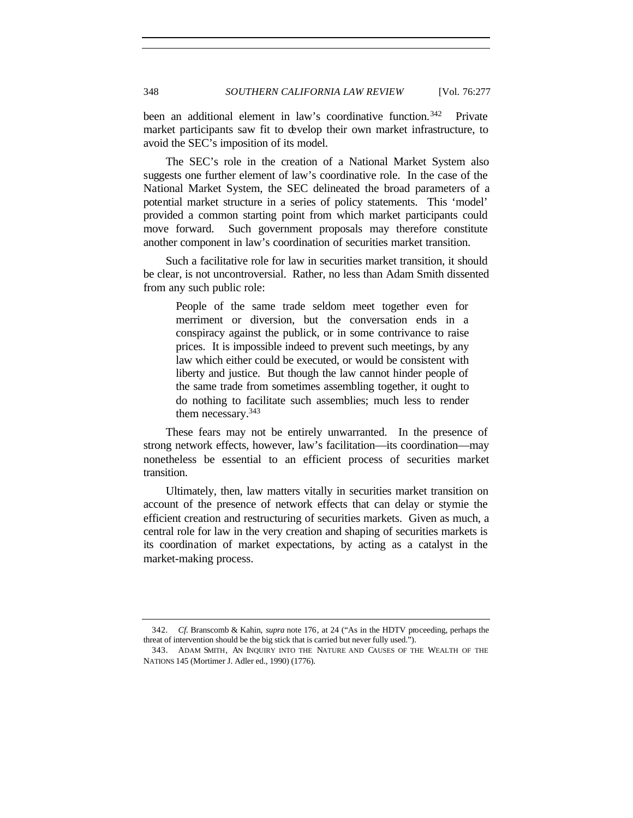been an additional element in law's coordinative function.<sup>342</sup> Private market participants saw fit to develop their own market infrastructure, to avoid the SEC's imposition of its model.

The SEC's role in the creation of a National Market System also suggests one further element of law's coordinative role. In the case of the National Market System, the SEC delineated the broad parameters of a potential market structure in a series of policy statements. This 'model' provided a common starting point from which market participants could move forward. Such government proposals may therefore constitute another component in law's coordination of securities market transition.

Such a facilitative role for law in securities market transition, it should be clear, is not uncontroversial. Rather, no less than Adam Smith dissented from any such public role:

People of the same trade seldom meet together even for merriment or diversion, but the conversation ends in a conspiracy against the publick, or in some contrivance to raise prices. It is impossible indeed to prevent such meetings, by any law which either could be executed, or would be consistent with liberty and justice. But though the law cannot hinder people of the same trade from sometimes assembling together, it ought to do nothing to facilitate such assemblies; much less to render them necessary.<sup>343</sup>

These fears may not be entirely unwarranted. In the presence of strong network effects, however, law's facilitation—its coordination—may nonetheless be essential to an efficient process of securities market transition.

Ultimately, then, law matters vitally in securities market transition on account of the presence of network effects that can delay or stymie the efficient creation and restructuring of securities markets. Given as much, a central role for law in the very creation and shaping of securities markets is its coordination of market expectations, by acting as a catalyst in the market-making process.

<sup>342</sup>*. Cf.* Branscomb & Kahin, *supra* note 176, at 24 ("As in the HDTV proceeding, perhaps the threat of intervention should be the big stick that is carried but never fully used.").

<sup>343.</sup> ADAM SMITH, AN INQUIRY INTO THE NATURE AND CAUSES OF THE WEALTH OF THE NATIONS 145 (Mortimer J. Adler ed., 1990) (1776).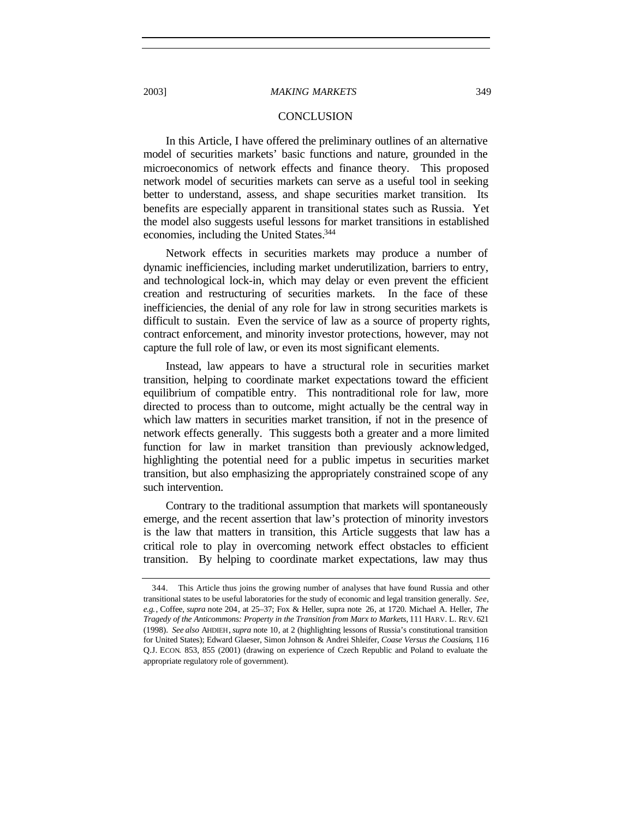## 2003] *MAKING MARKETS* 349

## **CONCLUSION**

In this Article, I have offered the preliminary outlines of an alternative model of securities markets' basic functions and nature, grounded in the microeconomics of network effects and finance theory. This proposed network model of securities markets can serve as a useful tool in seeking better to understand, assess, and shape securities market transition. Its benefits are especially apparent in transitional states such as Russia. Yet the model also suggests useful lessons for market transitions in established economies, including the United States.<sup>344</sup>

Network effects in securities markets may produce a number of dynamic inefficiencies, including market underutilization, barriers to entry, and technological lock-in, which may delay or even prevent the efficient creation and restructuring of securities markets. In the face of these inefficiencies, the denial of any role for law in strong securities markets is difficult to sustain. Even the service of law as a source of property rights, contract enforcement, and minority investor protections, however, may not capture the full role of law, or even its most significant elements.

Instead, law appears to have a structural role in securities market transition, helping to coordinate market expectations toward the efficient equilibrium of compatible entry. This nontraditional role for law, more directed to process than to outcome, might actually be the central way in which law matters in securities market transition, if not in the presence of network effects generally. This suggests both a greater and a more limited function for law in market transition than previously acknowledged, highlighting the potential need for a public impetus in securities market transition, but also emphasizing the appropriately constrained scope of any such intervention.

Contrary to the traditional assumption that markets will spontaneously emerge, and the recent assertion that law's protection of minority investors is the law that matters in transition, this Article suggests that law has a critical role to play in overcoming network effect obstacles to efficient transition. By helping to coordinate market expectations, law may thus

<sup>344.</sup> This Article thus joins the growing number of analyses that have found Russia and other transitional states to be useful laboratories for the study of economic and legal transition generally. *See, e.g.*, Coffee, *supra* note 204, at 25–37; Fox & Heller, supra note 26, at 1720. Michael A. Heller, *The Tragedy of the Anticommons: Property in the Transition from Marx to Markets*, 111 HARV. L. REV. 621 (1998). *See also* AHDIEH, *supra* note 10, at 2 (highlighting lessons of Russia's constitutional transition for United States); Edward Glaeser, Simon Johnson & Andrei Shleifer, *Coase Versus the Coasians*, 116 Q.J. ECON. 853, 855 (2001) (drawing on experience of Czech Republic and Poland to evaluate the appropriate regulatory role of government).